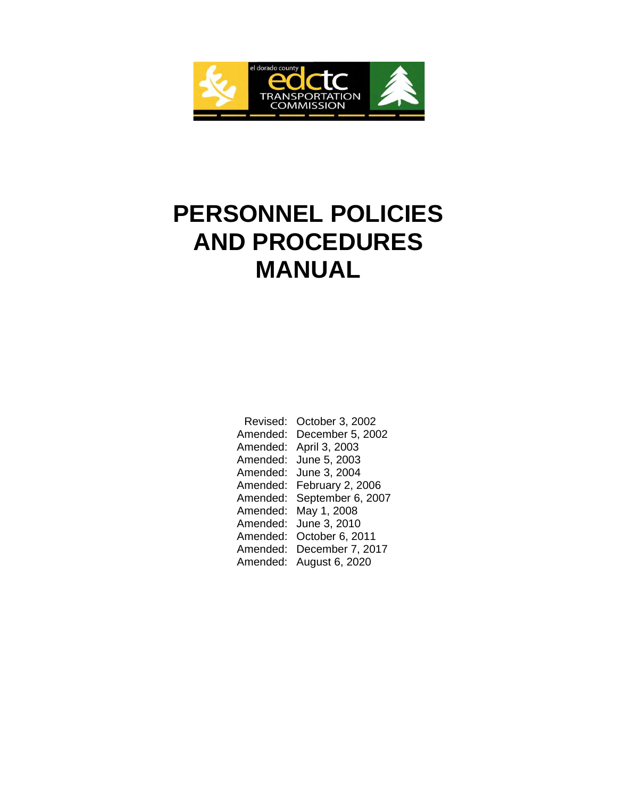

# **PERSONNEL POLICIES AND PROCEDURES MANUAL**

| Revised: | October 3, 2002   |
|----------|-------------------|
| Amended: | December 5, 2002  |
| Amended: | April 3, 2003     |
| Amended: | June 5, 2003      |
| Amended: | June 3, 2004      |
| Amended: | February 2, 2006  |
| Amended: | September 6, 2007 |
| Amended: | May 1, 2008       |
| Amended: | June 3, 2010      |
| Amended: | October 6, 2011   |
| Amended: | December 7, 2017  |
| Amended: | August 6, 2020    |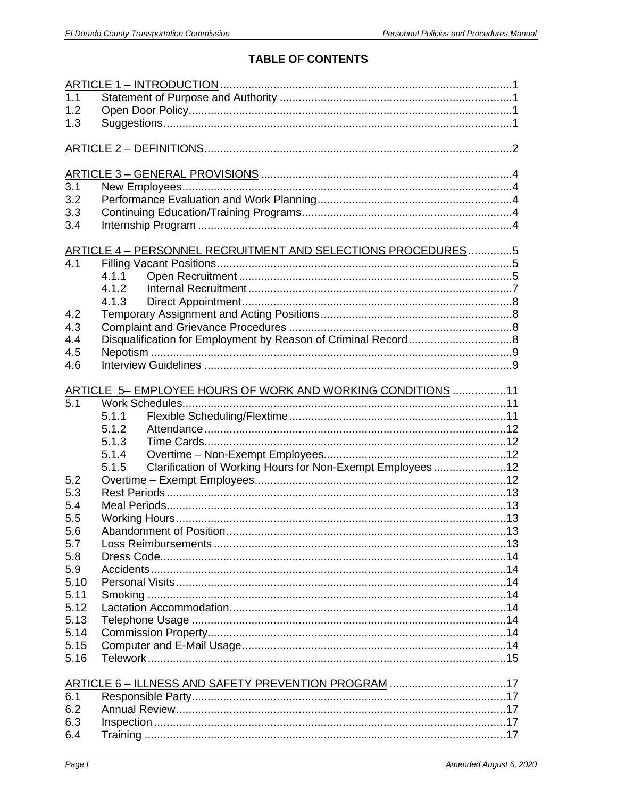# **TABLE OF CONTENTS**

| $\overline{1.1}$ |                                                                    |  |
|------------------|--------------------------------------------------------------------|--|
| 1.2              |                                                                    |  |
| 1.3              |                                                                    |  |
|                  |                                                                    |  |
|                  |                                                                    |  |
|                  |                                                                    |  |
|                  |                                                                    |  |
| $\overline{3.1}$ |                                                                    |  |
| 3.2              |                                                                    |  |
| 3.3              |                                                                    |  |
| 3.4              |                                                                    |  |
|                  |                                                                    |  |
|                  | ARTICLE 4 - PERSONNEL RECRUITMENT AND SELECTIONS PROCEDURES5       |  |
| 4.1              |                                                                    |  |
|                  | 4.1.1                                                              |  |
|                  | 4.1.2                                                              |  |
|                  | 4.1.3                                                              |  |
| 4.2              |                                                                    |  |
| 4.3              |                                                                    |  |
| 4.4              |                                                                    |  |
| 4.5              |                                                                    |  |
| 4.6              |                                                                    |  |
|                  |                                                                    |  |
|                  | ARTICLE 5- EMPLOYEE HOURS OF WORK AND WORKING CONDITIONS 11        |  |
| $\overline{5.1}$ |                                                                    |  |
|                  | 5.1.1                                                              |  |
|                  | 5.1.2                                                              |  |
|                  | 5.1.3                                                              |  |
|                  | 5.1.4                                                              |  |
|                  | Clarification of Working Hours for Non-Exempt Employees12<br>5.1.5 |  |
| 5.2              |                                                                    |  |
| 5.3              |                                                                    |  |
| 5.4              |                                                                    |  |
| 5.5              |                                                                    |  |
| 5.6              |                                                                    |  |
| 5.7              |                                                                    |  |
| 5.8              |                                                                    |  |
| 5.9              |                                                                    |  |
| 5.10             |                                                                    |  |
| 5.11             |                                                                    |  |
| 5.12             |                                                                    |  |
| 5.13             |                                                                    |  |
| 5.14             |                                                                    |  |
| 5.15             |                                                                    |  |
| 5.16             |                                                                    |  |
|                  |                                                                    |  |
|                  | ARTICLE 6 - ILLNESS AND SAFETY PREVENTION PROGRAM 17               |  |
| 6.1              |                                                                    |  |
| 6.2              |                                                                    |  |
| 6.3              |                                                                    |  |
| 6.4              |                                                                    |  |
|                  |                                                                    |  |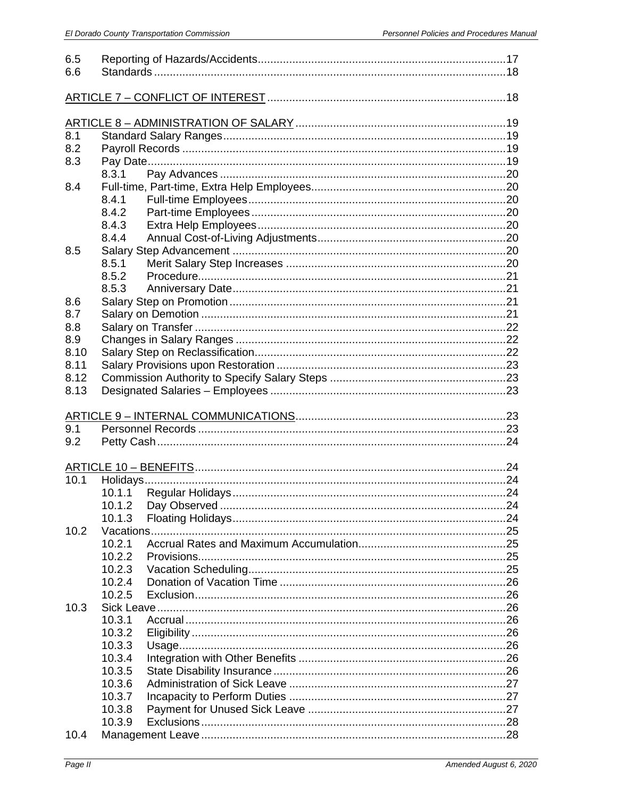| 6.5               |        |  |  |  |
|-------------------|--------|--|--|--|
| 6.6               |        |  |  |  |
|                   |        |  |  |  |
|                   |        |  |  |  |
|                   |        |  |  |  |
| 8.1               |        |  |  |  |
| 8.2               |        |  |  |  |
| 8.3               |        |  |  |  |
|                   | 8.3.1  |  |  |  |
| 8.4               |        |  |  |  |
|                   | 8.4.1  |  |  |  |
|                   | 8.4.2  |  |  |  |
|                   | 8.4.3  |  |  |  |
|                   | 8.4.4  |  |  |  |
| 8.5               |        |  |  |  |
|                   | 8.5.1  |  |  |  |
|                   | 8.5.2  |  |  |  |
|                   | 8.5.3  |  |  |  |
| 8.6               |        |  |  |  |
| 8.7               |        |  |  |  |
| 8.8               |        |  |  |  |
| 8.9               |        |  |  |  |
| 8.10              |        |  |  |  |
| 8.11              |        |  |  |  |
| 8.12              |        |  |  |  |
| 8.13              |        |  |  |  |
|                   |        |  |  |  |
|                   |        |  |  |  |
|                   |        |  |  |  |
| 9.1               |        |  |  |  |
| 9.2               |        |  |  |  |
|                   |        |  |  |  |
|                   |        |  |  |  |
| $\overline{10.1}$ |        |  |  |  |
|                   |        |  |  |  |
|                   |        |  |  |  |
|                   | 10.1.3 |  |  |  |
| 10.2              |        |  |  |  |
|                   | 10.2.1 |  |  |  |
|                   | 10.2.2 |  |  |  |
|                   | 10.2.3 |  |  |  |
|                   | 10.2.4 |  |  |  |
|                   | 10.2.5 |  |  |  |
| 10.3              |        |  |  |  |
|                   | 10.3.1 |  |  |  |
|                   | 10.3.2 |  |  |  |
|                   | 10.3.3 |  |  |  |
|                   | 10.3.4 |  |  |  |
|                   | 10.3.5 |  |  |  |
|                   | 10.3.6 |  |  |  |
|                   | 10.3.7 |  |  |  |
|                   | 10.3.8 |  |  |  |
| 10.4              | 10.3.9 |  |  |  |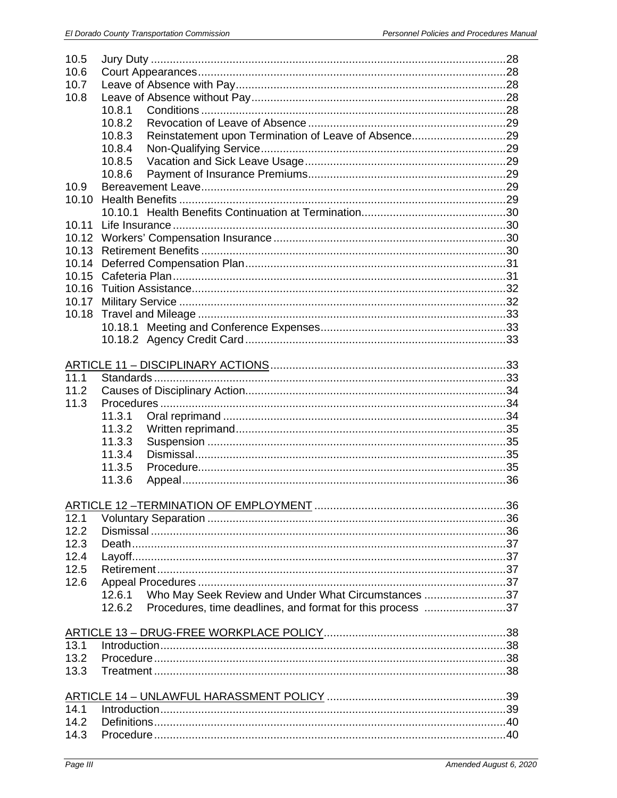|              | 10.5                                                                 |    |  |
|--------------|----------------------------------------------------------------------|----|--|
| 10.6         |                                                                      |    |  |
| 10.7         |                                                                      |    |  |
| 10.8         |                                                                      |    |  |
|              | 10.8.1                                                               |    |  |
|              | 10.8.2                                                               |    |  |
|              | 10.8.3                                                               |    |  |
|              | 10.8.4                                                               |    |  |
|              | 10.8.5                                                               |    |  |
|              | 10.8.6                                                               |    |  |
| 10.9         |                                                                      |    |  |
|              |                                                                      |    |  |
| 10.10        |                                                                      |    |  |
|              |                                                                      |    |  |
| 10.11        |                                                                      |    |  |
| 10.12        |                                                                      |    |  |
| 10.13        |                                                                      |    |  |
| 10.14        |                                                                      |    |  |
| 10.15        |                                                                      |    |  |
| 10.16        |                                                                      |    |  |
| 10.17        |                                                                      |    |  |
| 10.18        |                                                                      |    |  |
|              |                                                                      |    |  |
|              |                                                                      |    |  |
|              |                                                                      |    |  |
|              |                                                                      |    |  |
| 11.1         |                                                                      |    |  |
| 11.2         |                                                                      |    |  |
| 11.3         |                                                                      |    |  |
|              | 11.3.1                                                               |    |  |
|              | 11.3.2                                                               |    |  |
|              | 11.3.3                                                               |    |  |
|              |                                                                      |    |  |
|              |                                                                      |    |  |
|              | 11.3.4                                                               |    |  |
|              | 11.3.5                                                               |    |  |
|              | 11.3.6                                                               |    |  |
|              |                                                                      |    |  |
|              | ARTICLE 12-TERMINATION OF EMPLOYMENT                                 | 36 |  |
| 12.1         |                                                                      |    |  |
| 12.2         |                                                                      |    |  |
| 12.3         |                                                                      |    |  |
| 12.4         |                                                                      |    |  |
| 12.5         |                                                                      |    |  |
| 12.6         |                                                                      |    |  |
|              | Who May Seek Review and Under What Circumstances 37<br>12.6.1        |    |  |
|              | Procedures, time deadlines, and format for this process 37<br>12.6.2 |    |  |
|              |                                                                      |    |  |
|              |                                                                      |    |  |
| 13.1         |                                                                      |    |  |
| 13.2         |                                                                      |    |  |
| 13.3         |                                                                      |    |  |
|              |                                                                      |    |  |
|              |                                                                      |    |  |
| 14.1         |                                                                      |    |  |
| 14.2<br>14.3 |                                                                      |    |  |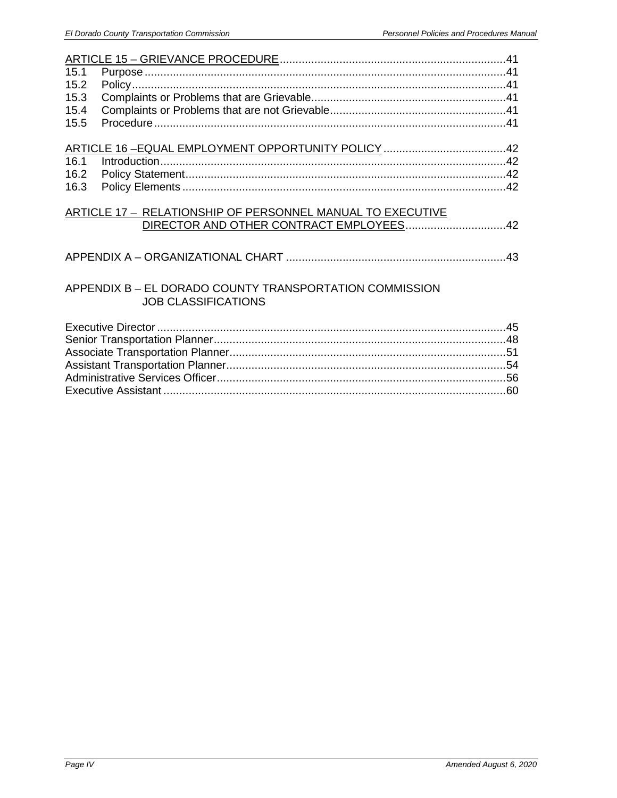| 15.1 |                                                            |  |  |
|------|------------------------------------------------------------|--|--|
| 15.2 |                                                            |  |  |
| 15.3 |                                                            |  |  |
| 15.4 |                                                            |  |  |
| 15.5 |                                                            |  |  |
|      |                                                            |  |  |
|      |                                                            |  |  |
| 16.1 |                                                            |  |  |
| 16.2 |                                                            |  |  |
| 16.3 |                                                            |  |  |
|      |                                                            |  |  |
|      | ARTICLE 17 - RELATIONSHIP OF PERSONNEL MANUAL TO EXECUTIVE |  |  |
|      |                                                            |  |  |
|      |                                                            |  |  |
|      |                                                            |  |  |
|      |                                                            |  |  |
|      |                                                            |  |  |
|      | APPENDIX B - EL DORADO COUNTY TRANSPORTATION COMMISSION    |  |  |
|      | <b>JOB CLASSIFICATIONS</b>                                 |  |  |
|      |                                                            |  |  |
|      |                                                            |  |  |
|      |                                                            |  |  |
|      |                                                            |  |  |
|      |                                                            |  |  |
|      |                                                            |  |  |
|      |                                                            |  |  |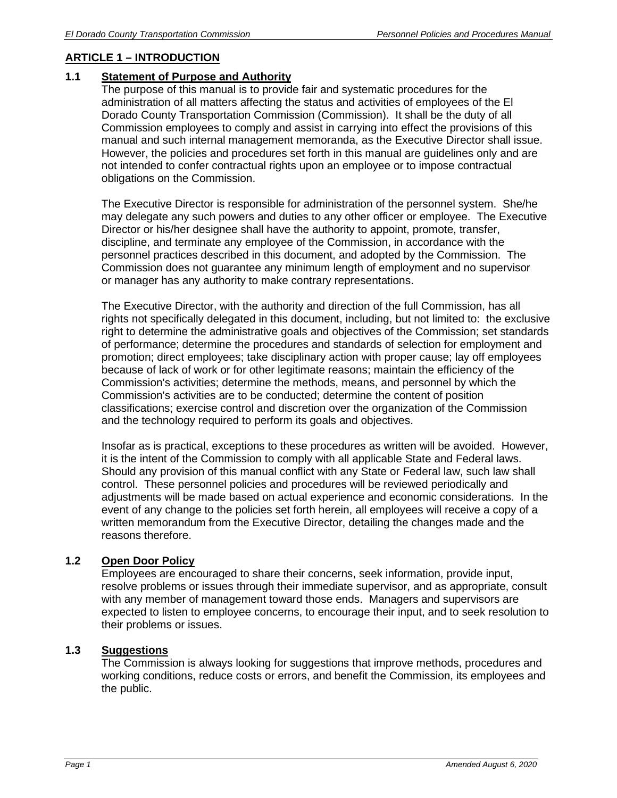# **ARTICLE 1 – INTRODUCTION**

## **1.1 Statement of Purpose and Authority**

The purpose of this manual is to provide fair and systematic procedures for the administration of all matters affecting the status and activities of employees of the El Dorado County Transportation Commission (Commission). It shall be the duty of all Commission employees to comply and assist in carrying into effect the provisions of this manual and such internal management memoranda, as the Executive Director shall issue. However, the policies and procedures set forth in this manual are guidelines only and are not intended to confer contractual rights upon an employee or to impose contractual obligations on the Commission.

The Executive Director is responsible for administration of the personnel system. She/he may delegate any such powers and duties to any other officer or employee. The Executive Director or his/her designee shall have the authority to appoint, promote, transfer, discipline, and terminate any employee of the Commission, in accordance with the personnel practices described in this document, and adopted by the Commission. The Commission does not guarantee any minimum length of employment and no supervisor or manager has any authority to make contrary representations.

The Executive Director, with the authority and direction of the full Commission, has all rights not specifically delegated in this document, including, but not limited to: the exclusive right to determine the administrative goals and objectives of the Commission; set standards of performance; determine the procedures and standards of selection for employment and promotion; direct employees; take disciplinary action with proper cause; lay off employees because of lack of work or for other legitimate reasons; maintain the efficiency of the Commission's activities; determine the methods, means, and personnel by which the Commission's activities are to be conducted; determine the content of position classifications; exercise control and discretion over the organization of the Commission and the technology required to perform its goals and objectives.

Insofar as is practical, exceptions to these procedures as written will be avoided. However, it is the intent of the Commission to comply with all applicable State and Federal laws. Should any provision of this manual conflict with any State or Federal law, such law shall control. These personnel policies and procedures will be reviewed periodically and adjustments will be made based on actual experience and economic considerations. In the event of any change to the policies set forth herein, all employees will receive a copy of a written memorandum from the Executive Director, detailing the changes made and the reasons therefore.

# **1.2 Open Door Policy**

Employees are encouraged to share their concerns, seek information, provide input, resolve problems or issues through their immediate supervisor, and as appropriate, consult with any member of management toward those ends. Managers and supervisors are expected to listen to employee concerns, to encourage their input, and to seek resolution to their problems or issues.

## **1.3 Suggestions**

The Commission is always looking for suggestions that improve methods, procedures and working conditions, reduce costs or errors, and benefit the Commission, its employees and the public.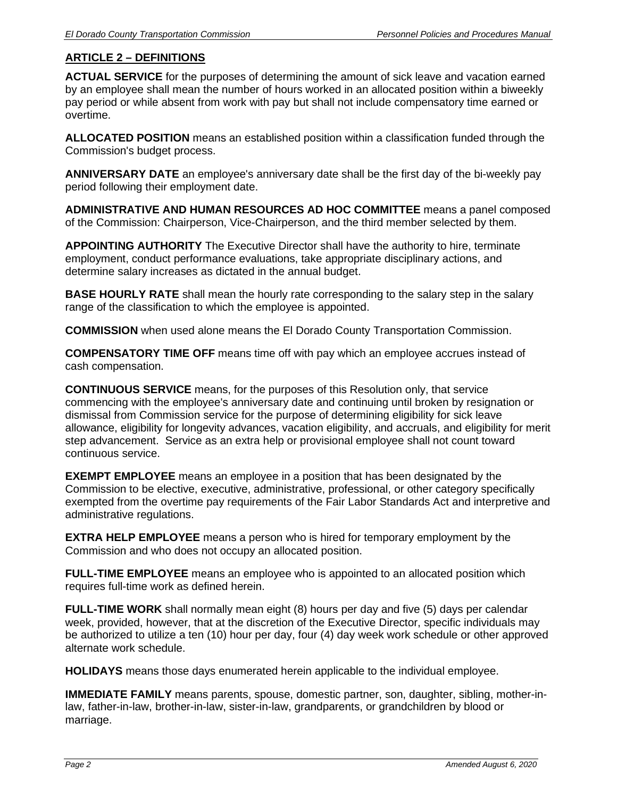# **ARTICLE 2 – DEFINITIONS**

**ACTUAL SERVICE** for the purposes of determining the amount of sick leave and vacation earned by an employee shall mean the number of hours worked in an allocated position within a biweekly pay period or while absent from work with pay but shall not include compensatory time earned or overtime.

**ALLOCATED POSITION** means an established position within a classification funded through the Commission's budget process.

**ANNIVERSARY DATE** an employee's anniversary date shall be the first day of the bi-weekly pay period following their employment date.

**ADMINISTRATIVE AND HUMAN RESOURCES AD HOC COMMITTEE** means a panel composed of the Commission: Chairperson, Vice-Chairperson, and the third member selected by them.

**APPOINTING AUTHORITY** The Executive Director shall have the authority to hire, terminate employment, conduct performance evaluations, take appropriate disciplinary actions, and determine salary increases as dictated in the annual budget.

**BASE HOURLY RATE** shall mean the hourly rate corresponding to the salary step in the salary range of the classification to which the employee is appointed.

**COMMISSION** when used alone means the El Dorado County Transportation Commission.

**COMPENSATORY TIME OFF** means time off with pay which an employee accrues instead of cash compensation.

**CONTINUOUS SERVICE** means, for the purposes of this Resolution only, that service commencing with the employee's anniversary date and continuing until broken by resignation or dismissal from Commission service for the purpose of determining eligibility for sick leave allowance, eligibility for longevity advances, vacation eligibility, and accruals, and eligibility for merit step advancement. Service as an extra help or provisional employee shall not count toward continuous service.

**EXEMPT EMPLOYEE** means an employee in a position that has been designated by the Commission to be elective, executive, administrative, professional, or other category specifically exempted from the overtime pay requirements of the Fair Labor Standards Act and interpretive and administrative regulations.

**EXTRA HELP EMPLOYEE** means a person who is hired for temporary employment by the Commission and who does not occupy an allocated position.

**FULL-TIME EMPLOYEE** means an employee who is appointed to an allocated position which requires full-time work as defined herein.

**FULL-TIME WORK** shall normally mean eight (8) hours per day and five (5) days per calendar week, provided, however, that at the discretion of the Executive Director, specific individuals may be authorized to utilize a ten (10) hour per day, four (4) day week work schedule or other approved alternate work schedule.

**HOLIDAYS** means those days enumerated herein applicable to the individual employee.

**IMMEDIATE FAMILY** means parents, spouse, domestic partner, son, daughter, sibling, mother-inlaw, father-in-law, brother-in-law, sister-in-law, grandparents, or grandchildren by blood or marriage.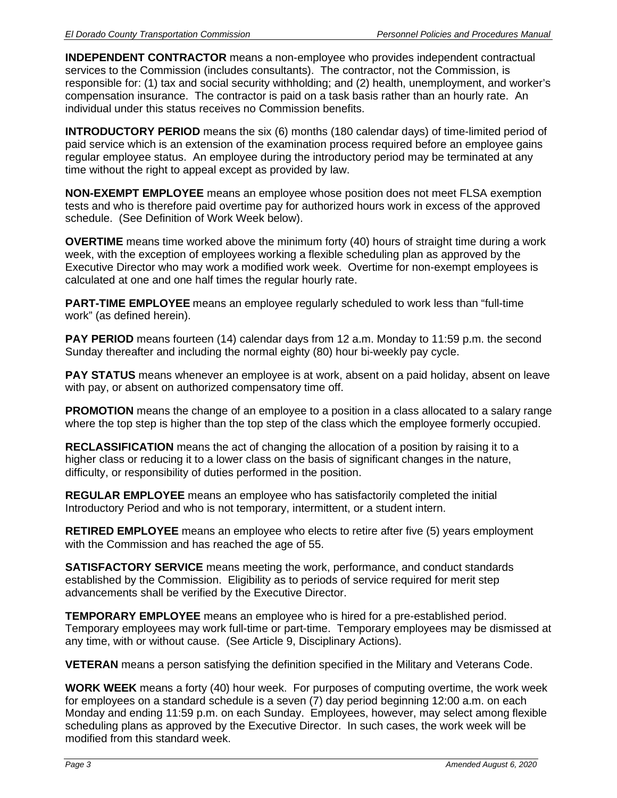**INDEPENDENT CONTRACTOR** means a non-employee who provides independent contractual services to the Commission (includes consultants). The contractor, not the Commission, is responsible for: (1) tax and social security withholding; and (2) health, unemployment, and worker's compensation insurance. The contractor is paid on a task basis rather than an hourly rate. An individual under this status receives no Commission benefits.

**INTRODUCTORY PERIOD** means the six (6) months (180 calendar days) of time-limited period of paid service which is an extension of the examination process required before an employee gains regular employee status. An employee during the introductory period may be terminated at any time without the right to appeal except as provided by law.

**NON-EXEMPT EMPLOYEE** means an employee whose position does not meet FLSA exemption tests and who is therefore paid overtime pay for authorized hours work in excess of the approved schedule. (See Definition of Work Week below).

**OVERTIME** means time worked above the minimum forty (40) hours of straight time during a work week, with the exception of employees working a flexible scheduling plan as approved by the Executive Director who may work a modified work week. Overtime for non-exempt employees is calculated at one and one half times the regular hourly rate.

**PART-TIME EMPLOYEE** means an employee regularly scheduled to work less than "full-time work" (as defined herein).

**PAY PERIOD** means fourteen (14) calendar days from 12 a.m. Monday to 11:59 p.m. the second Sunday thereafter and including the normal eighty (80) hour bi-weekly pay cycle.

**PAY STATUS** means whenever an employee is at work, absent on a paid holiday, absent on leave with pay, or absent on authorized compensatory time off.

**PROMOTION** means the change of an employee to a position in a class allocated to a salary range where the top step is higher than the top step of the class which the employee formerly occupied.

**RECLASSIFICATION** means the act of changing the allocation of a position by raising it to a higher class or reducing it to a lower class on the basis of significant changes in the nature, difficulty, or responsibility of duties performed in the position.

**REGULAR EMPLOYEE** means an employee who has satisfactorily completed the initial Introductory Period and who is not temporary, intermittent, or a student intern.

**RETIRED EMPLOYEE** means an employee who elects to retire after five (5) years employment with the Commission and has reached the age of 55.

**SATISFACTORY SERVICE** means meeting the work, performance, and conduct standards established by the Commission. Eligibility as to periods of service required for merit step advancements shall be verified by the Executive Director.

**TEMPORARY EMPLOYEE** means an employee who is hired for a pre-established period. Temporary employees may work full-time or part-time. Temporary employees may be dismissed at any time, with or without cause. (See Article 9, Disciplinary Actions).

**VETERAN** means a person satisfying the definition specified in the Military and Veterans Code.

**WORK WEEK** means a forty (40) hour week. For purposes of computing overtime, the work week for employees on a standard schedule is a seven (7) day period beginning 12:00 a.m. on each Monday and ending 11:59 p.m. on each Sunday. Employees, however, may select among flexible scheduling plans as approved by the Executive Director. In such cases, the work week will be modified from this standard week.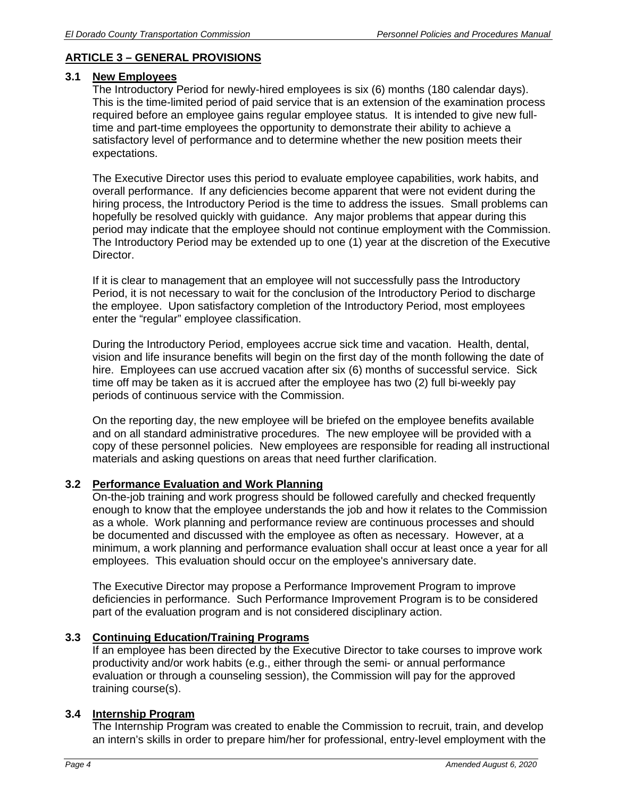# **ARTICLE 3 – GENERAL PROVISIONS**

## **3.1 New Employees**

The Introductory Period for newly-hired employees is six (6) months (180 calendar days). This is the time-limited period of paid service that is an extension of the examination process required before an employee gains regular employee status. It is intended to give new fulltime and part-time employees the opportunity to demonstrate their ability to achieve a satisfactory level of performance and to determine whether the new position meets their expectations.

The Executive Director uses this period to evaluate employee capabilities, work habits, and overall performance. If any deficiencies become apparent that were not evident during the hiring process, the Introductory Period is the time to address the issues. Small problems can hopefully be resolved quickly with guidance. Any major problems that appear during this period may indicate that the employee should not continue employment with the Commission. The Introductory Period may be extended up to one (1) year at the discretion of the Executive Director.

If it is clear to management that an employee will not successfully pass the Introductory Period, it is not necessary to wait for the conclusion of the Introductory Period to discharge the employee. Upon satisfactory completion of the Introductory Period, most employees enter the "regular" employee classification.

During the Introductory Period, employees accrue sick time and vacation. Health, dental, vision and life insurance benefits will begin on the first day of the month following the date of hire. Employees can use accrued vacation after six (6) months of successful service. Sick time off may be taken as it is accrued after the employee has two (2) full bi-weekly pay periods of continuous service with the Commission.

On the reporting day, the new employee will be briefed on the employee benefits available and on all standard administrative procedures. The new employee will be provided with a copy of these personnel policies. New employees are responsible for reading all instructional materials and asking questions on areas that need further clarification.

# **3.2 Performance Evaluation and Work Planning**

On-the-job training and work progress should be followed carefully and checked frequently enough to know that the employee understands the job and how it relates to the Commission as a whole. Work planning and performance review are continuous processes and should be documented and discussed with the employee as often as necessary. However, at a minimum, a work planning and performance evaluation shall occur at least once a year for all employees. This evaluation should occur on the employee's anniversary date.

The Executive Director may propose a Performance Improvement Program to improve deficiencies in performance. Such Performance Improvement Program is to be considered part of the evaluation program and is not considered disciplinary action.

# **3.3 Continuing Education/Training Programs**

If an employee has been directed by the Executive Director to take courses to improve work productivity and/or work habits (e.g., either through the semi- or annual performance evaluation or through a counseling session), the Commission will pay for the approved training course(s).

## **3.4 Internship Program**

The Internship Program was created to enable the Commission to recruit, train, and develop an intern's skills in order to prepare him/her for professional, entry-level employment with the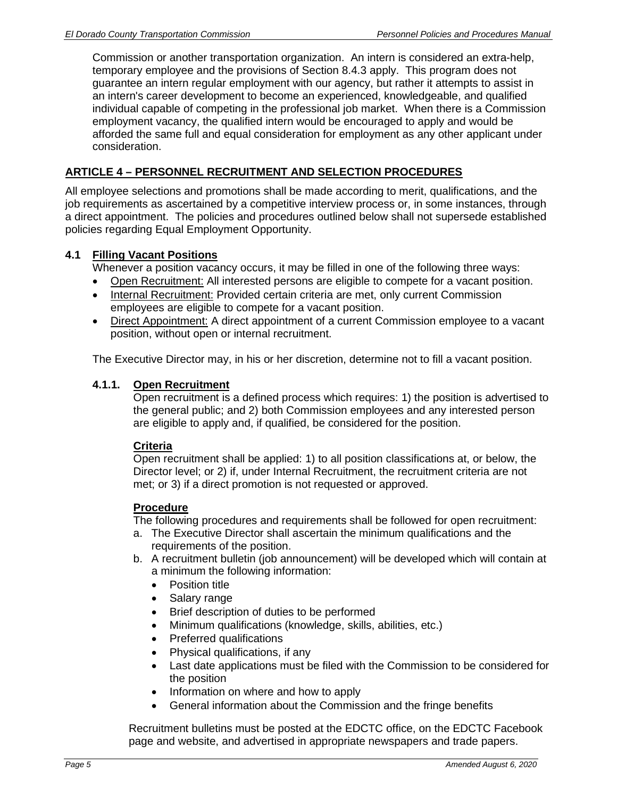Commission or another transportation organization. An intern is considered an extra-help, temporary employee and the provisions of Section 8.4.3 apply. This program does not guarantee an intern regular employment with our agency, but rather it attempts to assist in an intern's career development to become an experienced, knowledgeable, and qualified individual capable of competing in the professional job market. When there is a Commission employment vacancy, the qualified intern would be encouraged to apply and would be afforded the same full and equal consideration for employment as any other applicant under consideration.

### **ARTICLE 4 – PERSONNEL RECRUITMENT AND SELECTION PROCEDURES**

All employee selections and promotions shall be made according to merit, qualifications, and the job requirements as ascertained by a competitive interview process or, in some instances, through a direct appointment. The policies and procedures outlined below shall not supersede established policies regarding Equal Employment Opportunity.

#### **4.1 Filling Vacant Positions**

Whenever a position vacancy occurs, it may be filled in one of the following three ways:

- Open Recruitment: All interested persons are eligible to compete for a vacant position.
- Internal Recruitment: Provided certain criteria are met, only current Commission employees are eligible to compete for a vacant position.
- Direct Appointment: A direct appointment of a current Commission employee to a vacant position, without open or internal recruitment.

The Executive Director may, in his or her discretion, determine not to fill a vacant position.

#### **4.1.1. Open Recruitment**

Open recruitment is a defined process which requires: 1) the position is advertised to the general public; and 2) both Commission employees and any interested person are eligible to apply and, if qualified, be considered for the position.

#### **Criteria**

Open recruitment shall be applied: 1) to all position classifications at, or below, the Director level; or 2) if, under Internal Recruitment, the recruitment criteria are not met; or 3) if a direct promotion is not requested or approved.

#### **Procedure**

The following procedures and requirements shall be followed for open recruitment:

- a. The Executive Director shall ascertain the minimum qualifications and the requirements of the position.
- b. A recruitment bulletin (job announcement) will be developed which will contain at a minimum the following information:
	- Position title
	- Salary range
	- Brief description of duties to be performed
	- Minimum qualifications (knowledge, skills, abilities, etc.)
	- Preferred qualifications
	- Physical qualifications, if any
	- Last date applications must be filed with the Commission to be considered for the position
	- Information on where and how to apply
	- General information about the Commission and the fringe benefits

Recruitment bulletins must be posted at the EDCTC office, on the EDCTC Facebook page and website, and advertised in appropriate newspapers and trade papers.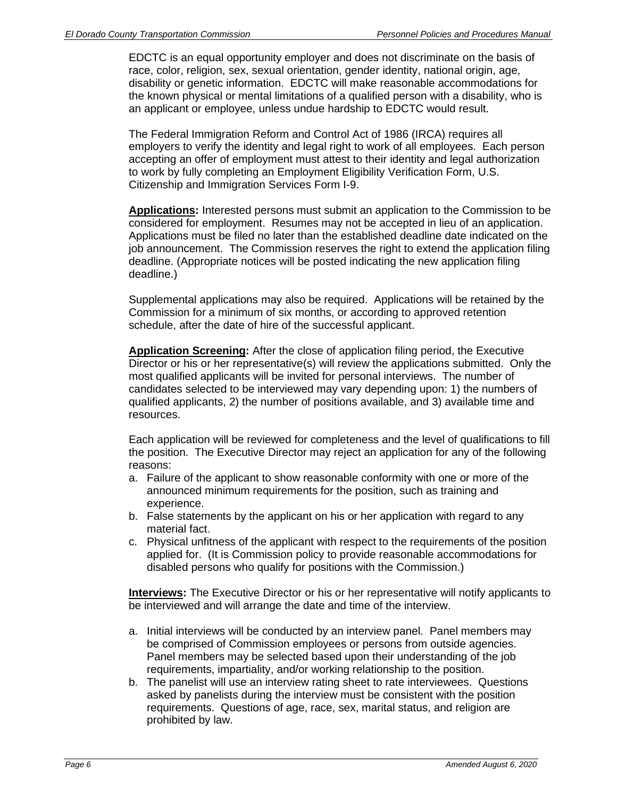EDCTC is an equal opportunity employer and does not discriminate on the basis of race, color, religion, sex, sexual orientation, gender identity, national origin, age, disability or genetic information. EDCTC will make reasonable accommodations for the known physical or mental limitations of a qualified person with a disability, who is an applicant or employee, unless undue hardship to EDCTC would result.

The Federal Immigration Reform and Control Act of 1986 (IRCA) requires all employers to verify the identity and legal right to work of all employees. Each person accepting an offer of employment must attest to their identity and legal authorization to work by fully completing an Employment Eligibility Verification Form, U.S. Citizenship and Immigration Services Form I-9.

**Applications:** Interested persons must submit an application to the Commission to be considered for employment. Resumes may not be accepted in lieu of an application. Applications must be filed no later than the established deadline date indicated on the job announcement. The Commission reserves the right to extend the application filing deadline. (Appropriate notices will be posted indicating the new application filing deadline.)

Supplemental applications may also be required. Applications will be retained by the Commission for a minimum of six months, or according to approved retention schedule, after the date of hire of the successful applicant.

**Application Screening:** After the close of application filing period, the Executive Director or his or her representative(s) will review the applications submitted. Only the most qualified applicants will be invited for personal interviews. The number of candidates selected to be interviewed may vary depending upon: 1) the numbers of qualified applicants, 2) the number of positions available, and 3) available time and resources.

Each application will be reviewed for completeness and the level of qualifications to fill the position. The Executive Director may reject an application for any of the following reasons:

- a. Failure of the applicant to show reasonable conformity with one or more of the announced minimum requirements for the position, such as training and experience.
- b. False statements by the applicant on his or her application with regard to any material fact.
- c. Physical unfitness of the applicant with respect to the requirements of the position applied for. (It is Commission policy to provide reasonable accommodations for disabled persons who qualify for positions with the Commission.)

**Interviews:** The Executive Director or his or her representative will notify applicants to be interviewed and will arrange the date and time of the interview.

- a. Initial interviews will be conducted by an interview panel. Panel members may be comprised of Commission employees or persons from outside agencies. Panel members may be selected based upon their understanding of the job requirements, impartiality, and/or working relationship to the position.
- b. The panelist will use an interview rating sheet to rate interviewees. Questions asked by panelists during the interview must be consistent with the position requirements. Questions of age, race, sex, marital status, and religion are prohibited by law.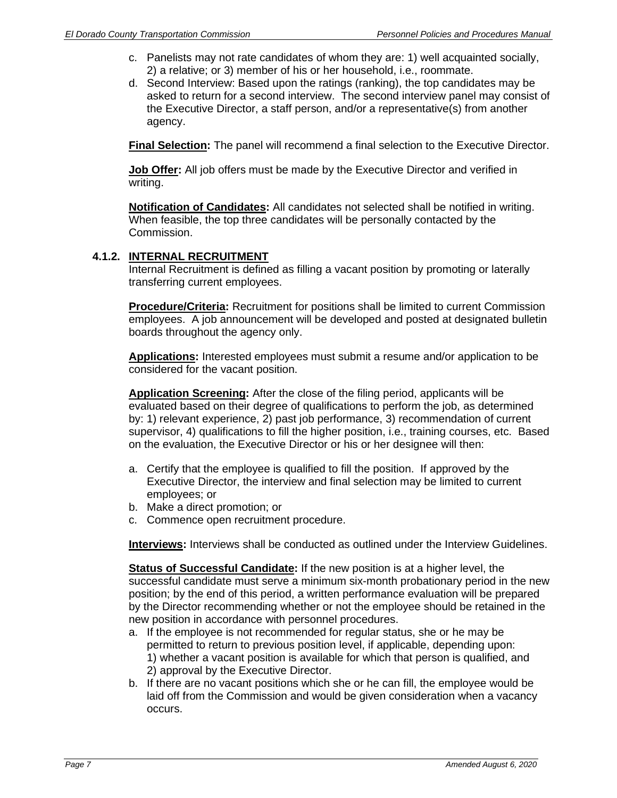- c. Panelists may not rate candidates of whom they are: 1) well acquainted socially, 2) a relative; or 3) member of his or her household, i.e., roommate.
- d. Second Interview: Based upon the ratings (ranking), the top candidates may be asked to return for a second interview. The second interview panel may consist of the Executive Director, a staff person, and/or a representative(s) from another agency.

**Final Selection:** The panel will recommend a final selection to the Executive Director.

**Job Offer:** All job offers must be made by the Executive Director and verified in writing.

**Notification of Candidates:** All candidates not selected shall be notified in writing. When feasible, the top three candidates will be personally contacted by the Commission.

## **4.1.2. INTERNAL RECRUITMENT**

 Internal Recruitment is defined as filling a vacant position by promoting or laterally transferring current employees.

**Procedure/Criteria:** Recruitment for positions shall be limited to current Commission employees. A job announcement will be developed and posted at designated bulletin boards throughout the agency only.

**Applications:** Interested employees must submit a resume and/or application to be considered for the vacant position.

**Application Screening:** After the close of the filing period, applicants will be evaluated based on their degree of qualifications to perform the job, as determined by: 1) relevant experience, 2) past job performance, 3) recommendation of current supervisor, 4) qualifications to fill the higher position, i.e., training courses, etc. Based on the evaluation, the Executive Director or his or her designee will then:

- a. Certify that the employee is qualified to fill the position. If approved by the Executive Director, the interview and final selection may be limited to current employees; or
- b. Make a direct promotion; or
- c. Commence open recruitment procedure.

**Interviews:** Interviews shall be conducted as outlined under the Interview Guidelines.

**Status of Successful Candidate:** If the new position is at a higher level, the successful candidate must serve a minimum six-month probationary period in the new position; by the end of this period, a written performance evaluation will be prepared by the Director recommending whether or not the employee should be retained in the new position in accordance with personnel procedures.

- a. If the employee is not recommended for regular status, she or he may be permitted to return to previous position level, if applicable, depending upon: 1) whether a vacant position is available for which that person is qualified, and 2) approval by the Executive Director.
- b. If there are no vacant positions which she or he can fill, the employee would be laid off from the Commission and would be given consideration when a vacancy occurs.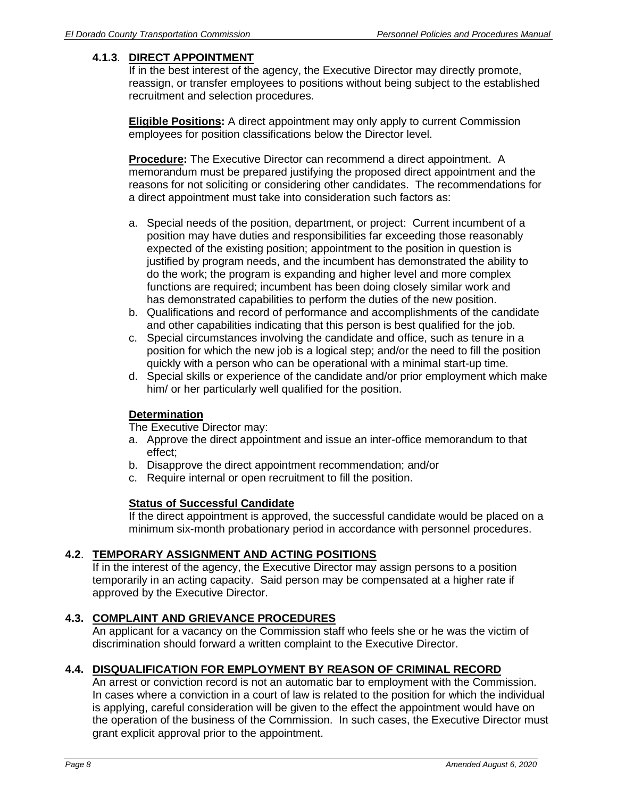# **4.1.3**. **DIRECT APPOINTMENT**

If in the best interest of the agency, the Executive Director may directly promote, reassign, or transfer employees to positions without being subject to the established recruitment and selection procedures.

**Eligible Positions:** A direct appointment may only apply to current Commission employees for position classifications below the Director level.

**Procedure:** The Executive Director can recommend a direct appointment. A memorandum must be prepared justifying the proposed direct appointment and the reasons for not soliciting or considering other candidates. The recommendations for a direct appointment must take into consideration such factors as:

- a. Special needs of the position, department, or project: Current incumbent of a position may have duties and responsibilities far exceeding those reasonably expected of the existing position; appointment to the position in question is justified by program needs, and the incumbent has demonstrated the ability to do the work; the program is expanding and higher level and more complex functions are required; incumbent has been doing closely similar work and has demonstrated capabilities to perform the duties of the new position.
- b. Qualifications and record of performance and accomplishments of the candidate and other capabilities indicating that this person is best qualified for the job.
- c. Special circumstances involving the candidate and office, such as tenure in a position for which the new job is a logical step; and/or the need to fill the position quickly with a person who can be operational with a minimal start-up time.
- d. Special skills or experience of the candidate and/or prior employment which make him/ or her particularly well qualified for the position.

## **Determination**

The Executive Director may:

- a. Approve the direct appointment and issue an inter-office memorandum to that effect;
- b. Disapprove the direct appointment recommendation; and/or
- c. Require internal or open recruitment to fill the position.

## **Status of Successful Candidate**

If the direct appointment is approved, the successful candidate would be placed on a minimum six-month probationary period in accordance with personnel procedures.

## **4.2**. **TEMPORARY ASSIGNMENT AND ACTING POSITIONS**

If in the interest of the agency, the Executive Director may assign persons to a position temporarily in an acting capacity. Said person may be compensated at a higher rate if approved by the Executive Director.

# **4.3. COMPLAINT AND GRIEVANCE PROCEDURES**

An applicant for a vacancy on the Commission staff who feels she or he was the victim of discrimination should forward a written complaint to the Executive Director.

## **4.4. DISQUALIFICATION FOR EMPLOYMENT BY REASON OF CRIMINAL RECORD**

An arrest or conviction record is not an automatic bar to employment with the Commission. In cases where a conviction in a court of law is related to the position for which the individual is applying, careful consideration will be given to the effect the appointment would have on the operation of the business of the Commission. In such cases, the Executive Director must grant explicit approval prior to the appointment.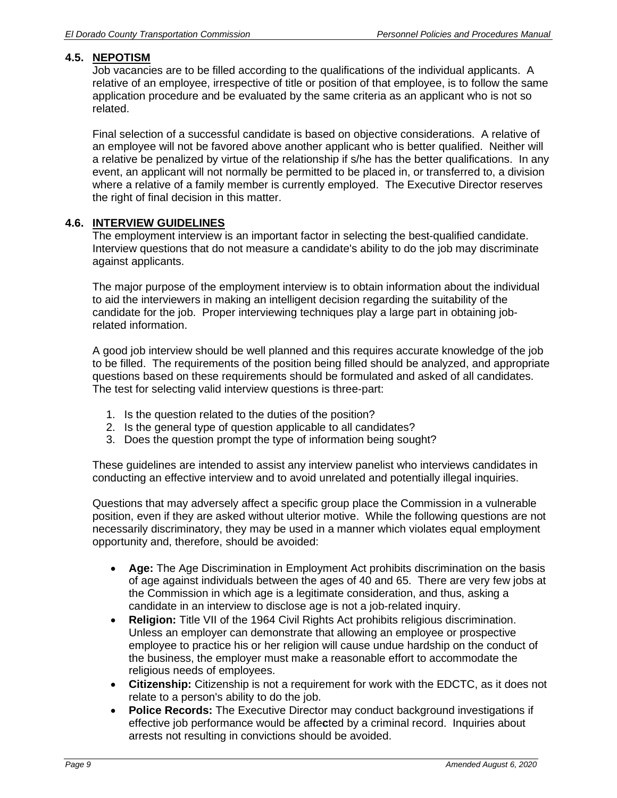### **4.5. NEPOTISM**

Job vacancies are to be filled according to the qualifications of the individual applicants. A relative of an employee, irrespective of title or position of that employee, is to follow the same application procedure and be evaluated by the same criteria as an applicant who is not so related.

Final selection of a successful candidate is based on objective considerations. A relative of an employee will not be favored above another applicant who is better qualified. Neither will a relative be penalized by virtue of the relationship if s/he has the better qualifications. In any event, an applicant will not normally be permitted to be placed in, or transferred to, a division where a relative of a family member is currently employed. The Executive Director reserves the right of final decision in this matter.

#### **4.6. INTERVIEW GUIDELINES**

The employment interview is an important factor in selecting the best-qualified candidate. Interview questions that do not measure a candidate's ability to do the job may discriminate against applicants.

The major purpose of the employment interview is to obtain information about the individual to aid the interviewers in making an intelligent decision regarding the suitability of the candidate for the job. Proper interviewing techniques play a large part in obtaining jobrelated information.

A good job interview should be well planned and this requires accurate knowledge of the job to be filled. The requirements of the position being filled should be analyzed, and appropriate questions based on these requirements should be formulated and asked of all candidates. The test for selecting valid interview questions is three-part:

- 1. Is the question related to the duties of the position?
- 2. Is the general type of question applicable to all candidates?
- 3. Does the question prompt the type of information being sought?

These guidelines are intended to assist any interview panelist who interviews candidates in conducting an effective interview and to avoid unrelated and potentially illegal inquiries.

Questions that may adversely affect a specific group place the Commission in a vulnerable position, even if they are asked without ulterior motive. While the following questions are not necessarily discriminatory, they may be used in a manner which violates equal employment opportunity and, therefore, should be avoided:

- **Age:** The Age Discrimination in Employment Act prohibits discrimination on the basis of age against individuals between the ages of 40 and 65. There are very few jobs at the Commission in which age is a legitimate consideration, and thus, asking a candidate in an interview to disclose age is not a job-related inquiry.
- **Religion:** Title VII of the 1964 Civil Rights Act prohibits religious discrimination. Unless an employer can demonstrate that allowing an employee or prospective employee to practice his or her religion will cause undue hardship on the conduct of the business, the employer must make a reasonable effort to accommodate the religious needs of employees.
- **Citizenship:** Citizenship is not a requirement for work with the EDCTC, as it does not relate to a person's ability to do the job.
- **Police Records:** The Executive Director may conduct background investigations if effective job performance would be affe**c**ted by a criminal record. Inquiries about arrests not resulting in convictions should be avoided.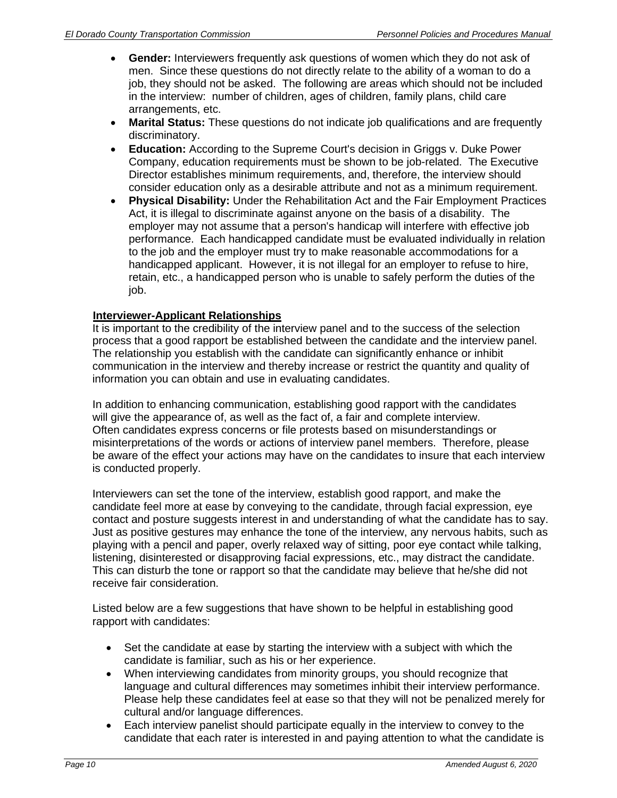- **Gender:** Interviewers frequently ask questions of women which they do not ask of men. Since these questions do not directly relate to the ability of a woman to do a job, they should not be asked. The following are areas which should not be included in the interview: number of children, ages of children, family plans, child care arrangements, etc.
- **Marital Status:** These questions do not indicate job qualifications and are frequently discriminatory.
- **Education:** According to the Supreme Court's decision in Griggs v. Duke Power Company, education requirements must be shown to be job-related. The Executive Director establishes minimum requirements, and, therefore, the interview should consider education only as a desirable attribute and not as a minimum requirement.
- **Physical Disability:** Under the Rehabilitation Act and the Fair Employment Practices Act, it is illegal to discriminate against anyone on the basis of a disability. The employer may not assume that a person's handicap will interfere with effective job performance. Each handicapped candidate must be evaluated individually in relation to the job and the employer must try to make reasonable accommodations for a handicapped applicant. However, it is not illegal for an employer to refuse to hire, retain, etc., a handicapped person who is unable to safely perform the duties of the job.

## **Interviewer-Applicant Relationships**

It is important to the credibility of the interview panel and to the success of the selection process that a good rapport be established between the candidate and the interview panel. The relationship you establish with the candidate can significantly enhance or inhibit communication in the interview and thereby increase or restrict the quantity and quality of information you can obtain and use in evaluating candidates.

In addition to enhancing communication, establishing good rapport with the candidates will give the appearance of, as well as the fact of, a fair and complete interview. Often candidates express concerns or file protests based on misunderstandings or misinterpretations of the words or actions of interview panel members. Therefore, please be aware of the effect your actions may have on the candidates to insure that each interview is conducted properly.

Interviewers can set the tone of the interview, establish good rapport, and make the candidate feel more at ease by conveying to the candidate, through facial expression, eye contact and posture suggests interest in and understanding of what the candidate has to say. Just as positive gestures may enhance the tone of the interview, any nervous habits, such as playing with a pencil and paper, overly relaxed way of sitting, poor eye contact while talking, listening, disinterested or disapproving facial expressions, etc., may distract the candidate. This can disturb the tone or rapport so that the candidate may believe that he/she did not receive fair consideration.

Listed below are a few suggestions that have shown to be helpful in establishing good rapport with candidates:

- Set the candidate at ease by starting the interview with a subject with which the candidate is familiar, such as his or her experience.
- When interviewing candidates from minority groups, you should recognize that language and cultural differences may sometimes inhibit their interview performance. Please help these candidates feel at ease so that they will not be penalized merely for cultural and/or language differences.
- Each interview panelist should participate equally in the interview to convey to the candidate that each rater is interested in and paying attention to what the candidate is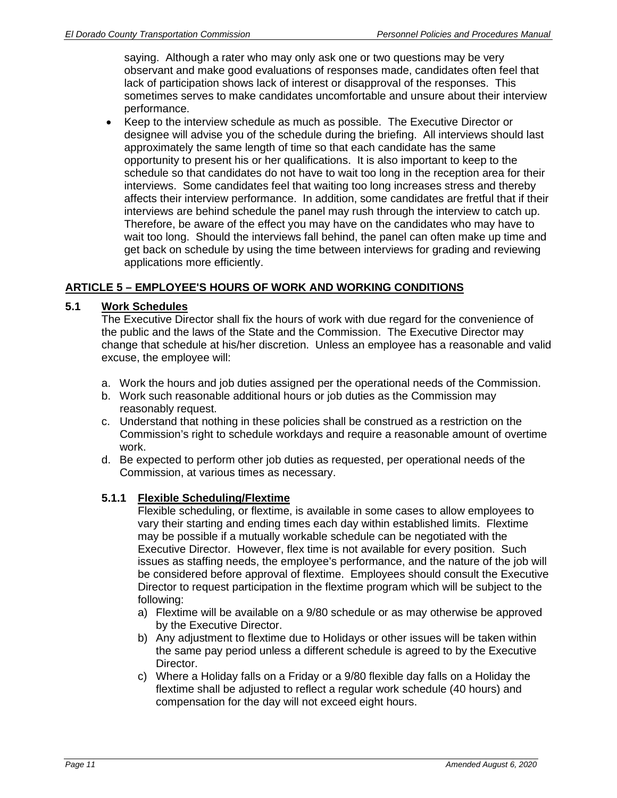saying. Although a rater who may only ask one or two questions may be very observant and make good evaluations of responses made, candidates often feel that lack of participation shows lack of interest or disapproval of the responses. This sometimes serves to make candidates uncomfortable and unsure about their interview performance.

 Keep to the interview schedule as much as possible. The Executive Director or designee will advise you of the schedule during the briefing. All interviews should last approximately the same length of time so that each candidate has the same opportunity to present his or her qualifications. It is also important to keep to the schedule so that candidates do not have to wait too long in the reception area for their interviews. Some candidates feel that waiting too long increases stress and thereby affects their interview performance. In addition, some candidates are fretful that if their interviews are behind schedule the panel may rush through the interview to catch up. Therefore, be aware of the effect you may have on the candidates who may have to wait too long. Should the interviews fall behind, the panel can often make up time and get back on schedule by using the time between interviews for grading and reviewing applications more efficiently.

## **ARTICLE 5 – EMPLOYEE'S HOURS OF WORK AND WORKING CONDITIONS**

## **5.1 Work Schedules**

The Executive Director shall fix the hours of work with due regard for the convenience of the public and the laws of the State and the Commission. The Executive Director may change that schedule at his/her discretion. Unless an employee has a reasonable and valid excuse, the employee will:

- a. Work the hours and job duties assigned per the operational needs of the Commission.
- b. Work such reasonable additional hours or job duties as the Commission may reasonably request.
- c. Understand that nothing in these policies shall be construed as a restriction on the Commission's right to schedule workdays and require a reasonable amount of overtime work.
- d. Be expected to perform other job duties as requested, per operational needs of the Commission, at various times as necessary.

## **5.1.1 Flexible Scheduling/Flextime**

Flexible scheduling, or flextime, is available in some cases to allow employees to vary their starting and ending times each day within established limits. Flextime may be possible if a mutually workable schedule can be negotiated with the Executive Director. However, flex time is not available for every position. Such issues as staffing needs, the employee's performance, and the nature of the job will be considered before approval of flextime. Employees should consult the Executive Director to request participation in the flextime program which will be subject to the following:

- a) Flextime will be available on a 9/80 schedule or as may otherwise be approved by the Executive Director.
- b) Any adjustment to flextime due to Holidays or other issues will be taken within the same pay period unless a different schedule is agreed to by the Executive Director.
- c) Where a Holiday falls on a Friday or a 9/80 flexible day falls on a Holiday the flextime shall be adjusted to reflect a regular work schedule (40 hours) and compensation for the day will not exceed eight hours.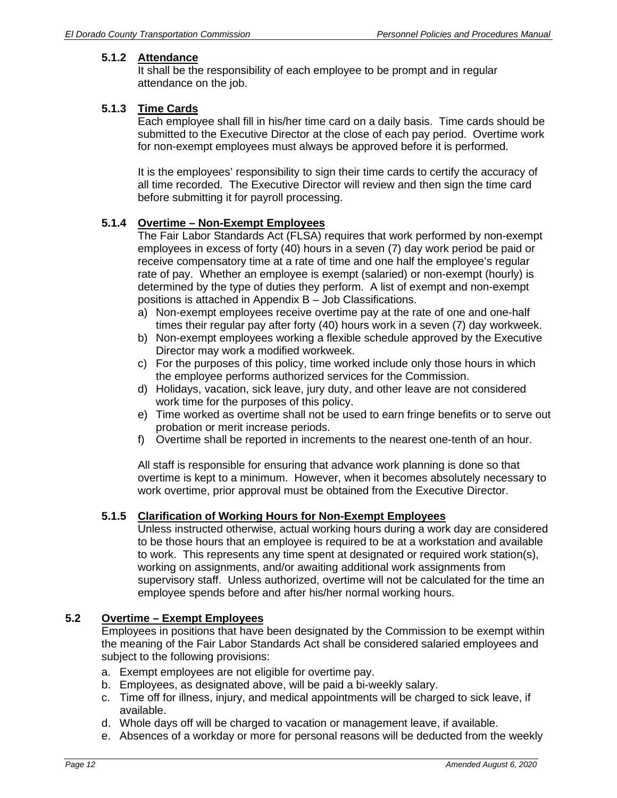# **5.1.2 Attendance**

It shall be the responsibility of each employee to be prompt and in regular attendance on the job.

## **5.1.3 Time Cards**

Each employee shall fill in his/her time card on a daily basis. Time cards should be submitted to the Executive Director at the close of each pay period. Overtime work for non-exempt employees must always be approved before it is performed.

It is the employees' responsibility to sign their time cards to certify the accuracy of all time recorded. The Executive Director will review and then sign the time card before submitting it for payroll processing.

## **5.1.4 Overtime – Non-Exempt Employees**

The Fair Labor Standards Act (FLSA) requires that work performed by non-exempt employees in excess of forty (40) hours in a seven (7) day work period be paid or receive compensatory time at a rate of time and one half the employee's regular rate of pay. Whether an employee is exempt (salaried) or non-exempt (hourly) is determined by the type of duties they perform. A list of exempt and non-exempt positions is attached in Appendix B – Job Classifications.

- a) Non-exempt employees receive overtime pay at the rate of one and one-half times their regular pay after forty (40) hours work in a seven (7) day workweek.
- b) Non-exempt employees working a flexible schedule approved by the Executive Director may work a modified workweek.
- c) For the purposes of this policy, time worked include only those hours in which the employee performs authorized services for the Commission.
- d) Holidays, vacation, sick leave, jury duty, and other leave are not considered work time for the purposes of this policy.
- e) Time worked as overtime shall not be used to earn fringe benefits or to serve out probation or merit increase periods.
- f) Overtime shall be reported in increments to the nearest one-tenth of an hour.

All staff is responsible for ensuring that advance work planning is done so that overtime is kept to a minimum. However, when it becomes absolutely necessary to work overtime, prior approval must be obtained from the Executive Director.

## **5.1.5 Clarification of Working Hours for Non-Exempt Employees**

Unless instructed otherwise, actual working hours during a work day are considered to be those hours that an employee is required to be at a workstation and available to work. This represents any time spent at designated or required work station(s), working on assignments, and/or awaiting additional work assignments from supervisory staff. Unless authorized, overtime will not be calculated for the time an employee spends before and after his/her normal working hours.

## **5.2 Overtime – Exempt Employees**

Employees in positions that have been designated by the Commission to be exempt within the meaning of the Fair Labor Standards Act shall be considered salaried employees and subject to the following provisions:

- a. Exempt employees are not eligible for overtime pay.
- b. Employees, as designated above, will be paid a bi-weekly salary.
- c. Time off for illness, injury, and medical appointments will be charged to sick leave, if available.
- d. Whole days off will be charged to vacation or management leave, if available.
- e. Absences of a workday or more for personal reasons will be deducted from the weekly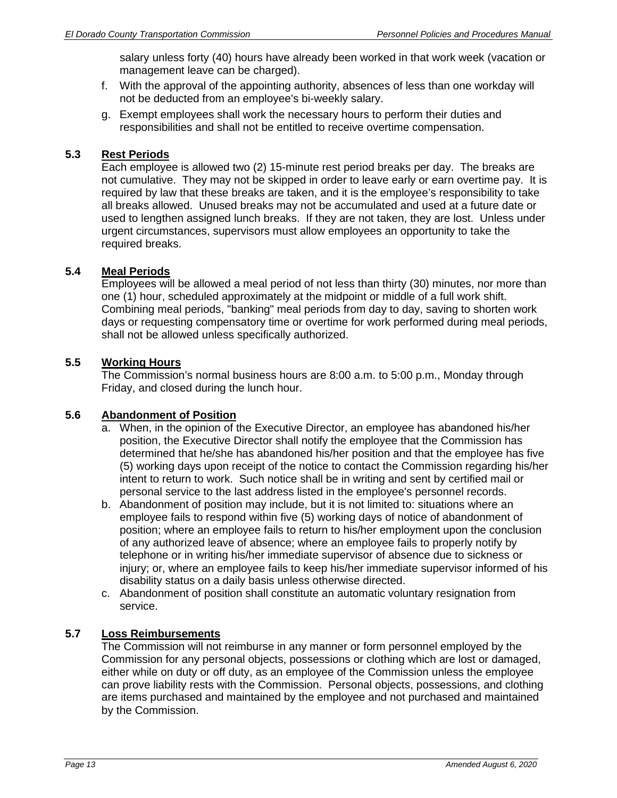salary unless forty (40) hours have already been worked in that work week (vacation or management leave can be charged).

- f. With the approval of the appointing authority, absences of less than one workday will not be deducted from an employee's bi-weekly salary.
- g. Exempt employees shall work the necessary hours to perform their duties and responsibilities and shall not be entitled to receive overtime compensation.

#### **5.3 Rest Periods**

Each employee is allowed two (2) 15-minute rest period breaks per day. The breaks are not cumulative. They may not be skipped in order to leave early or earn overtime pay. It is required by law that these breaks are taken, and it is the employee's responsibility to take all breaks allowed. Unused breaks may not be accumulated and used at a future date or used to lengthen assigned lunch breaks. If they are not taken, they are lost. Unless under urgent circumstances, supervisors must allow employees an opportunity to take the required breaks.

## **5.4 Meal Periods**

Employees will be allowed a meal period of not less than thirty (30) minutes, nor more than one (1) hour, scheduled approximately at the midpoint or middle of a full work shift. Combining meal periods, "banking" meal periods from day to day, saving to shorten work days or requesting compensatory time or overtime for work performed during meal periods, shall not be allowed unless specifically authorized.

## **5.5 Working Hours**

The Commission's normal business hours are 8:00 a.m. to 5:00 p.m., Monday through Friday, and closed during the lunch hour.

## **5.6 Abandonment of Position**

- a. When, in the opinion of the Executive Director, an employee has abandoned his/her position, the Executive Director shall notify the employee that the Commission has determined that he/she has abandoned his/her position and that the employee has five (5) working days upon receipt of the notice to contact the Commission regarding his/her intent to return to work. Such notice shall be in writing and sent by certified mail or personal service to the last address listed in the employee's personnel records.
- b. Abandonment of position may include, but it is not limited to: situations where an employee fails to respond within five (5) working days of notice of abandonment of position; where an employee fails to return to his/her employment upon the conclusion of any authorized leave of absence; where an employee fails to properly notify by telephone or in writing his/her immediate supervisor of absence due to sickness or injury; or, where an employee fails to keep his/her immediate supervisor informed of his disability status on a daily basis unless otherwise directed.
- c. Abandonment of position shall constitute an automatic voluntary resignation from service.

# **5.7 Loss Reimbursements**

The Commission will not reimburse in any manner or form personnel employed by the Commission for any personal objects, possessions or clothing which are lost or damaged, either while on duty or off duty, as an employee of the Commission unless the employee can prove liability rests with the Commission. Personal objects, possessions, and clothing are items purchased and maintained by the employee and not purchased and maintained by the Commission.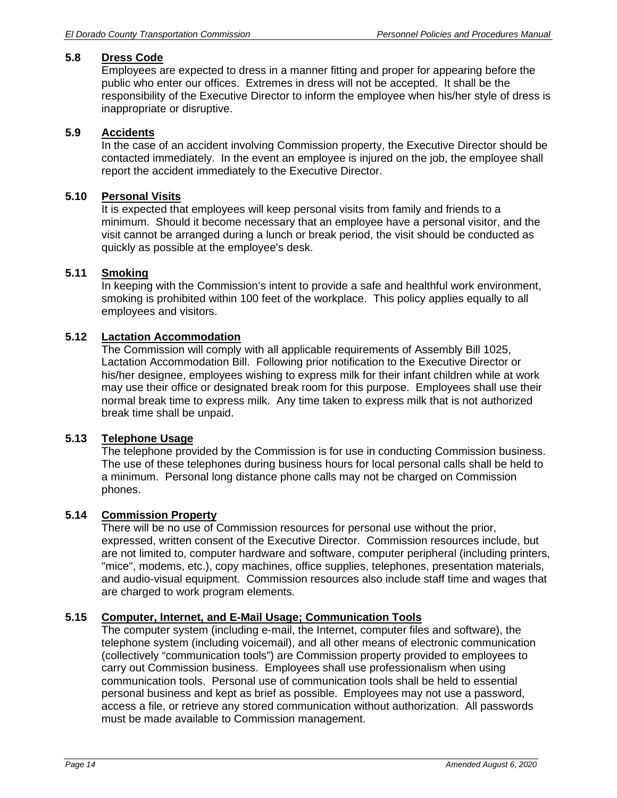## **5.8 Dress Code**

Employees are expected to dress in a manner fitting and proper for appearing before the public who enter our offices. Extremes in dress will not be accepted. It shall be the responsibility of the Executive Director to inform the employee when his/her style of dress is inappropriate or disruptive.

## **5.9 Accidents**

In the case of an accident involving Commission property, the Executive Director should be contacted immediately. In the event an employee is injured on the job, the employee shall report the accident immediately to the Executive Director.

# **5.10 Personal Visits**

 It is expected that employees will keep personal visits from family and friends to a minimum. Should it become necessary that an employee have a personal visitor, and the visit cannot be arranged during a lunch or break period, the visit should be conducted as quickly as possible at the employee's desk.

## **5.11 Smoking**

In keeping with the Commission's intent to provide a safe and healthful work environment, smoking is prohibited within 100 feet of the workplace. This policy applies equally to all employees and visitors.

#### **5.12 Lactation Accommodation**

The Commission will comply with all applicable requirements of Assembly Bill 1025, Lactation Accommodation Bill. Following prior notification to the Executive Director or his/her designee, employees wishing to express milk for their infant children while at work may use their office or designated break room for this purpose. Employees shall use their normal break time to express milk. Any time taken to express milk that is not authorized break time shall be unpaid.

#### **5.13 Telephone Usage**

The telephone provided by the Commission is for use in conducting Commission business. The use of these telephones during business hours for local personal calls shall be held to a minimum. Personal long distance phone calls may not be charged on Commission phones.

## **5.14 Commission Property**

There will be no use of Commission resources for personal use without the prior, expressed, written consent of the Executive Director. Commission resources include, but are not limited to, computer hardware and software, computer peripheral (including printers, "mice", modems, etc.), copy machines, office supplies, telephones, presentation materials, and audio-visual equipment. Commission resources also include staff time and wages that are charged to work program elements*.*

## **5.15 Computer, Internet, and E-Mail Usage; Communication Tools**

The computer system (including e-mail, the Internet, computer files and software), the telephone system (including voicemail), and all other means of electronic communication (collectively "communication tools") are Commission property provided to employees to carry out Commission business. Employees shall use professionalism when using communication tools. Personal use of communication tools shall be held to essential personal business and kept as brief as possible. Employees may not use a password, access a file, or retrieve any stored communication without authorization. All passwords must be made available to Commission management.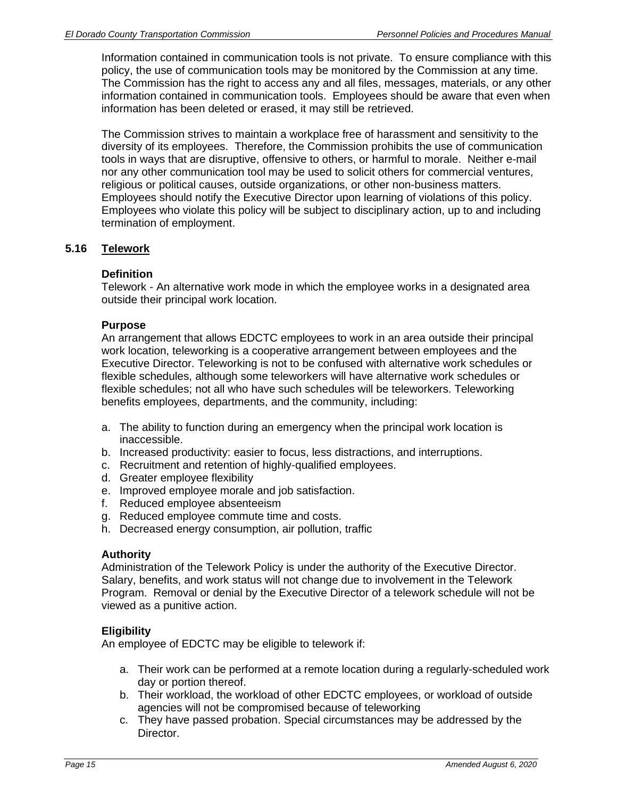Information contained in communication tools is not private. To ensure compliance with this policy, the use of communication tools may be monitored by the Commission at any time. The Commission has the right to access any and all files, messages, materials, or any other information contained in communication tools. Employees should be aware that even when information has been deleted or erased, it may still be retrieved.

The Commission strives to maintain a workplace free of harassment and sensitivity to the diversity of its employees. Therefore, the Commission prohibits the use of communication tools in ways that are disruptive, offensive to others, or harmful to morale. Neither e-mail nor any other communication tool may be used to solicit others for commercial ventures, religious or political causes, outside organizations, or other non-business matters. Employees should notify the Executive Director upon learning of violations of this policy. Employees who violate this policy will be subject to disciplinary action, up to and including termination of employment.

## **5.16 Telework**

#### **Definition**

Telework - An alternative work mode in which the employee works in a designated area outside their principal work location.

#### **Purpose**

An arrangement that allows EDCTC employees to work in an area outside their principal work location, teleworking is a cooperative arrangement between employees and the Executive Director. Teleworking is not to be confused with alternative work schedules or flexible schedules, although some teleworkers will have alternative work schedules or flexible schedules; not all who have such schedules will be teleworkers. Teleworking benefits employees, departments, and the community, including:

- a. The ability to function during an emergency when the principal work location is inaccessible.
- b. Increased productivity: easier to focus, less distractions, and interruptions.
- c. Recruitment and retention of highly-qualified employees.
- d. Greater employee flexibility
- e. Improved employee morale and job satisfaction.
- f. Reduced employee absenteeism
- g. Reduced employee commute time and costs.
- h. Decreased energy consumption, air pollution, traffic

#### **Authority**

Administration of the Telework Policy is under the authority of the Executive Director. Salary, benefits, and work status will not change due to involvement in the Telework Program. Removal or denial by the Executive Director of a telework schedule will not be viewed as a punitive action.

## **Eligibility**

An employee of EDCTC may be eligible to telework if:

- a. Their work can be performed at a remote location during a regularly-scheduled work day or portion thereof.
- b. Their workload, the workload of other EDCTC employees, or workload of outside agencies will not be compromised because of teleworking
- c. They have passed probation. Special circumstances may be addressed by the Director.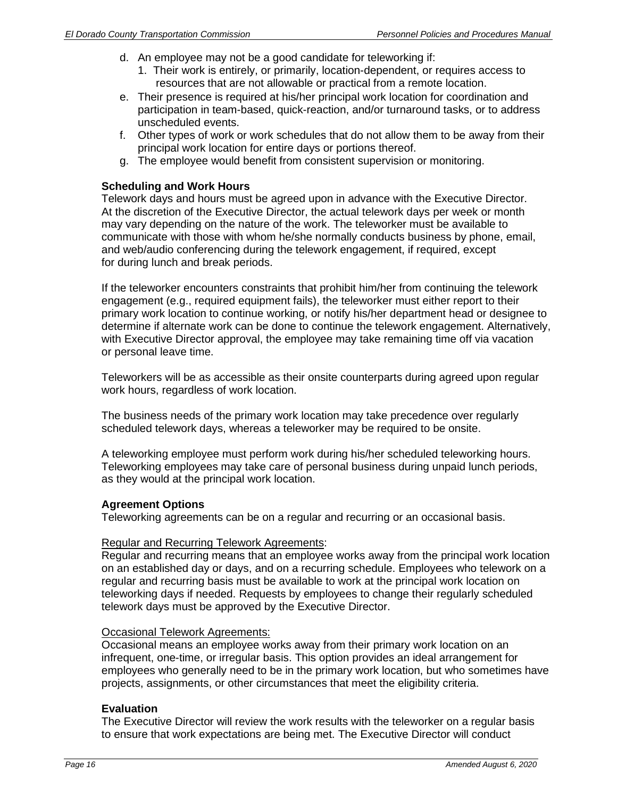- d. An employee may not be a good candidate for teleworking if:
	- 1. Their work is entirely, or primarily, location-dependent, or requires access to resources that are not allowable or practical from a remote location.
- e. Their presence is required at his/her principal work location for coordination and participation in team-based, quick-reaction, and/or turnaround tasks, or to address unscheduled events.
- f. Other types of work or work schedules that do not allow them to be away from their principal work location for entire days or portions thereof.
- g. The employee would benefit from consistent supervision or monitoring.

#### **Scheduling and Work Hours**

Telework days and hours must be agreed upon in advance with the Executive Director. At the discretion of the Executive Director, the actual telework days per week or month may vary depending on the nature of the work. The teleworker must be available to communicate with those with whom he/she normally conducts business by phone, email, and web/audio conferencing during the telework engagement, if required, except for during lunch and break periods.

If the teleworker encounters constraints that prohibit him/her from continuing the telework engagement (e.g., required equipment fails), the teleworker must either report to their primary work location to continue working, or notify his/her department head or designee to determine if alternate work can be done to continue the telework engagement. Alternatively, with Executive Director approval, the employee may take remaining time off via vacation or personal leave time.

Teleworkers will be as accessible as their onsite counterparts during agreed upon regular work hours, regardless of work location.

The business needs of the primary work location may take precedence over regularly scheduled telework days, whereas a teleworker may be required to be onsite.

A teleworking employee must perform work during his/her scheduled teleworking hours. Teleworking employees may take care of personal business during unpaid lunch periods, as they would at the principal work location.

#### **Agreement Options**

Teleworking agreements can be on a regular and recurring or an occasional basis.

#### Regular and Recurring Telework Agreements:

Regular and recurring means that an employee works away from the principal work location on an established day or days, and on a recurring schedule. Employees who telework on a regular and recurring basis must be available to work at the principal work location on teleworking days if needed. Requests by employees to change their regularly scheduled telework days must be approved by the Executive Director.

## **Occasional Telework Agreements:**

Occasional means an employee works away from their primary work location on an infrequent, one-time, or irregular basis. This option provides an ideal arrangement for employees who generally need to be in the primary work location, but who sometimes have projects, assignments, or other circumstances that meet the eligibility criteria.

#### **Evaluation**

The Executive Director will review the work results with the teleworker on a regular basis to ensure that work expectations are being met. The Executive Director will conduct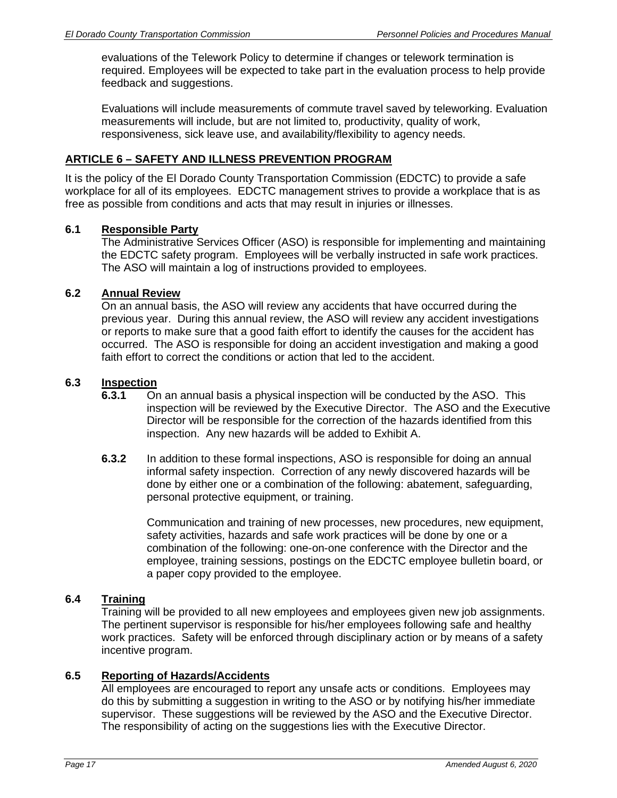evaluations of the Telework Policy to determine if changes or telework termination is required. Employees will be expected to take part in the evaluation process to help provide feedback and suggestions.

Evaluations will include measurements of commute travel saved by teleworking. Evaluation measurements will include, but are not limited to, productivity, quality of work, responsiveness, sick leave use, and availability/flexibility to agency needs.

## **ARTICLE 6 – SAFETY AND ILLNESS PREVENTION PROGRAM**

It is the policy of the El Dorado County Transportation Commission (EDCTC) to provide a safe workplace for all of its employees. EDCTC management strives to provide a workplace that is as free as possible from conditions and acts that may result in injuries or illnesses.

## **6.1 Responsible Party**

The Administrative Services Officer (ASO) is responsible for implementing and maintaining the EDCTC safety program. Employees will be verbally instructed in safe work practices. The ASO will maintain a log of instructions provided to employees.

## **6.2 Annual Review**

On an annual basis, the ASO will review any accidents that have occurred during the previous year. During this annual review, the ASO will review any accident investigations or reports to make sure that a good faith effort to identify the causes for the accident has occurred. The ASO is responsible for doing an accident investigation and making a good faith effort to correct the conditions or action that led to the accident.

#### **6.3 Inspection**

- **6.3.1** On an annual basis a physical inspection will be conducted by the ASO. This inspection will be reviewed by the Executive Director. The ASO and the Executive Director will be responsible for the correction of the hazards identified from this inspection. Any new hazards will be added to Exhibit A.
- **6.3.2** In addition to these formal inspections, ASO is responsible for doing an annual informal safety inspection. Correction of any newly discovered hazards will be done by either one or a combination of the following: abatement, safeguarding, personal protective equipment, or training.

Communication and training of new processes, new procedures, new equipment, safety activities, hazards and safe work practices will be done by one or a combination of the following: one-on-one conference with the Director and the employee, training sessions, postings on the EDCTC employee bulletin board, or a paper copy provided to the employee.

## **6.4 Training**

Training will be provided to all new employees and employees given new job assignments. The pertinent supervisor is responsible for his/her employees following safe and healthy work practices. Safety will be enforced through disciplinary action or by means of a safety incentive program.

## **6.5 Reporting of Hazards/Accidents**

All employees are encouraged to report any unsafe acts or conditions. Employees may do this by submitting a suggestion in writing to the ASO or by notifying his/her immediate supervisor. These suggestions will be reviewed by the ASO and the Executive Director. The responsibility of acting on the suggestions lies with the Executive Director.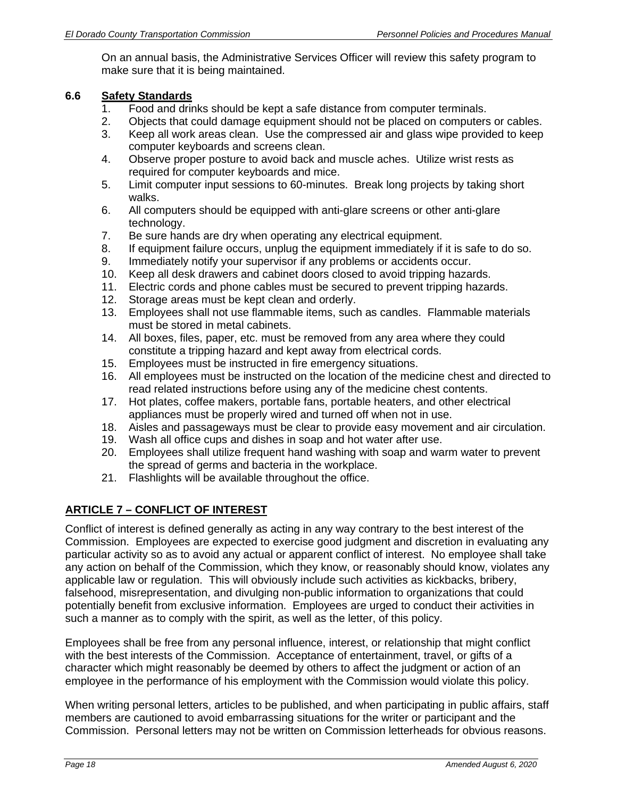On an annual basis, the Administrative Services Officer will review this safety program to make sure that it is being maintained.

## **6.6 Safety Standards**

- 1. Food and drinks should be kept a safe distance from computer terminals.
- 2. Objects that could damage equipment should not be placed on computers or cables.
- 3. Keep all work areas clean. Use the compressed air and glass wipe provided to keep computer keyboards and screens clean.
- 4. Observe proper posture to avoid back and muscle aches. Utilize wrist rests as required for computer keyboards and mice.
- 5. Limit computer input sessions to 60-minutes. Break long projects by taking short walks.
- 6. All computers should be equipped with anti-glare screens or other anti-glare technology.
- 7. Be sure hands are dry when operating any electrical equipment.
- 8. If equipment failure occurs, unplug the equipment immediately if it is safe to do so.
- 9. Immediately notify your supervisor if any problems or accidents occur.
- 10. Keep all desk drawers and cabinet doors closed to avoid tripping hazards.
- 11. Electric cords and phone cables must be secured to prevent tripping hazards.
- 12. Storage areas must be kept clean and orderly.
- 13. Employees shall not use flammable items, such as candles. Flammable materials must be stored in metal cabinets.
- 14. All boxes, files, paper, etc. must be removed from any area where they could constitute a tripping hazard and kept away from electrical cords.
- 15. Employees must be instructed in fire emergency situations.
- 16. All employees must be instructed on the location of the medicine chest and directed to read related instructions before using any of the medicine chest contents.
- 17. Hot plates, coffee makers, portable fans, portable heaters, and other electrical appliances must be properly wired and turned off when not in use.
- 18. Aisles and passageways must be clear to provide easy movement and air circulation.
- 19. Wash all office cups and dishes in soap and hot water after use.
- 20. Employees shall utilize frequent hand washing with soap and warm water to prevent the spread of germs and bacteria in the workplace.
- 21. Flashlights will be available throughout the office.

# **ARTICLE 7 – CONFLICT OF INTEREST**

Conflict of interest is defined generally as acting in any way contrary to the best interest of the Commission. Employees are expected to exercise good judgment and discretion in evaluating any particular activity so as to avoid any actual or apparent conflict of interest. No employee shall take any action on behalf of the Commission, which they know, or reasonably should know, violates any applicable law or regulation. This will obviously include such activities as kickbacks, bribery, falsehood, misrepresentation, and divulging non-public information to organizations that could potentially benefit from exclusive information. Employees are urged to conduct their activities in such a manner as to comply with the spirit, as well as the letter, of this policy.

Employees shall be free from any personal influence, interest, or relationship that might conflict with the best interests of the Commission. Acceptance of entertainment, travel, or gifts of a character which might reasonably be deemed by others to affect the judgment or action of an employee in the performance of his employment with the Commission would violate this policy.

When writing personal letters, articles to be published, and when participating in public affairs, staff members are cautioned to avoid embarrassing situations for the writer or participant and the Commission. Personal letters may not be written on Commission letterheads for obvious reasons.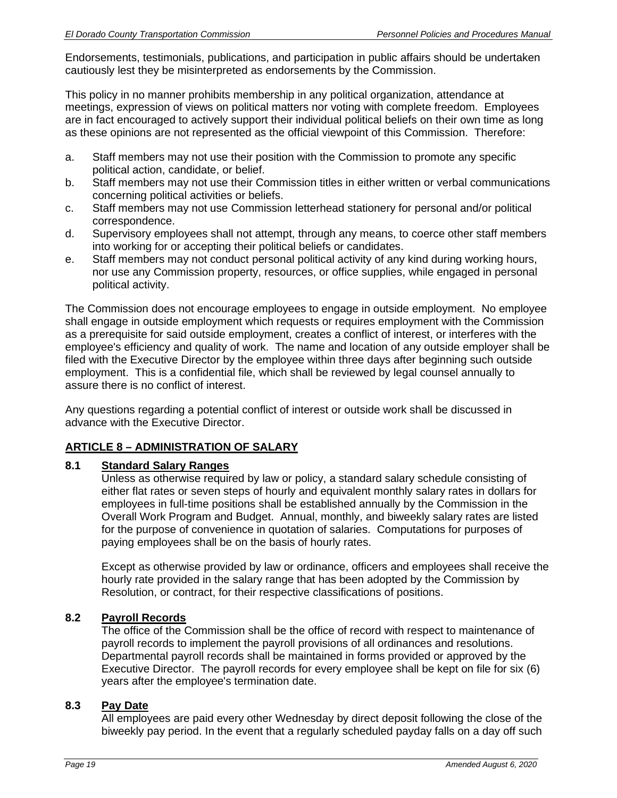Endorsements, testimonials, publications, and participation in public affairs should be undertaken cautiously lest they be misinterpreted as endorsements by the Commission.

This policy in no manner prohibits membership in any political organization, attendance at meetings, expression of views on political matters nor voting with complete freedom. Employees are in fact encouraged to actively support their individual political beliefs on their own time as long as these opinions are not represented as the official viewpoint of this Commission. Therefore:

- a. Staff members may not use their position with the Commission to promote any specific political action, candidate, or belief.
- b. Staff members may not use their Commission titles in either written or verbal communications concerning political activities or beliefs.
- c. Staff members may not use Commission letterhead stationery for personal and/or political correspondence.
- d. Supervisory employees shall not attempt, through any means, to coerce other staff members into working for or accepting their political beliefs or candidates.
- e. Staff members may not conduct personal political activity of any kind during working hours, nor use any Commission property, resources, or office supplies, while engaged in personal political activity.

The Commission does not encourage employees to engage in outside employment. No employee shall engage in outside employment which requests or requires employment with the Commission as a prerequisite for said outside employment, creates a conflict of interest, or interferes with the employee's efficiency and quality of work. The name and location of any outside employer shall be filed with the Executive Director by the employee within three days after beginning such outside employment. This is a confidential file, which shall be reviewed by legal counsel annually to assure there is no conflict of interest.

Any questions regarding a potential conflict of interest or outside work shall be discussed in advance with the Executive Director.

# **ARTICLE 8 – ADMINISTRATION OF SALARY**

## **8.1 Standard Salary Ranges**

Unless as otherwise required by law or policy, a standard salary schedule consisting of either flat rates or seven steps of hourly and equivalent monthly salary rates in dollars for employees in full-time positions shall be established annually by the Commission in the Overall Work Program and Budget. Annual, monthly, and biweekly salary rates are listed for the purpose of convenience in quotation of salaries. Computations for purposes of paying employees shall be on the basis of hourly rates.

Except as otherwise provided by law or ordinance, officers and employees shall receive the hourly rate provided in the salary range that has been adopted by the Commission by Resolution, or contract, for their respective classifications of positions.

## **8.2 Payroll Records**

The office of the Commission shall be the office of record with respect to maintenance of payroll records to implement the payroll provisions of all ordinances and resolutions. Departmental payroll records shall be maintained in forms provided or approved by the Executive Director. The payroll records for every employee shall be kept on file for six (6) years after the employee's termination date.

## **8.3 Pay Date**

All employees are paid every other Wednesday by direct deposit following the close of the biweekly pay period. In the event that a regularly scheduled payday falls on a day off such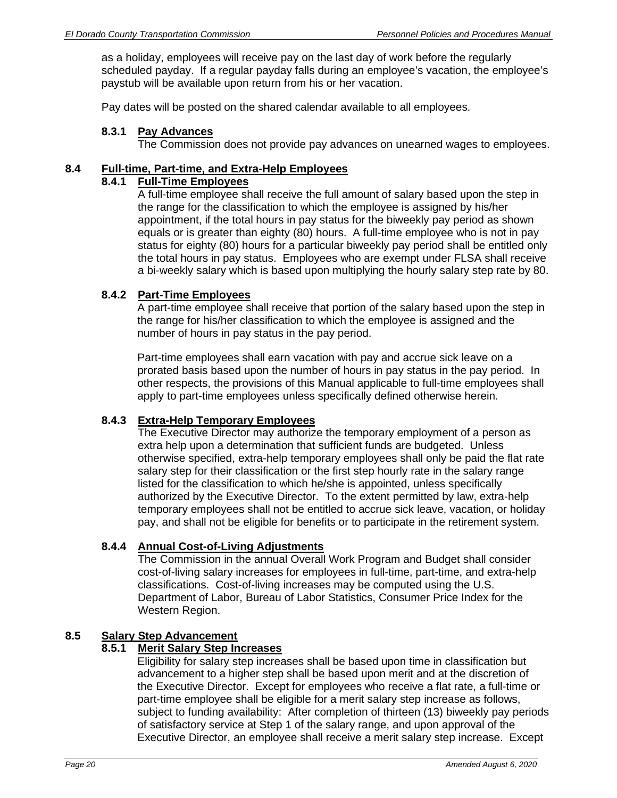as a holiday, employees will receive pay on the last day of work before the regularly scheduled payday. If a regular payday falls during an employee's vacation, the employee's paystub will be available upon return from his or her vacation.

Pay dates will be posted on the shared calendar available to all employees.

#### **8.3.1 Pay Advances**

The Commission does not provide pay advances on unearned wages to employees.

### **8.4 Full-time, Part-time, and Extra-Help Employees**

# **8.4.1 Full-Time Employees**

A full-time employee shall receive the full amount of salary based upon the step in the range for the classification to which the employee is assigned by his/her appointment, if the total hours in pay status for the biweekly pay period as shown equals or is greater than eighty (80) hours. A full-time employee who is not in pay status for eighty (80) hours for a particular biweekly pay period shall be entitled only the total hours in pay status. Employees who are exempt under FLSA shall receive a bi-weekly salary which is based upon multiplying the hourly salary step rate by 80.

#### **8.4.2 Part-Time Employees**

A part-time employee shall receive that portion of the salary based upon the step in the range for his/her classification to which the employee is assigned and the number of hours in pay status in the pay period.

Part-time employees shall earn vacation with pay and accrue sick leave on a prorated basis based upon the number of hours in pay status in the pay period. In other respects, the provisions of this Manual applicable to full-time employees shall apply to part-time employees unless specifically defined otherwise herein.

## **8.4.3 Extra-Help Temporary Employees**

The Executive Director may authorize the temporary employment of a person as extra help upon a determination that sufficient funds are budgeted. Unless otherwise specified, extra-help temporary employees shall only be paid the flat rate salary step for their classification or the first step hourly rate in the salary range listed for the classification to which he/she is appointed, unless specifically authorized by the Executive Director. To the extent permitted by law, extra-help temporary employees shall not be entitled to accrue sick leave, vacation, or holiday pay, and shall not be eligible for benefits or to participate in the retirement system.

## **8.4.4 Annual Cost-of-Living Adjustments**

The Commission in the annual Overall Work Program and Budget shall consider cost-of-living salary increases for employees in full-time, part-time, and extra-help classifications. Cost-of-living increases may be computed using the U.S. Department of Labor, Bureau of Labor Statistics, Consumer Price Index for the Western Region.

## **8.5 Salary Step Advancement**

#### **8.5.1 Merit Salary Step Increases**

Eligibility for salary step increases shall be based upon time in classification but advancement to a higher step shall be based upon merit and at the discretion of the Executive Director. Except for employees who receive a flat rate, a full-time or part-time employee shall be eligible for a merit salary step increase as follows, subject to funding availability: After completion of thirteen (13) biweekly pay periods of satisfactory service at Step 1 of the salary range, and upon approval of the Executive Director, an employee shall receive a merit salary step increase. Except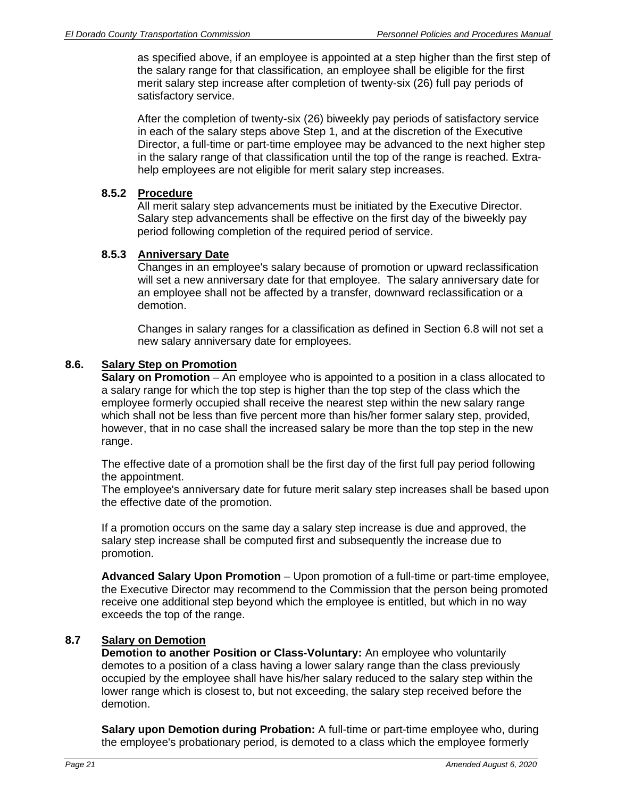as specified above, if an employee is appointed at a step higher than the first step of the salary range for that classification, an employee shall be eligible for the first merit salary step increase after completion of twenty-six (26) full pay periods of satisfactory service.

After the completion of twenty-six (26) biweekly pay periods of satisfactory service in each of the salary steps above Step 1, and at the discretion of the Executive Director, a full-time or part-time employee may be advanced to the next higher step in the salary range of that classification until the top of the range is reached. Extrahelp employees are not eligible for merit salary step increases.

#### **8.5.2 Procedure**

All merit salary step advancements must be initiated by the Executive Director. Salary step advancements shall be effective on the first day of the biweekly pay period following completion of the required period of service.

## **8.5.3 Anniversary Date**

Changes in an employee's salary because of promotion or upward reclassification will set a new anniversary date for that employee. The salary anniversary date for an employee shall not be affected by a transfer, downward reclassification or a demotion.

Changes in salary ranges for a classification as defined in Section 6.8 will not set a new salary anniversary date for employees.

## **8.6. Salary Step on Promotion**

**Salary on Promotion** – An employee who is appointed to a position in a class allocated to a salary range for which the top step is higher than the top step of the class which the employee formerly occupied shall receive the nearest step within the new salary range which shall not be less than five percent more than his/her former salary step, provided, however, that in no case shall the increased salary be more than the top step in the new range.

The effective date of a promotion shall be the first day of the first full pay period following the appointment.

The employee's anniversary date for future merit salary step increases shall be based upon the effective date of the promotion.

If a promotion occurs on the same day a salary step increase is due and approved, the salary step increase shall be computed first and subsequently the increase due to promotion.

**Advanced Salary Upon Promotion** – Upon promotion of a full-time or part-time employee, the Executive Director may recommend to the Commission that the person being promoted receive one additional step beyond which the employee is entitled, but which in no way exceeds the top of the range.

## **8.7 Salary on Demotion**

**Demotion to another Position or Class-Voluntary:** An employee who voluntarily demotes to a position of a class having a lower salary range than the class previously occupied by the employee shall have his/her salary reduced to the salary step within the lower range which is closest to, but not exceeding, the salary step received before the demotion.

**Salary upon Demotion during Probation:** A full-time or part-time employee who, during the employee's probationary period, is demoted to a class which the employee formerly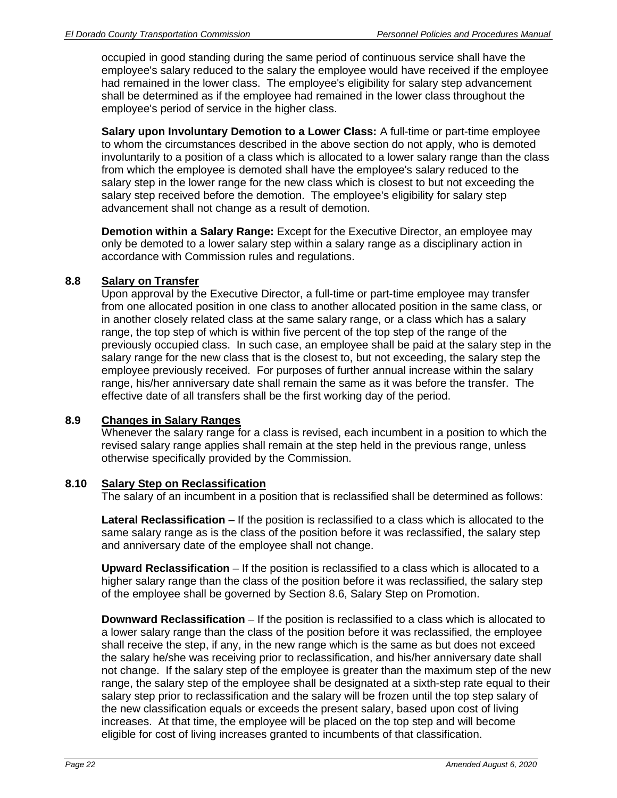occupied in good standing during the same period of continuous service shall have the employee's salary reduced to the salary the employee would have received if the employee had remained in the lower class. The employee's eligibility for salary step advancement shall be determined as if the employee had remained in the lower class throughout the employee's period of service in the higher class.

**Salary upon Involuntary Demotion to a Lower Class:** A full-time or part-time employee to whom the circumstances described in the above section do not apply, who is demoted involuntarily to a position of a class which is allocated to a lower salary range than the class from which the employee is demoted shall have the employee's salary reduced to the salary step in the lower range for the new class which is closest to but not exceeding the salary step received before the demotion. The employee's eligibility for salary step advancement shall not change as a result of demotion.

**Demotion within a Salary Range:** Except for the Executive Director, an employee may only be demoted to a lower salary step within a salary range as a disciplinary action in accordance with Commission rules and regulations.

## **8.8 Salary on Transfer**

Upon approval by the Executive Director, a full-time or part-time employee may transfer from one allocated position in one class to another allocated position in the same class, or in another closely related class at the same salary range, or a class which has a salary range, the top step of which is within five percent of the top step of the range of the previously occupied class. In such case, an employee shall be paid at the salary step in the salary range for the new class that is the closest to, but not exceeding, the salary step the employee previously received. For purposes of further annual increase within the salary range, his/her anniversary date shall remain the same as it was before the transfer. The effective date of all transfers shall be the first working day of the period.

# **8.9 Changes in Salary Ranges**

Whenever the salary range for a class is revised, each incumbent in a position to which the revised salary range applies shall remain at the step held in the previous range, unless otherwise specifically provided by the Commission.

#### **8.10 Salary Step on Reclassification**

The salary of an incumbent in a position that is reclassified shall be determined as follows:

**Lateral Reclassification** – If the position is reclassified to a class which is allocated to the same salary range as is the class of the position before it was reclassified, the salary step and anniversary date of the employee shall not change.

**Upward Reclassification** – If the position is reclassified to a class which is allocated to a higher salary range than the class of the position before it was reclassified, the salary step of the employee shall be governed by Section 8.6, Salary Step on Promotion.

**Downward Reclassification** – If the position is reclassified to a class which is allocated to a lower salary range than the class of the position before it was reclassified, the employee shall receive the step, if any, in the new range which is the same as but does not exceed the salary he/she was receiving prior to reclassification, and his/her anniversary date shall not change. If the salary step of the employee is greater than the maximum step of the new range, the salary step of the employee shall be designated at a sixth-step rate equal to their salary step prior to reclassification and the salary will be frozen until the top step salary of the new classification equals or exceeds the present salary, based upon cost of living increases. At that time, the employee will be placed on the top step and will become eligible for cost of living increases granted to incumbents of that classification.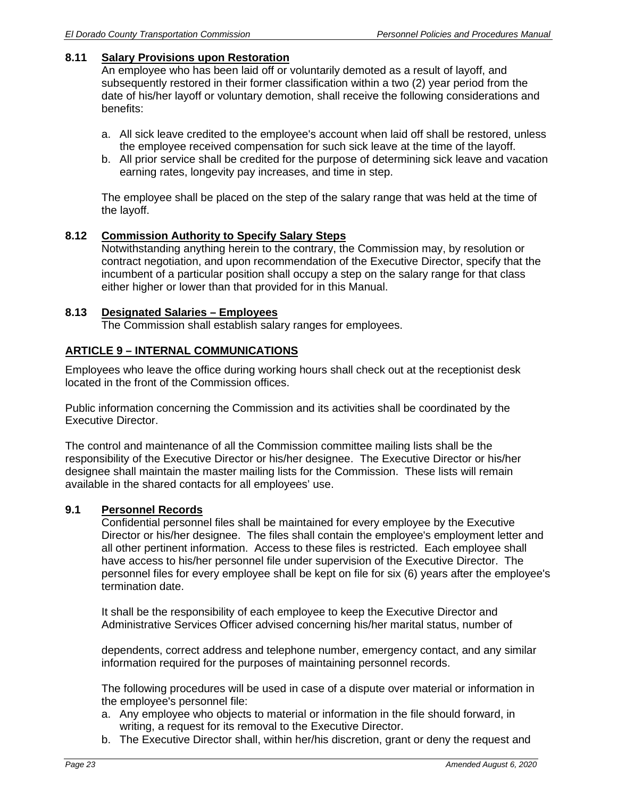### **8.11 Salary Provisions upon Restoration**

An employee who has been laid off or voluntarily demoted as a result of layoff, and subsequently restored in their former classification within a two (2) year period from the date of his/her layoff or voluntary demotion, shall receive the following considerations and benefits:

- a. All sick leave credited to the employee's account when laid off shall be restored, unless the employee received compensation for such sick leave at the time of the layoff.
- b. All prior service shall be credited for the purpose of determining sick leave and vacation earning rates, longevity pay increases, and time in step.

The employee shall be placed on the step of the salary range that was held at the time of the layoff.

#### **8.12 Commission Authority to Specify Salary Steps**

Notwithstanding anything herein to the contrary, the Commission may, by resolution or contract negotiation, and upon recommendation of the Executive Director, specify that the incumbent of a particular position shall occupy a step on the salary range for that class either higher or lower than that provided for in this Manual.

#### **8.13 Designated Salaries – Employees**

The Commission shall establish salary ranges for employees.

#### **ARTICLE 9 – INTERNAL COMMUNICATIONS**

Employees who leave the office during working hours shall check out at the receptionist desk located in the front of the Commission offices.

Public information concerning the Commission and its activities shall be coordinated by the Executive Director.

The control and maintenance of all the Commission committee mailing lists shall be the responsibility of the Executive Director or his/her designee. The Executive Director or his/her designee shall maintain the master mailing lists for the Commission. These lists will remain available in the shared contacts for all employees' use.

#### **9.1 Personnel Records**

Confidential personnel files shall be maintained for every employee by the Executive Director or his/her designee. The files shall contain the employee's employment letter and all other pertinent information. Access to these files is restricted. Each employee shall have access to his/her personnel file under supervision of the Executive Director. The personnel files for every employee shall be kept on file for six (6) years after the employee's termination date.

 It shall be the responsibility of each employee to keep the Executive Director and Administrative Services Officer advised concerning his/her marital status, number of

dependents, correct address and telephone number, emergency contact, and any similar information required for the purposes of maintaining personnel records.

The following procedures will be used in case of a dispute over material or information in the employee's personnel file:

- a. Any employee who objects to material or information in the file should forward, in writing, a request for its removal to the Executive Director.
- b. The Executive Director shall, within her/his discretion, grant or deny the request and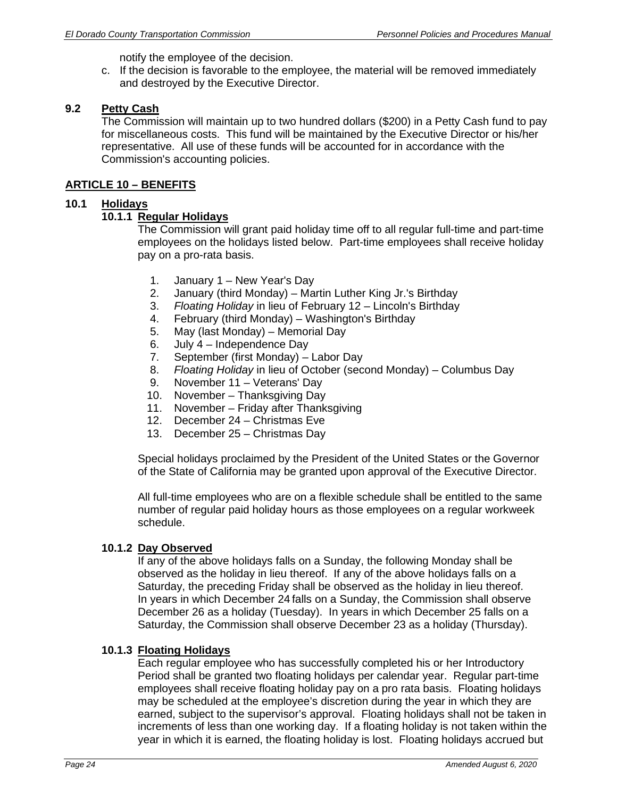notify the employee of the decision.

c. If the decision is favorable to the employee, the material will be removed immediately and destroyed by the Executive Director.

#### **9.2 Petty Cash**

The Commission will maintain up to two hundred dollars (\$200) in a Petty Cash fund to pay for miscellaneous costs. This fund will be maintained by the Executive Director or his/her representative. All use of these funds will be accounted for in accordance with the Commission's accounting policies.

#### **ARTICLE 10 – BENEFITS**

#### **10.1 Holidays**

#### **10.1.1 Regular Holidays**

The Commission will grant paid holiday time off to all regular full-time and part-time employees on the holidays listed below. Part-time employees shall receive holiday pay on a pro-rata basis.

- 1. January 1 New Year's Day
- 2. January (third Monday) Martin Luther King Jr.'s Birthday
- 3. *Floating Holiday* in lieu of February 12 Lincoln's Birthday
- 4. February (third Monday) Washington's Birthday
- 5. May (last Monday) Memorial Day
- 6. July 4 Independence Day
- 7. September (first Monday) Labor Day
- 8. *Floating Holiday* in lieu of October (second Monday) Columbus Day
- 9. November 11 Veterans' Day
- 10. November Thanksgiving Day
- 11. November Friday after Thanksgiving
- 12. December 24 Christmas Eve
- 13. December 25 Christmas Day

Special holidays proclaimed by the President of the United States or the Governor of the State of California may be granted upon approval of the Executive Director.

All full-time employees who are on a flexible schedule shall be entitled to the same number of regular paid holiday hours as those employees on a regular workweek schedule.

## **10.1.2 Day Observed**

If any of the above holidays falls on a Sunday, the following Monday shall be observed as the holiday in lieu thereof. If any of the above holidays falls on a Saturday, the preceding Friday shall be observed as the holiday in lieu thereof. In years in which December 24 falls on a Sunday, the Commission shall observe December 26 as a holiday (Tuesday). In years in which December 25 falls on a Saturday, the Commission shall observe December 23 as a holiday (Thursday).

#### **10.1.3 Floating Holidays**

Each regular employee who has successfully completed his or her Introductory Period shall be granted two floating holidays per calendar year. Regular part-time employees shall receive floating holiday pay on a pro rata basis. Floating holidays may be scheduled at the employee's discretion during the year in which they are earned, subject to the supervisor's approval. Floating holidays shall not be taken in increments of less than one working day. If a floating holiday is not taken within the year in which it is earned, the floating holiday is lost. Floating holidays accrued but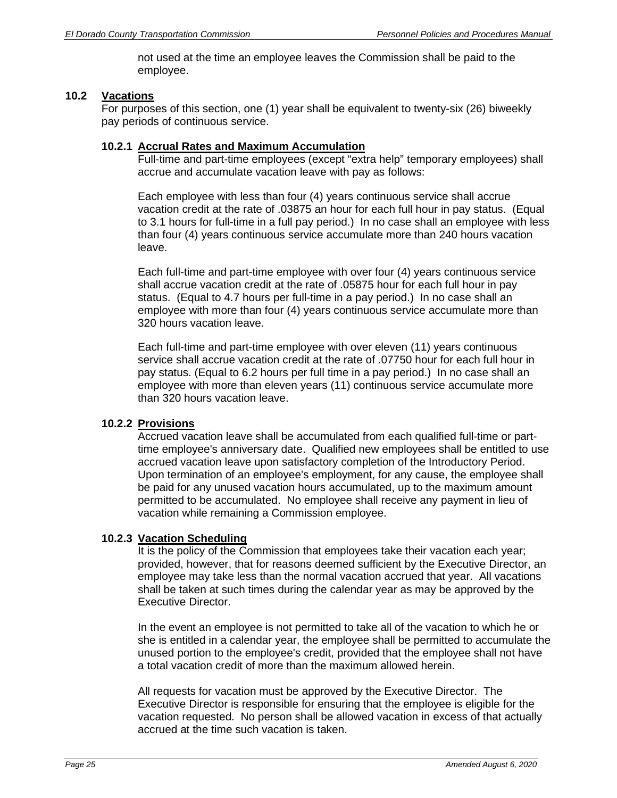not used at the time an employee leaves the Commission shall be paid to the employee.

#### **10.2 Vacations**

For purposes of this section, one (1) year shall be equivalent to twenty-six (26) biweekly pay periods of continuous service.

#### **10.2.1 Accrual Rates and Maximum Accumulation**

Full-time and part-time employees (except "extra help" temporary employees) shall accrue and accumulate vacation leave with pay as follows:

Each employee with less than four (4) years continuous service shall accrue vacation credit at the rate of .03875 an hour for each full hour in pay status. (Equal to 3.1 hours for full-time in a full pay period.) In no case shall an employee with less than four (4) years continuous service accumulate more than 240 hours vacation leave.

Each full-time and part-time employee with over four (4) years continuous service shall accrue vacation credit at the rate of .05875 hour for each full hour in pay status. (Equal to 4.7 hours per full-time in a pay period.) In no case shall an employee with more than four (4) years continuous service accumulate more than 320 hours vacation leave.

Each full-time and part-time employee with over eleven (11) years continuous service shall accrue vacation credit at the rate of .07750 hour for each full hour in pay status. (Equal to 6.2 hours per full time in a pay period.) In no case shall an employee with more than eleven years (11) continuous service accumulate more than 320 hours vacation leave.

## **10.2.2 Provisions**

Accrued vacation leave shall be accumulated from each qualified full-time or parttime employee's anniversary date. Qualified new employees shall be entitled to use accrued vacation leave upon satisfactory completion of the Introductory Period. Upon termination of an employee's employment, for any cause, the employee shall be paid for any unused vacation hours accumulated, up to the maximum amount permitted to be accumulated. No employee shall receive any payment in lieu of vacation while remaining a Commission employee.

## **10.2.3 Vacation Scheduling**

It is the policy of the Commission that employees take their vacation each year; provided, however, that for reasons deemed sufficient by the Executive Director, an employee may take less than the normal vacation accrued that year. All vacations shall be taken at such times during the calendar year as may be approved by the Executive Director.

In the event an employee is not permitted to take all of the vacation to which he or she is entitled in a calendar year, the employee shall be permitted to accumulate the unused portion to the employee's credit, provided that the employee shall not have a total vacation credit of more than the maximum allowed herein.

All requests for vacation must be approved by the Executive Director. The Executive Director is responsible for ensuring that the employee is eligible for the vacation requested. No person shall be allowed vacation in excess of that actually accrued at the time such vacation is taken.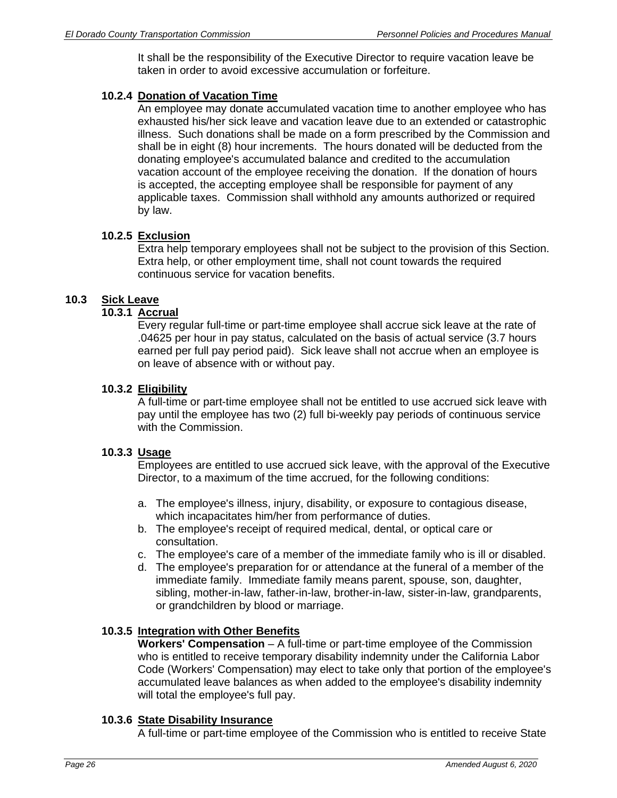It shall be the responsibility of the Executive Director to require vacation leave be taken in order to avoid excessive accumulation or forfeiture.

## **10.2.4 Donation of Vacation Time**

An employee may donate accumulated vacation time to another employee who has exhausted his/her sick leave and vacation leave due to an extended or catastrophic illness. Such donations shall be made on a form prescribed by the Commission and shall be in eight (8) hour increments. The hours donated will be deducted from the donating employee's accumulated balance and credited to the accumulation vacation account of the employee receiving the donation. If the donation of hours is accepted, the accepting employee shall be responsible for payment of any applicable taxes. Commission shall withhold any amounts authorized or required by law.

## **10.2.5 Exclusion**

Extra help temporary employees shall not be subject to the provision of this Section. Extra help, or other employment time, shall not count towards the required continuous service for vacation benefits.

# **10.3 Sick Leave**

## **10.3.1 Accrual**

Every regular full-time or part-time employee shall accrue sick leave at the rate of .04625 per hour in pay status, calculated on the basis of actual service (3.7 hours earned per full pay period paid). Sick leave shall not accrue when an employee is on leave of absence with or without pay.

#### **10.3.2 Eligibility**

A full-time or part-time employee shall not be entitled to use accrued sick leave with pay until the employee has two (2) full bi-weekly pay periods of continuous service with the Commission.

## **10.3.3 Usage**

Employees are entitled to use accrued sick leave, with the approval of the Executive Director, to a maximum of the time accrued, for the following conditions:

- a. The employee's illness, injury, disability, or exposure to contagious disease, which incapacitates him/her from performance of duties.
- b. The employee's receipt of required medical, dental, or optical care or consultation.
- c. The employee's care of a member of the immediate family who is ill or disabled.
- d. The employee's preparation for or attendance at the funeral of a member of the immediate family. Immediate family means parent, spouse, son, daughter, sibling, mother-in-law, father-in-law, brother-in-law, sister-in-law, grandparents, or grandchildren by blood or marriage.

## **10.3.5 Integration with Other Benefits**

**Workers' Compensation** – A full-time or part-time employee of the Commission who is entitled to receive temporary disability indemnity under the California Labor Code (Workers' Compensation) may elect to take only that portion of the employee's accumulated leave balances as when added to the employee's disability indemnity will total the employee's full pay.

## **10.3.6 State Disability Insurance**

A full-time or part-time employee of the Commission who is entitled to receive State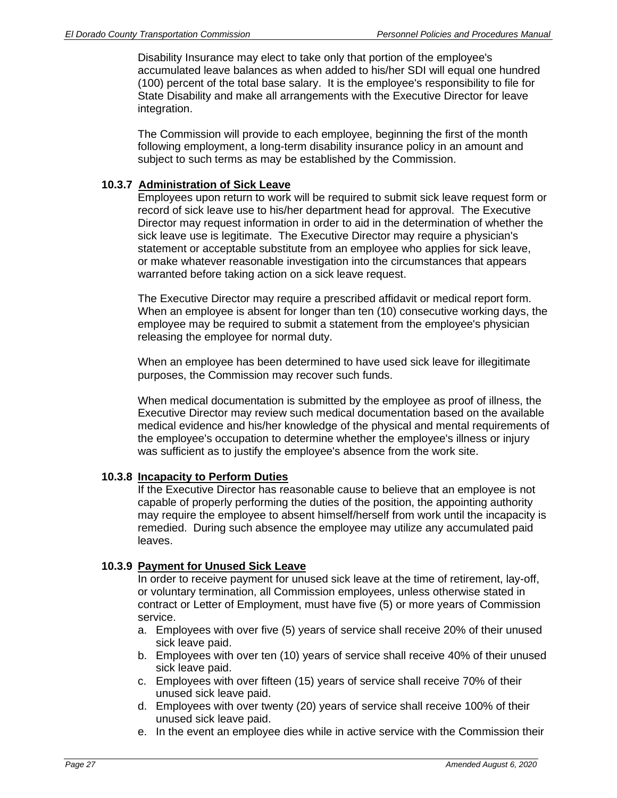Disability Insurance may elect to take only that portion of the employee's accumulated leave balances as when added to his/her SDI will equal one hundred (100) percent of the total base salary. It is the employee's responsibility to file for State Disability and make all arrangements with the Executive Director for leave integration.

The Commission will provide to each employee, beginning the first of the month following employment, a long-term disability insurance policy in an amount and subject to such terms as may be established by the Commission.

## **10.3.7 Administration of Sick Leave**

Employees upon return to work will be required to submit sick leave request form or record of sick leave use to his/her department head for approval. The Executive Director may request information in order to aid in the determination of whether the sick leave use is legitimate. The Executive Director may require a physician's statement or acceptable substitute from an employee who applies for sick leave, or make whatever reasonable investigation into the circumstances that appears warranted before taking action on a sick leave request.

The Executive Director may require a prescribed affidavit or medical report form. When an employee is absent for longer than ten (10) consecutive working days, the employee may be required to submit a statement from the employee's physician releasing the employee for normal duty.

When an employee has been determined to have used sick leave for illegitimate purposes, the Commission may recover such funds.

When medical documentation is submitted by the employee as proof of illness, the Executive Director may review such medical documentation based on the available medical evidence and his/her knowledge of the physical and mental requirements of the employee's occupation to determine whether the employee's illness or injury was sufficient as to justify the employee's absence from the work site.

## **10.3.8 Incapacity to Perform Duties**

If the Executive Director has reasonable cause to believe that an employee is not capable of properly performing the duties of the position, the appointing authority may require the employee to absent himself/herself from work until the incapacity is remedied. During such absence the employee may utilize any accumulated paid leaves.

## **10.3.9 Payment for Unused Sick Leave**

In order to receive payment for unused sick leave at the time of retirement, lay-off, or voluntary termination, all Commission employees, unless otherwise stated in contract or Letter of Employment, must have five (5) or more years of Commission service.

- a. Employees with over five (5) years of service shall receive 20% of their unused sick leave paid.
- b. Employees with over ten (10) years of service shall receive 40% of their unused sick leave paid.
- c. Employees with over fifteen (15) years of service shall receive 70% of their unused sick leave paid.
- d. Employees with over twenty (20) years of service shall receive 100% of their unused sick leave paid.
- e. In the event an employee dies while in active service with the Commission their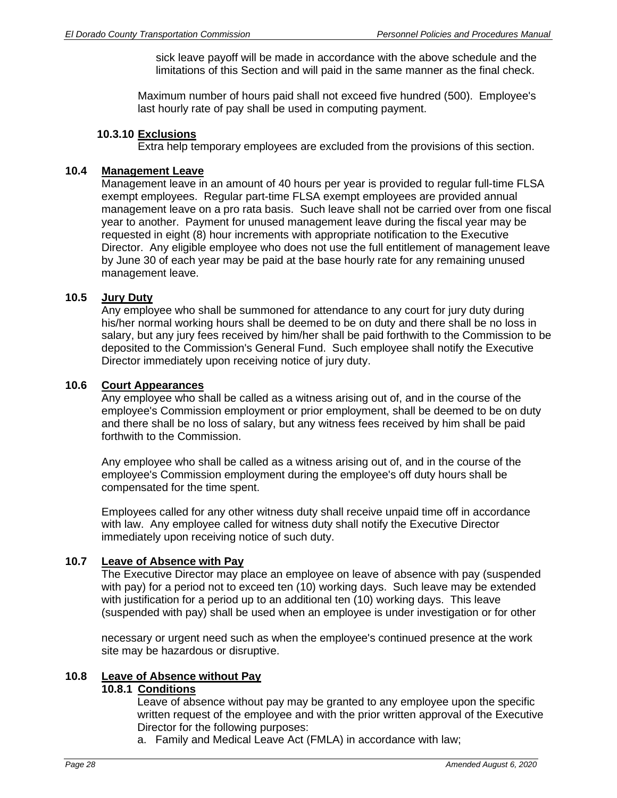sick leave payoff will be made in accordance with the above schedule and the limitations of this Section and will paid in the same manner as the final check.

Maximum number of hours paid shall not exceed five hundred (500). Employee's last hourly rate of pay shall be used in computing payment.

#### **10.3.10 Exclusions**

Extra help temporary employees are excluded from the provisions of this section.

#### **10.4 Management Leave**

Management leave in an amount of 40 hours per year is provided to regular full-time FLSA exempt employees. Regular part-time FLSA exempt employees are provided annual management leave on a pro rata basis. Such leave shall not be carried over from one fiscal year to another. Payment for unused management leave during the fiscal year may be requested in eight (8) hour increments with appropriate notification to the Executive Director. Any eligible employee who does not use the full entitlement of management leave by June 30 of each year may be paid at the base hourly rate for any remaining unused management leave.

#### **10.5 Jury Duty**

Any employee who shall be summoned for attendance to any court for jury duty during his/her normal working hours shall be deemed to be on duty and there shall be no loss in salary, but any jury fees received by him/her shall be paid forthwith to the Commission to be deposited to the Commission's General Fund. Such employee shall notify the Executive Director immediately upon receiving notice of jury duty.

#### **10.6 Court Appearances**

Any employee who shall be called as a witness arising out of, and in the course of the employee's Commission employment or prior employment, shall be deemed to be on duty and there shall be no loss of salary, but any witness fees received by him shall be paid forthwith to the Commission.

Any employee who shall be called as a witness arising out of, and in the course of the employee's Commission employment during the employee's off duty hours shall be compensated for the time spent.

Employees called for any other witness duty shall receive unpaid time off in accordance with law. Any employee called for witness duty shall notify the Executive Director immediately upon receiving notice of such duty.

## **10.7 Leave of Absence with Pay**

The Executive Director may place an employee on leave of absence with pay (suspended with pay) for a period not to exceed ten (10) working days. Such leave may be extended with justification for a period up to an additional ten (10) working days. This leave (suspended with pay) shall be used when an employee is under investigation or for other

necessary or urgent need such as when the employee's continued presence at the work site may be hazardous or disruptive.

## **10.8 Leave of Absence without Pay**

### **10.8.1 Conditions**

Leave of absence without pay may be granted to any employee upon the specific written request of the employee and with the prior written approval of the Executive Director for the following purposes:

a. Family and Medical Leave Act (FMLA) in accordance with law;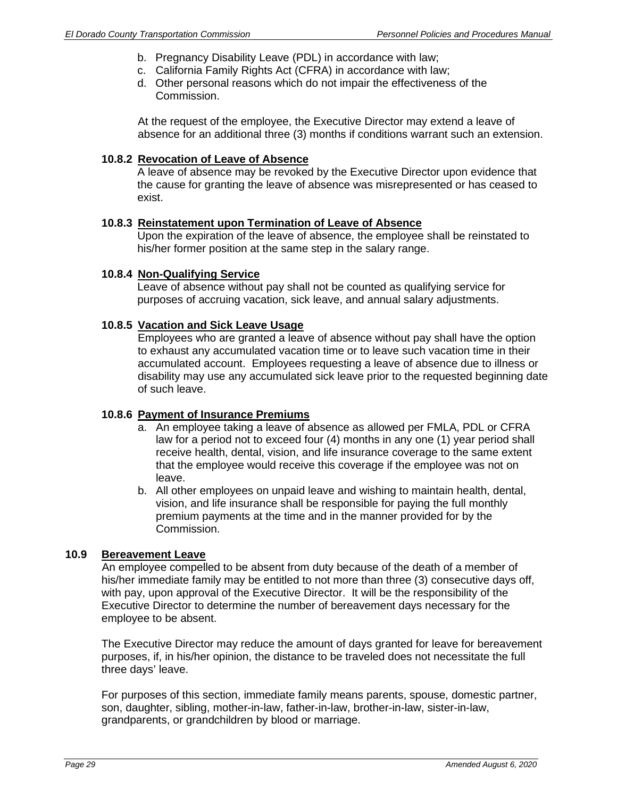- b. Pregnancy Disability Leave (PDL) in accordance with law;
- c. California Family Rights Act (CFRA) in accordance with law;
- d. Other personal reasons which do not impair the effectiveness of the Commission.

At the request of the employee, the Executive Director may extend a leave of absence for an additional three (3) months if conditions warrant such an extension.

#### **10.8.2 Revocation of Leave of Absence**

A leave of absence may be revoked by the Executive Director upon evidence that the cause for granting the leave of absence was misrepresented or has ceased to exist.

#### **10.8.3 Reinstatement upon Termination of Leave of Absence**

Upon the expiration of the leave of absence, the employee shall be reinstated to his/her former position at the same step in the salary range.

#### **10.8.4 Non-Qualifying Service**

Leave of absence without pay shall not be counted as qualifying service for purposes of accruing vacation, sick leave, and annual salary adjustments.

#### **10.8.5 Vacation and Sick Leave Usage**

Employees who are granted a leave of absence without pay shall have the option to exhaust any accumulated vacation time or to leave such vacation time in their accumulated account. Employees requesting a leave of absence due to illness or disability may use any accumulated sick leave prior to the requested beginning date of such leave.

#### **10.8.6 Payment of Insurance Premiums**

- a. An employee taking a leave of absence as allowed per FMLA, PDL or CFRA law for a period not to exceed four (4) months in any one (1) year period shall receive health, dental, vision, and life insurance coverage to the same extent that the employee would receive this coverage if the employee was not on leave.
- b. All other employees on unpaid leave and wishing to maintain health, dental, vision, and life insurance shall be responsible for paying the full monthly premium payments at the time and in the manner provided for by the Commission.

#### **10.9 Bereavement Leave**

An employee compelled to be absent from duty because of the death of a member of his/her immediate family may be entitled to not more than three (3) consecutive days off, with pay, upon approval of the Executive Director. It will be the responsibility of the Executive Director to determine the number of bereavement days necessary for the employee to be absent.

The Executive Director may reduce the amount of days granted for leave for bereavement purposes, if, in his/her opinion, the distance to be traveled does not necessitate the full three days' leave.

For purposes of this section, immediate family means parents, spouse, domestic partner, son, daughter, sibling, mother-in-law, father-in-law, brother-in-law, sister-in-law, grandparents, or grandchildren by blood or marriage.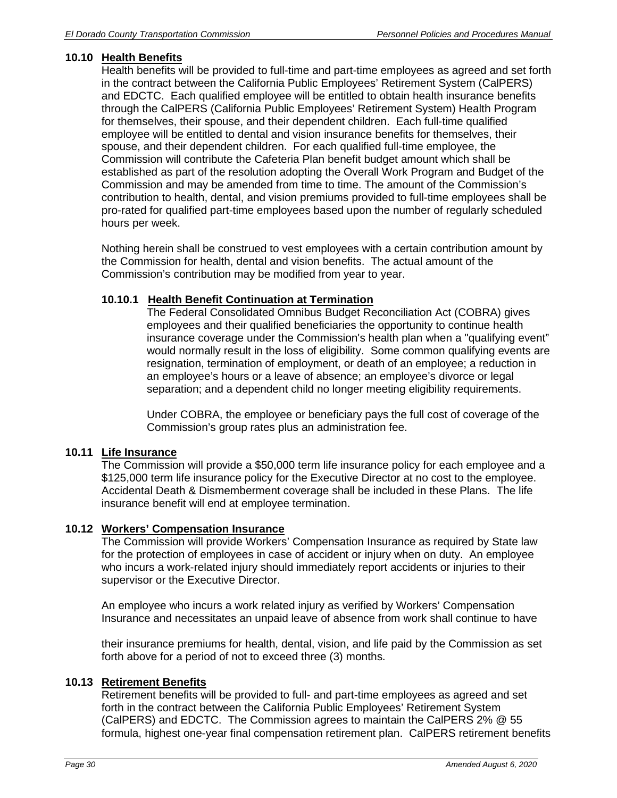## **10.10 Health Benefits**

Health benefits will be provided to full-time and part-time employees as agreed and set forth in the contract between the California Public Employees' Retirement System (CalPERS) and EDCTC. Each qualified employee will be entitled to obtain health insurance benefits through the CalPERS (California Public Employees' Retirement System) Health Program for themselves, their spouse, and their dependent children. Each full-time qualified employee will be entitled to dental and vision insurance benefits for themselves, their spouse, and their dependent children. For each qualified full-time employee, the Commission will contribute the Cafeteria Plan benefit budget amount which shall be established as part of the resolution adopting the Overall Work Program and Budget of the Commission and may be amended from time to time. The amount of the Commission's contribution to health, dental, and vision premiums provided to full-time employees shall be pro-rated for qualified part-time employees based upon the number of regularly scheduled hours per week.

Nothing herein shall be construed to vest employees with a certain contribution amount by the Commission for health, dental and vision benefits. The actual amount of the Commission's contribution may be modified from year to year.

## **10.10.1 Health Benefit Continuation at Termination**

The Federal Consolidated Omnibus Budget Reconciliation Act (COBRA) gives employees and their qualified beneficiaries the opportunity to continue health insurance coverage under the Commission's health plan when a "qualifying event" would normally result in the loss of eligibility. Some common qualifying events are resignation, termination of employment, or death of an employee; a reduction in an employee's hours or a leave of absence; an employee's divorce or legal separation; and a dependent child no longer meeting eligibility requirements.

Under COBRA, the employee or beneficiary pays the full cost of coverage of the Commission's group rates plus an administration fee.

## **10.11 Life Insurance**

The Commission will provide a \$50,000 term life insurance policy for each employee and a \$125,000 term life insurance policy for the Executive Director at no cost to the employee. Accidental Death & Dismemberment coverage shall be included in these Plans. The life insurance benefit will end at employee termination.

## **10.12 Workers' Compensation Insurance**

The Commission will provide Workers' Compensation Insurance as required by State law for the protection of employees in case of accident or injury when on duty. An employee who incurs a work-related injury should immediately report accidents or injuries to their supervisor or the Executive Director.

An employee who incurs a work related injury as verified by Workers' Compensation Insurance and necessitates an unpaid leave of absence from work shall continue to have

their insurance premiums for health, dental, vision, and life paid by the Commission as set forth above for a period of not to exceed three (3) months.

## **10.13 Retirement Benefits**

Retirement benefits will be provided to full- and part-time employees as agreed and set forth in the contract between the California Public Employees' Retirement System (CalPERS) and EDCTC. The Commission agrees to maintain the CalPERS 2% @ 55 formula, highest one-year final compensation retirement plan. CalPERS retirement benefits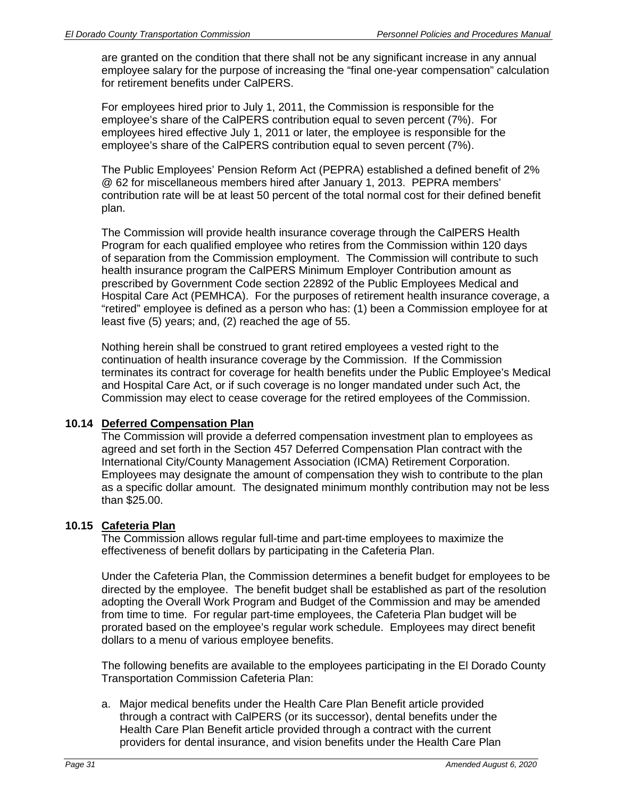are granted on the condition that there shall not be any significant increase in any annual employee salary for the purpose of increasing the "final one-year compensation" calculation for retirement benefits under CalPERS.

For employees hired prior to July 1, 2011, the Commission is responsible for the employee's share of the CalPERS contribution equal to seven percent (7%). For employees hired effective July 1, 2011 or later, the employee is responsible for the employee's share of the CalPERS contribution equal to seven percent (7%).

The Public Employees' Pension Reform Act (PEPRA) established a defined benefit of 2% @ 62 for miscellaneous members hired after January 1, 2013. PEPRA members' contribution rate will be at least 50 percent of the total normal cost for their defined benefit plan.

The Commission will provide health insurance coverage through the CalPERS Health Program for each qualified employee who retires from the Commission within 120 days of separation from the Commission employment. The Commission will contribute to such health insurance program the CalPERS Minimum Employer Contribution amount as prescribed by Government Code section 22892 of the Public Employees Medical and Hospital Care Act (PEMHCA). For the purposes of retirement health insurance coverage, a "retired" employee is defined as a person who has: (1) been a Commission employee for at least five (5) years; and, (2) reached the age of 55.

Nothing herein shall be construed to grant retired employees a vested right to the continuation of health insurance coverage by the Commission. If the Commission terminates its contract for coverage for health benefits under the Public Employee's Medical and Hospital Care Act, or if such coverage is no longer mandated under such Act, the Commission may elect to cease coverage for the retired employees of the Commission.

## **10.14 Deferred Compensation Plan**

The Commission will provide a deferred compensation investment plan to employees as agreed and set forth in the Section 457 Deferred Compensation Plan contract with the International City/County Management Association (ICMA) Retirement Corporation. Employees may designate the amount of compensation they wish to contribute to the plan as a specific dollar amount. The designated minimum monthly contribution may not be less than \$25.00.

# **10.15 Cafeteria Plan**

The Commission allows regular full-time and part-time employees to maximize the effectiveness of benefit dollars by participating in the Cafeteria Plan.

Under the Cafeteria Plan, the Commission determines a benefit budget for employees to be directed by the employee. The benefit budget shall be established as part of the resolution adopting the Overall Work Program and Budget of the Commission and may be amended from time to time. For regular part-time employees, the Cafeteria Plan budget will be prorated based on the employee's regular work schedule. Employees may direct benefit dollars to a menu of various employee benefits.

The following benefits are available to the employees participating in the El Dorado County Transportation Commission Cafeteria Plan:

a. Major medical benefits under the Health Care Plan Benefit article provided through a contract with CalPERS (or its successor), dental benefits under the Health Care Plan Benefit article provided through a contract with the current providers for dental insurance, and vision benefits under the Health Care Plan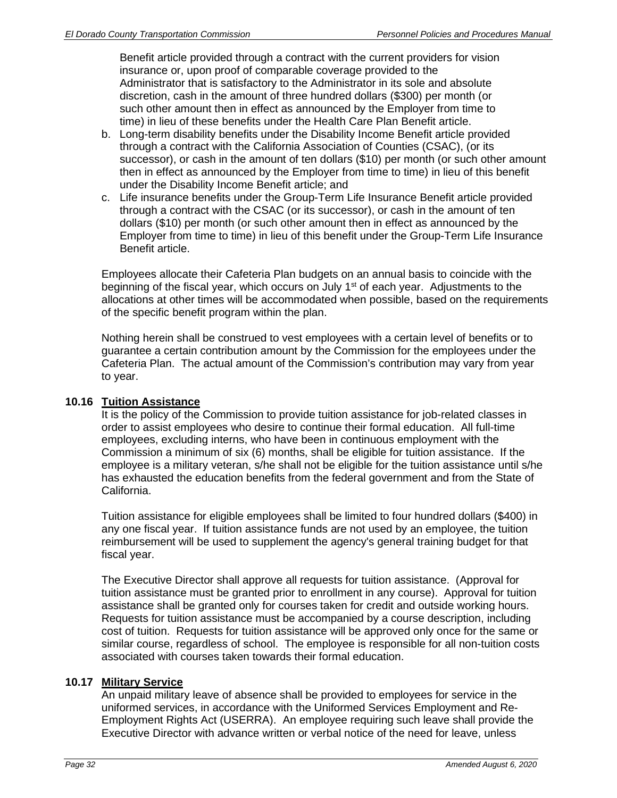Benefit article provided through a contract with the current providers for vision insurance or, upon proof of comparable coverage provided to the Administrator that is satisfactory to the Administrator in its sole and absolute discretion, cash in the amount of three hundred dollars (\$300) per month (or such other amount then in effect as announced by the Employer from time to time) in lieu of these benefits under the Health Care Plan Benefit article.

- b. Long-term disability benefits under the Disability Income Benefit article provided through a contract with the California Association of Counties (CSAC), (or its successor), or cash in the amount of ten dollars (\$10) per month (or such other amount then in effect as announced by the Employer from time to time) in lieu of this benefit under the Disability Income Benefit article; and
- c. Life insurance benefits under the Group-Term Life Insurance Benefit article provided through a contract with the CSAC (or its successor), or cash in the amount of ten dollars (\$10) per month (or such other amount then in effect as announced by the Employer from time to time) in lieu of this benefit under the Group-Term Life Insurance Benefit article.

Employees allocate their Cafeteria Plan budgets on an annual basis to coincide with the beginning of the fiscal year, which occurs on July 1<sup>st</sup> of each year. Adjustments to the allocations at other times will be accommodated when possible, based on the requirements of the specific benefit program within the plan.

Nothing herein shall be construed to vest employees with a certain level of benefits or to guarantee a certain contribution amount by the Commission for the employees under the Cafeteria Plan. The actual amount of the Commission's contribution may vary from year to year.

## **10.16 Tuition Assistance**

It is the policy of the Commission to provide tuition assistance for job-related classes in order to assist employees who desire to continue their formal education. All full-time employees, excluding interns, who have been in continuous employment with the Commission a minimum of six (6) months, shall be eligible for tuition assistance. If the employee is a military veteran, s/he shall not be eligible for the tuition assistance until s/he has exhausted the education benefits from the federal government and from the State of California.

Tuition assistance for eligible employees shall be limited to four hundred dollars (\$400) in any one fiscal year. If tuition assistance funds are not used by an employee, the tuition reimbursement will be used to supplement the agency's general training budget for that fiscal year.

The Executive Director shall approve all requests for tuition assistance. (Approval for tuition assistance must be granted prior to enrollment in any course). Approval for tuition assistance shall be granted only for courses taken for credit and outside working hours. Requests for tuition assistance must be accompanied by a course description, including cost of tuition. Requests for tuition assistance will be approved only once for the same or similar course, regardless of school. The employee is responsible for all non-tuition costs associated with courses taken towards their formal education.

## **10.17 Military Service**

An unpaid military leave of absence shall be provided to employees for service in the uniformed services, in accordance with the Uniformed Services Employment and Re-Employment Rights Act (USERRA). An employee requiring such leave shall provide the Executive Director with advance written or verbal notice of the need for leave, unless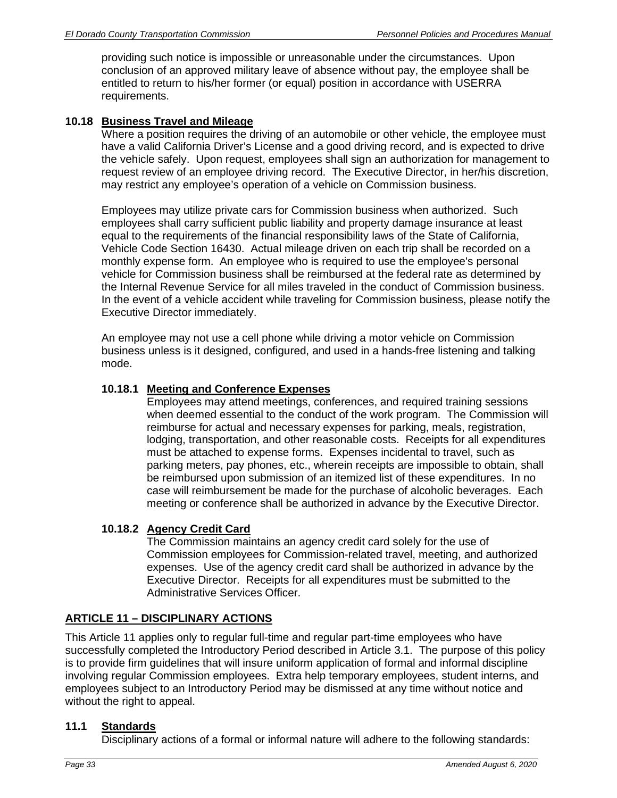providing such notice is impossible or unreasonable under the circumstances. Upon conclusion of an approved military leave of absence without pay, the employee shall be entitled to return to his/her former (or equal) position in accordance with USERRA requirements.

# **10.18 Business Travel and Mileage**

Where a position requires the driving of an automobile or other vehicle, the employee must have a valid California Driver's License and a good driving record, and is expected to drive the vehicle safely. Upon request, employees shall sign an authorization for management to request review of an employee driving record. The Executive Director, in her/his discretion, may restrict any employee's operation of a vehicle on Commission business.

Employees may utilize private cars for Commission business when authorized. Such employees shall carry sufficient public liability and property damage insurance at least equal to the requirements of the financial responsibility laws of the State of California, Vehicle Code Section 16430. Actual mileage driven on each trip shall be recorded on a monthly expense form. An employee who is required to use the employee's personal vehicle for Commission business shall be reimbursed at the federal rate as determined by the Internal Revenue Service for all miles traveled in the conduct of Commission business. In the event of a vehicle accident while traveling for Commission business, please notify the Executive Director immediately.

An employee may not use a cell phone while driving a motor vehicle on Commission business unless is it designed, configured, and used in a hands-free listening and talking mode.

#### **10.18.1 Meeting and Conference Expenses**

Employees may attend meetings, conferences, and required training sessions when deemed essential to the conduct of the work program. The Commission will reimburse for actual and necessary expenses for parking, meals, registration, lodging, transportation, and other reasonable costs. Receipts for all expenditures must be attached to expense forms. Expenses incidental to travel, such as parking meters, pay phones, etc., wherein receipts are impossible to obtain, shall be reimbursed upon submission of an itemized list of these expenditures. In no case will reimbursement be made for the purchase of alcoholic beverages. Each meeting or conference shall be authorized in advance by the Executive Director.

## **10.18.2 Agency Credit Card**

The Commission maintains an agency credit card solely for the use of Commission employees for Commission-related travel, meeting, and authorized expenses. Use of the agency credit card shall be authorized in advance by the Executive Director. Receipts for all expenditures must be submitted to the Administrative Services Officer.

# **ARTICLE 11 – DISCIPLINARY ACTIONS**

This Article 11 applies only to regular full-time and regular part-time employees who have successfully completed the Introductory Period described in Article 3.1. The purpose of this policy is to provide firm guidelines that will insure uniform application of formal and informal discipline involving regular Commission employees. Extra help temporary employees, student interns, and employees subject to an Introductory Period may be dismissed at any time without notice and without the right to appeal.

#### **11.1 Standards**

Disciplinary actions of a formal or informal nature will adhere to the following standards: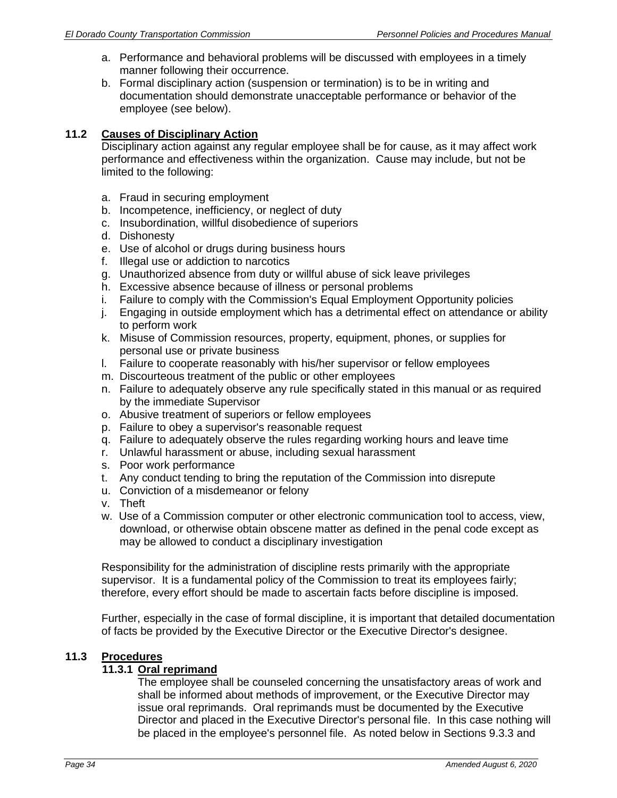- a. Performance and behavioral problems will be discussed with employees in a timely manner following their occurrence.
- b. Formal disciplinary action (suspension or termination) is to be in writing and documentation should demonstrate unacceptable performance or behavior of the employee (see below).

## **11.2 Causes of Disciplinary Action**

Disciplinary action against any regular employee shall be for cause, as it may affect work performance and effectiveness within the organization. Cause may include, but not be limited to the following:

- a. Fraud in securing employment
- b. Incompetence, inefficiency, or neglect of duty
- c. Insubordination, willful disobedience of superiors
- d. Dishonesty
- e. Use of alcohol or drugs during business hours
- f. Illegal use or addiction to narcotics
- g. Unauthorized absence from duty or willful abuse of sick leave privileges
- h. Excessive absence because of illness or personal problems
- i. Failure to comply with the Commission's Equal Employment Opportunity policies
- j. Engaging in outside employment which has a detrimental effect on attendance or ability to perform work
- k. Misuse of Commission resources, property, equipment, phones, or supplies for personal use or private business
- l. Failure to cooperate reasonably with his/her supervisor or fellow employees
- m. Discourteous treatment of the public or other employees
- n. Failure to adequately observe any rule specifically stated in this manual or as required by the immediate Supervisor
- o. Abusive treatment of superiors or fellow employees
- p. Failure to obey a supervisor's reasonable request
- q. Failure to adequately observe the rules regarding working hours and leave time
- r. Unlawful harassment or abuse, including sexual harassment
- s. Poor work performance
- t. Any conduct tending to bring the reputation of the Commission into disrepute
- u. Conviction of a misdemeanor or felony
- v. Theft
- w. Use of a Commission computer or other electronic communication tool to access, view, download, or otherwise obtain obscene matter as defined in the penal code except as may be allowed to conduct a disciplinary investigation

Responsibility for the administration of discipline rests primarily with the appropriate supervisor. It is a fundamental policy of the Commission to treat its employees fairly; therefore, every effort should be made to ascertain facts before discipline is imposed.

Further, especially in the case of formal discipline, it is important that detailed documentation of facts be provided by the Executive Director or the Executive Director's designee.

## **11.3 Procedures**

## **11.3.1 Oral reprimand**

The employee shall be counseled concerning the unsatisfactory areas of work and shall be informed about methods of improvement, or the Executive Director may issue oral reprimands. Oral reprimands must be documented by the Executive Director and placed in the Executive Director's personal file. In this case nothing will be placed in the employee's personnel file. As noted below in Sections 9.3.3 and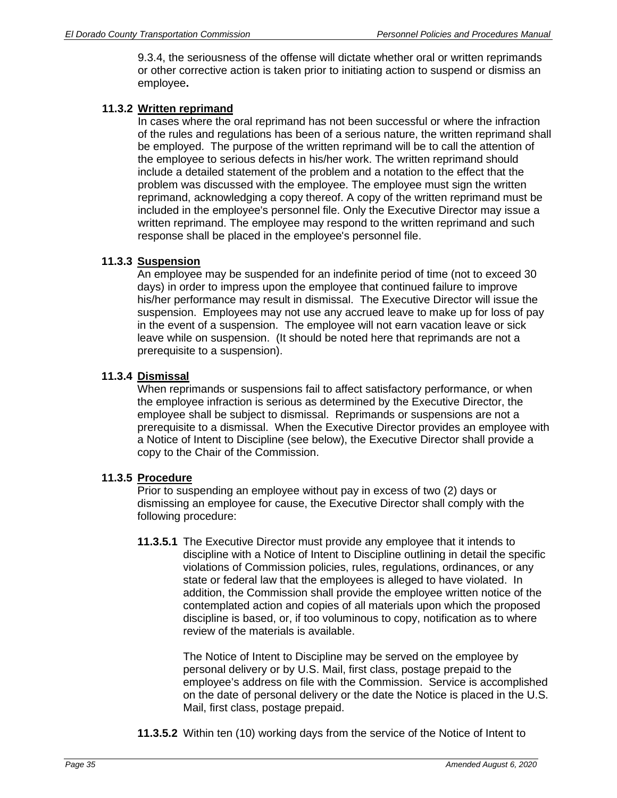9.3.4, the seriousness of the offense will dictate whether oral or written reprimands or other corrective action is taken prior to initiating action to suspend or dismiss an employee**.** 

## **11.3.2 Written reprimand**

In cases where the oral reprimand has not been successful or where the infraction of the rules and regulations has been of a serious nature, the written reprimand shall be employed. The purpose of the written reprimand will be to call the attention of the employee to serious defects in his/her work. The written reprimand should include a detailed statement of the problem and a notation to the effect that the problem was discussed with the employee. The employee must sign the written reprimand, acknowledging a copy thereof. A copy of the written reprimand must be included in the employee's personnel file. Only the Executive Director may issue a written reprimand. The employee may respond to the written reprimand and such response shall be placed in the employee's personnel file.

## **11.3.3 Suspension**

An employee may be suspended for an indefinite period of time (not to exceed 30 days) in order to impress upon the employee that continued failure to improve his/her performance may result in dismissal. The Executive Director will issue the suspension. Employees may not use any accrued leave to make up for loss of pay in the event of a suspension. The employee will not earn vacation leave or sick leave while on suspension. (It should be noted here that reprimands are not a prerequisite to a suspension).

## **11.3.4 Dismissal**

When reprimands or suspensions fail to affect satisfactory performance, or when the employee infraction is serious as determined by the Executive Director, the employee shall be subject to dismissal. Reprimands or suspensions are not a prerequisite to a dismissal. When the Executive Director provides an employee with a Notice of Intent to Discipline (see below), the Executive Director shall provide a copy to the Chair of the Commission.

## **11.3.5 Procedure**

Prior to suspending an employee without pay in excess of two (2) days or dismissing an employee for cause, the Executive Director shall comply with the following procedure:

**11.3.5.1** The Executive Director must provide any employee that it intends to discipline with a Notice of Intent to Discipline outlining in detail the specific violations of Commission policies, rules, regulations, ordinances, or any state or federal law that the employees is alleged to have violated. In addition, the Commission shall provide the employee written notice of the contemplated action and copies of all materials upon which the proposed discipline is based, or, if too voluminous to copy, notification as to where review of the materials is available.

> The Notice of Intent to Discipline may be served on the employee by personal delivery or by U.S. Mail, first class, postage prepaid to the employee's address on file with the Commission. Service is accomplished on the date of personal delivery or the date the Notice is placed in the U.S. Mail, first class, postage prepaid.

**11.3.5.2** Within ten (10) working days from the service of the Notice of Intent to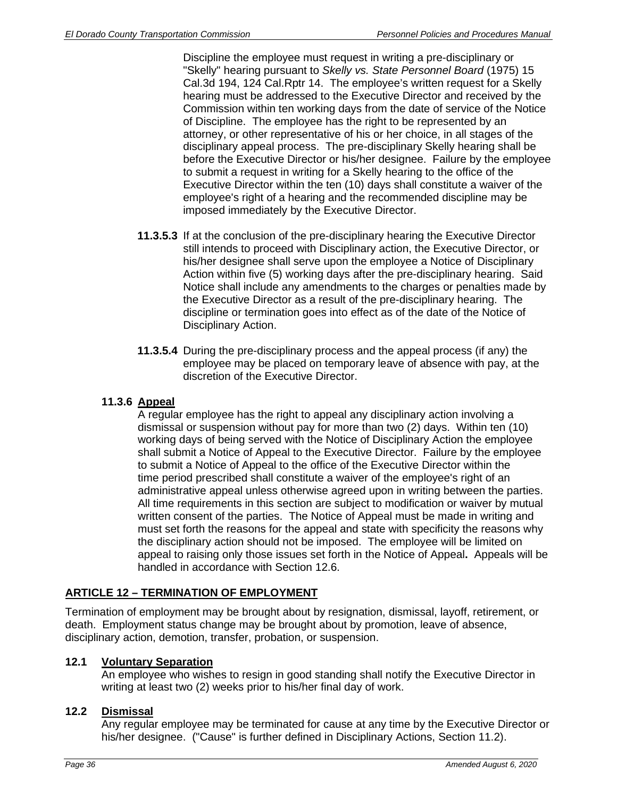Discipline the employee must request in writing a pre-disciplinary or "Skelly" hearing pursuant to *Skelly vs. State Personnel Board* (1975) 15 Cal.3d 194, 124 Cal.Rptr 14. The employee's written request for a Skelly hearing must be addressed to the Executive Director and received by the Commission within ten working days from the date of service of the Notice of Discipline. The employee has the right to be represented by an attorney, or other representative of his or her choice, in all stages of the disciplinary appeal process. The pre-disciplinary Skelly hearing shall be before the Executive Director or his/her designee. Failure by the employee to submit a request in writing for a Skelly hearing to the office of the Executive Director within the ten (10) days shall constitute a waiver of the employee's right of a hearing and the recommended discipline may be imposed immediately by the Executive Director.

- **11.3.5.3** If at the conclusion of the pre-disciplinary hearing the Executive Director still intends to proceed with Disciplinary action, the Executive Director, or his/her designee shall serve upon the employee a Notice of Disciplinary Action within five (5) working days after the pre-disciplinary hearing. Said Notice shall include any amendments to the charges or penalties made by the Executive Director as a result of the pre-disciplinary hearing. The discipline or termination goes into effect as of the date of the Notice of Disciplinary Action.
- **11.3.5.4** During the pre-disciplinary process and the appeal process (if any) the employee may be placed on temporary leave of absence with pay, at the discretion of the Executive Director.

# **11.3.6 Appeal**

A regular employee has the right to appeal any disciplinary action involving a dismissal or suspension without pay for more than two (2) days. Within ten (10) working days of being served with the Notice of Disciplinary Action the employee shall submit a Notice of Appeal to the Executive Director. Failure by the employee to submit a Notice of Appeal to the office of the Executive Director within the time period prescribed shall constitute a waiver of the employee's right of an administrative appeal unless otherwise agreed upon in writing between the parties. All time requirements in this section are subject to modification or waiver by mutual written consent of the parties. The Notice of Appeal must be made in writing and must set forth the reasons for the appeal and state with specificity the reasons why the disciplinary action should not be imposed. The employee will be limited on appeal to raising only those issues set forth in the Notice of Appeal**.** Appeals will be handled in accordance with Section 12.6.

# **ARTICLE 12 – TERMINATION OF EMPLOYMENT**

Termination of employment may be brought about by resignation, dismissal, layoff, retirement, or death. Employment status change may be brought about by promotion, leave of absence, disciplinary action, demotion, transfer, probation, or suspension.

# **12.1 Voluntary Separation**

An employee who wishes to resign in good standing shall notify the Executive Director in writing at least two (2) weeks prior to his/her final day of work.

## **12.2 Dismissal**

Any regular employee may be terminated for cause at any time by the Executive Director or his/her designee. ("Cause" is further defined in Disciplinary Actions, Section 11.2).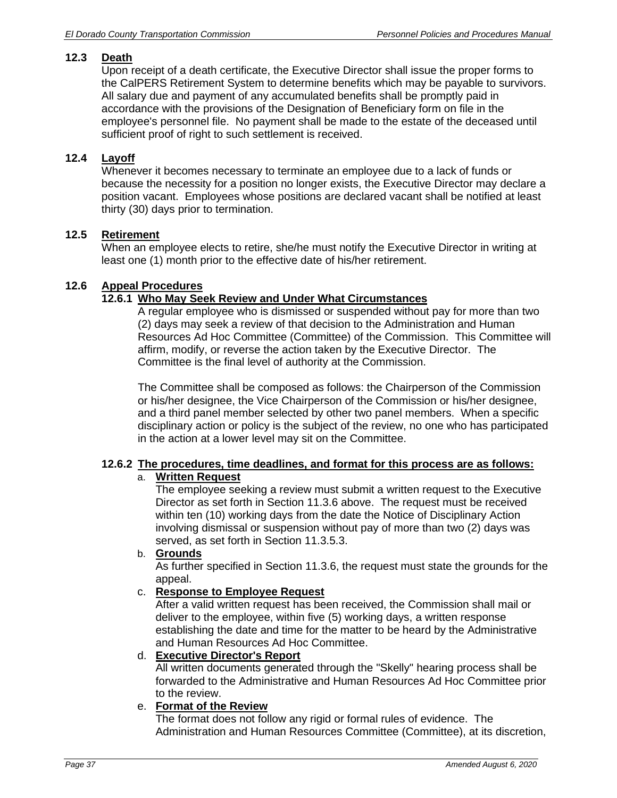# **12.3 Death**

Upon receipt of a death certificate, the Executive Director shall issue the proper forms to the CalPERS Retirement System to determine benefits which may be payable to survivors. All salary due and payment of any accumulated benefits shall be promptly paid in accordance with the provisions of the Designation of Beneficiary form on file in the employee's personnel file. No payment shall be made to the estate of the deceased until sufficient proof of right to such settlement is received.

# **12.4 Layoff**

Whenever it becomes necessary to terminate an employee due to a lack of funds or because the necessity for a position no longer exists, the Executive Director may declare a position vacant. Employees whose positions are declared vacant shall be notified at least thirty (30) days prior to termination.

## **12.5 Retirement**

When an employee elects to retire, she/he must notify the Executive Director in writing at least one (1) month prior to the effective date of his/her retirement.

## **12.6 Appeal Procedures**

## **12.6.1 Who May Seek Review and Under What Circumstances**

A regular employee who is dismissed or suspended without pay for more than two (2) days may seek a review of that decision to the Administration and Human Resources Ad Hoc Committee (Committee) of the Commission. This Committee will affirm, modify, or reverse the action taken by the Executive Director. The Committee is the final level of authority at the Commission.

The Committee shall be composed as follows: the Chairperson of the Commission or his/her designee, the Vice Chairperson of the Commission or his/her designee, and a third panel member selected by other two panel members. When a specific disciplinary action or policy is the subject of the review, no one who has participated in the action at a lower level may sit on the Committee.

#### **12.6.2 The procedures, time deadlines, and format for this process are as follows:**  a. **Written Request**

The employee seeking a review must submit a written request to the Executive Director as set forth in Section 11.3.6 above. The request must be received within ten (10) working days from the date the Notice of Disciplinary Action involving dismissal or suspension without pay of more than two (2) days was served, as set forth in Section 11.3.5.3.

# b. **Grounds**

As further specified in Section 11.3.6, the request must state the grounds for the appeal.

## c. **Response to Employee Request**

After a valid written request has been received, the Commission shall mail or deliver to the employee, within five (5) working days, a written response establishing the date and time for the matter to be heard by the Administrative and Human Resources Ad Hoc Committee.

## d. **Executive Director's Report**

All written documents generated through the "Skelly" hearing process shall be forwarded to the Administrative and Human Resources Ad Hoc Committee prior to the review.

## e. **Format of the Review**

The format does not follow any rigid or formal rules of evidence. The Administration and Human Resources Committee (Committee), at its discretion,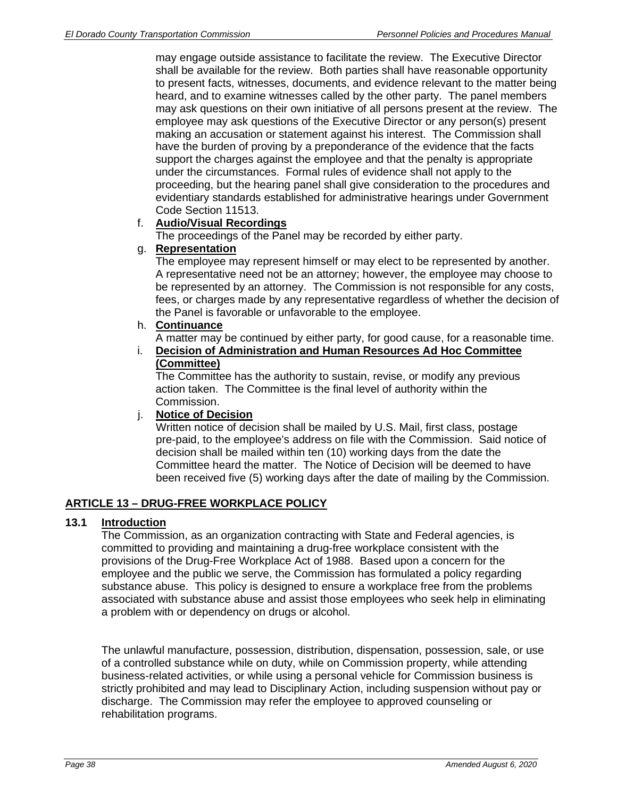may engage outside assistance to facilitate the review. The Executive Director shall be available for the review. Both parties shall have reasonable opportunity to present facts, witnesses, documents, and evidence relevant to the matter being heard, and to examine witnesses called by the other party. The panel members may ask questions on their own initiative of all persons present at the review. The employee may ask questions of the Executive Director or any person(s) present making an accusation or statement against his interest. The Commission shall have the burden of proving by a preponderance of the evidence that the facts support the charges against the employee and that the penalty is appropriate under the circumstances. Formal rules of evidence shall not apply to the proceeding, but the hearing panel shall give consideration to the procedures and evidentiary standards established for administrative hearings under Government Code Section 11513.

## f. **Audio/Visual Recordings**

The proceedings of the Panel may be recorded by either party.

## g. **Representation**

The employee may represent himself or may elect to be represented by another. A representative need not be an attorney; however, the employee may choose to be represented by an attorney. The Commission is not responsible for any costs, fees, or charges made by any representative regardless of whether the decision of the Panel is favorable or unfavorable to the employee.

## h. **Continuance**

A matter may be continued by either party, for good cause, for a reasonable time.

i. **Decision of Administration and Human Resources Ad Hoc Committee (Committee)**

The Committee has the authority to sustain, revise, or modify any previous action taken. The Committee is the final level of authority within the Commission.

## j. **Notice of Decision**

Written notice of decision shall be mailed by U.S. Mail, first class, postage pre-paid, to the employee's address on file with the Commission. Said notice of decision shall be mailed within ten (10) working days from the date the Committee heard the matter. The Notice of Decision will be deemed to have been received five (5) working days after the date of mailing by the Commission.

# **ARTICLE 13 – DRUG-FREE WORKPLACE POLICY**

## **13.1 Introduction**

The Commission, as an organization contracting with State and Federal agencies, is committed to providing and maintaining a drug-free workplace consistent with the provisions of the Drug-Free Workplace Act of 1988. Based upon a concern for the employee and the public we serve, the Commission has formulated a policy regarding substance abuse. This policy is designed to ensure a workplace free from the problems associated with substance abuse and assist those employees who seek help in eliminating a problem with or dependency on drugs or alcohol.

The unlawful manufacture, possession, distribution, dispensation, possession, sale, or use of a controlled substance while on duty, while on Commission property, while attending business-related activities, or while using a personal vehicle for Commission business is strictly prohibited and may lead to Disciplinary Action, including suspension without pay or discharge. The Commission may refer the employee to approved counseling or rehabilitation programs.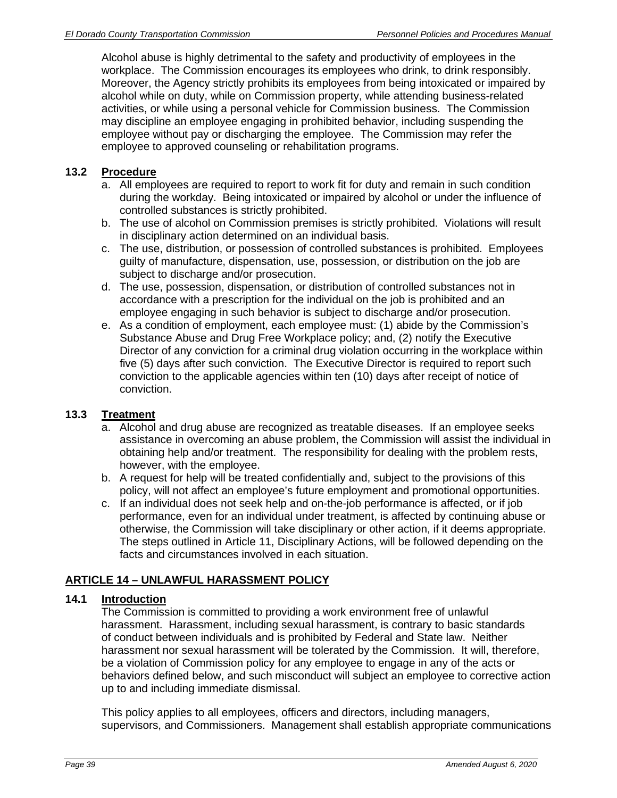Alcohol abuse is highly detrimental to the safety and productivity of employees in the workplace. The Commission encourages its employees who drink, to drink responsibly. Moreover, the Agency strictly prohibits its employees from being intoxicated or impaired by alcohol while on duty, while on Commission property, while attending business-related activities, or while using a personal vehicle for Commission business. The Commission may discipline an employee engaging in prohibited behavior, including suspending the employee without pay or discharging the employee. The Commission may refer the employee to approved counseling or rehabilitation programs.

## **13.2 Procedure**

- a. All employees are required to report to work fit for duty and remain in such condition during the workday. Being intoxicated or impaired by alcohol or under the influence of controlled substances is strictly prohibited.
- b. The use of alcohol on Commission premises is strictly prohibited. Violations will result in disciplinary action determined on an individual basis.
- c. The use, distribution, or possession of controlled substances is prohibited. Employees guilty of manufacture, dispensation, use, possession, or distribution on the job are subject to discharge and/or prosecution.
- d. The use, possession, dispensation, or distribution of controlled substances not in accordance with a prescription for the individual on the job is prohibited and an employee engaging in such behavior is subject to discharge and/or prosecution.
- e. As a condition of employment, each employee must: (1) abide by the Commission's Substance Abuse and Drug Free Workplace policy; and, (2) notify the Executive Director of any conviction for a criminal drug violation occurring in the workplace within five (5) days after such conviction. The Executive Director is required to report such conviction to the applicable agencies within ten (10) days after receipt of notice of conviction.

## **13.3 Treatment**

- a. Alcohol and drug abuse are recognized as treatable diseases. If an employee seeks assistance in overcoming an abuse problem, the Commission will assist the individual in obtaining help and/or treatment. The responsibility for dealing with the problem rests, however, with the employee.
- b. A request for help will be treated confidentially and, subject to the provisions of this policy, will not affect an employee's future employment and promotional opportunities.
- c. If an individual does not seek help and on-the-job performance is affected, or if job performance, even for an individual under treatment, is affected by continuing abuse or otherwise, the Commission will take disciplinary or other action, if it deems appropriate. The steps outlined in Article 11, Disciplinary Actions, will be followed depending on the facts and circumstances involved in each situation.

# **ARTICLE 14 – UNLAWFUL HARASSMENT POLICY**

## **14.1 Introduction**

The Commission is committed to providing a work environment free of unlawful harassment. Harassment, including sexual harassment, is contrary to basic standards of conduct between individuals and is prohibited by Federal and State law. Neither harassment nor sexual harassment will be tolerated by the Commission. It will, therefore, be a violation of Commission policy for any employee to engage in any of the acts or behaviors defined below, and such misconduct will subject an employee to corrective action up to and including immediate dismissal.

This policy applies to all employees, officers and directors, including managers, supervisors, and Commissioners. Management shall establish appropriate communications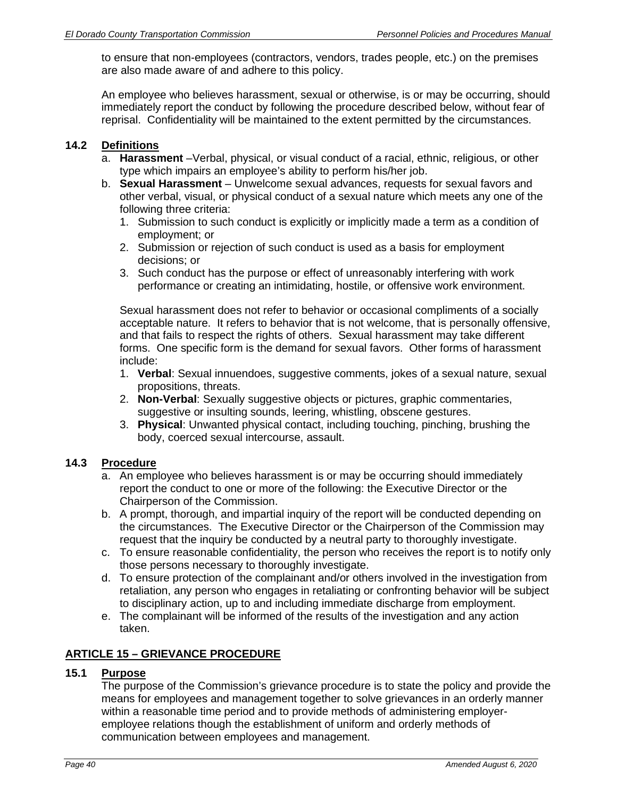to ensure that non-employees (contractors, vendors, trades people, etc.) on the premises are also made aware of and adhere to this policy.

An employee who believes harassment, sexual or otherwise, is or may be occurring, should immediately report the conduct by following the procedure described below, without fear of reprisal. Confidentiality will be maintained to the extent permitted by the circumstances.

## **14.2 Definitions**

- a. **Harassment** –Verbal, physical, or visual conduct of a racial, ethnic, religious, or other type which impairs an employee's ability to perform his/her job.
- b. **Sexual Harassment** Unwelcome sexual advances, requests for sexual favors and other verbal, visual, or physical conduct of a sexual nature which meets any one of the following three criteria:
	- 1. Submission to such conduct is explicitly or implicitly made a term as a condition of employment; or
	- 2. Submission or rejection of such conduct is used as a basis for employment decisions; or
	- 3. Such conduct has the purpose or effect of unreasonably interfering with work performance or creating an intimidating, hostile, or offensive work environment.

Sexual harassment does not refer to behavior or occasional compliments of a socially acceptable nature. It refers to behavior that is not welcome, that is personally offensive, and that fails to respect the rights of others. Sexual harassment may take different forms. One specific form is the demand for sexual favors. Other forms of harassment include:

- 1. **Verbal**: Sexual innuendoes, suggestive comments, jokes of a sexual nature, sexual propositions, threats.
- 2. **Non-Verbal**: Sexually suggestive objects or pictures, graphic commentaries, suggestive or insulting sounds, leering, whistling, obscene gestures.
- 3. **Physical**: Unwanted physical contact, including touching, pinching, brushing the body, coerced sexual intercourse, assault.

## **14.3 Procedure**

- a. An employee who believes harassment is or may be occurring should immediately report the conduct to one or more of the following: the Executive Director or the Chairperson of the Commission.
- b. A prompt, thorough, and impartial inquiry of the report will be conducted depending on the circumstances. The Executive Director or the Chairperson of the Commission may request that the inquiry be conducted by a neutral party to thoroughly investigate.
- c. To ensure reasonable confidentiality, the person who receives the report is to notify only those persons necessary to thoroughly investigate.
- d. To ensure protection of the complainant and/or others involved in the investigation from retaliation, any person who engages in retaliating or confronting behavior will be subject to disciplinary action, up to and including immediate discharge from employment.
- e. The complainant will be informed of the results of the investigation and any action taken.

# **ARTICLE 15 – GRIEVANCE PROCEDURE**

## **15.1 Purpose**

The purpose of the Commission's grievance procedure is to state the policy and provide the means for employees and management together to solve grievances in an orderly manner within a reasonable time period and to provide methods of administering employeremployee relations though the establishment of uniform and orderly methods of communication between employees and management.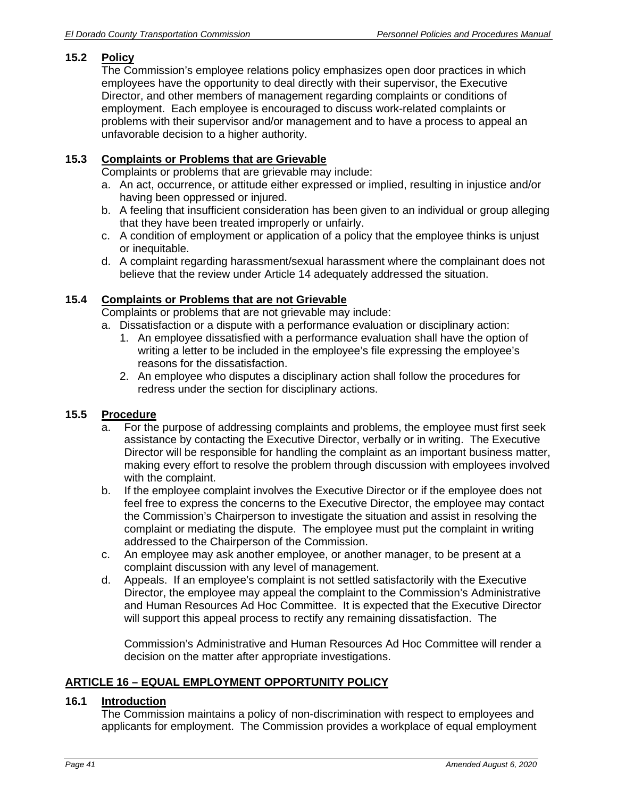# **15.2 Policy**

The Commission's employee relations policy emphasizes open door practices in which employees have the opportunity to deal directly with their supervisor, the Executive Director, and other members of management regarding complaints or conditions of employment. Each employee is encouraged to discuss work-related complaints or problems with their supervisor and/or management and to have a process to appeal an unfavorable decision to a higher authority.

## **15.3 Complaints or Problems that are Grievable**

Complaints or problems that are grievable may include:

- a. An act, occurrence, or attitude either expressed or implied, resulting in injustice and/or having been oppressed or injured.
- b. A feeling that insufficient consideration has been given to an individual or group alleging that they have been treated improperly or unfairly.
- c. A condition of employment or application of a policy that the employee thinks is unjust or inequitable.
- d. A complaint regarding harassment/sexual harassment where the complainant does not believe that the review under Article 14 adequately addressed the situation.

# **15.4 Complaints or Problems that are not Grievable**

Complaints or problems that are not grievable may include:

- a. Dissatisfaction or a dispute with a performance evaluation or disciplinary action:
	- 1. An employee dissatisfied with a performance evaluation shall have the option of writing a letter to be included in the employee's file expressing the employee's reasons for the dissatisfaction.
	- 2. An employee who disputes a disciplinary action shall follow the procedures for redress under the section for disciplinary actions.

## **15.5 Procedure**

- a. For the purpose of addressing complaints and problems, the employee must first seek assistance by contacting the Executive Director, verbally or in writing. The Executive Director will be responsible for handling the complaint as an important business matter, making every effort to resolve the problem through discussion with employees involved with the complaint.
- b. If the employee complaint involves the Executive Director or if the employee does not feel free to express the concerns to the Executive Director, the employee may contact the Commission's Chairperson to investigate the situation and assist in resolving the complaint or mediating the dispute. The employee must put the complaint in writing addressed to the Chairperson of the Commission.
- c. An employee may ask another employee, or another manager, to be present at a complaint discussion with any level of management.
- d. Appeals. If an employee's complaint is not settled satisfactorily with the Executive Director, the employee may appeal the complaint to the Commission's Administrative and Human Resources Ad Hoc Committee. It is expected that the Executive Director will support this appeal process to rectify any remaining dissatisfaction. The

Commission's Administrative and Human Resources Ad Hoc Committee will render a decision on the matter after appropriate investigations.

## **ARTICLE 16 – EQUAL EMPLOYMENT OPPORTUNITY POLICY**

## **16.1 Introduction**

The Commission maintains a policy of non-discrimination with respect to employees and applicants for employment. The Commission provides a workplace of equal employment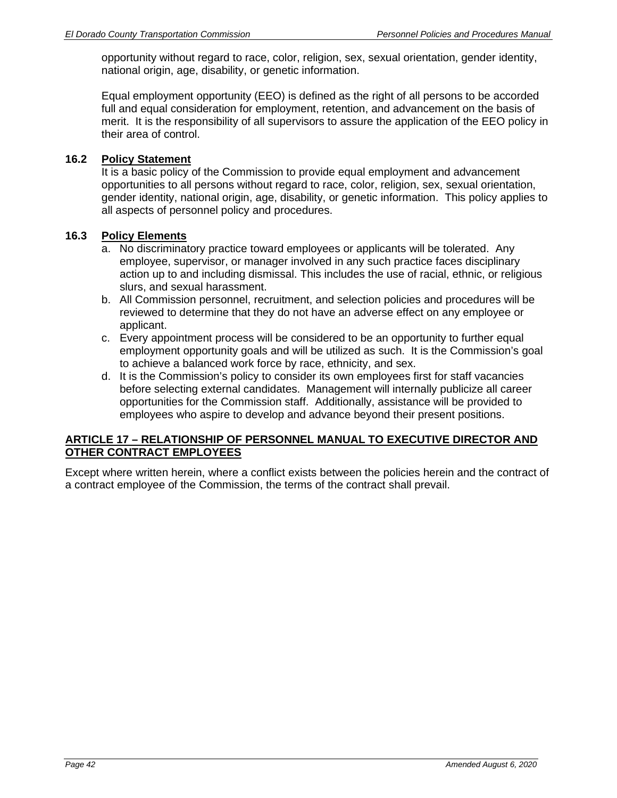opportunity without regard to race, color, religion, sex, sexual orientation, gender identity, national origin, age, disability, or genetic information.

Equal employment opportunity (EEO) is defined as the right of all persons to be accorded full and equal consideration for employment, retention, and advancement on the basis of merit. It is the responsibility of all supervisors to assure the application of the EEO policy in their area of control.

## **16.2 Policy Statement**

It is a basic policy of the Commission to provide equal employment and advancement opportunities to all persons without regard to race, color, religion, sex, sexual orientation, gender identity, national origin, age, disability, or genetic information. This policy applies to all aspects of personnel policy and procedures.

#### **16.3 Policy Elements**

- a. No discriminatory practice toward employees or applicants will be tolerated. Any employee, supervisor, or manager involved in any such practice faces disciplinary action up to and including dismissal. This includes the use of racial, ethnic, or religious slurs, and sexual harassment.
- b. All Commission personnel, recruitment, and selection policies and procedures will be reviewed to determine that they do not have an adverse effect on any employee or applicant.
- c. Every appointment process will be considered to be an opportunity to further equal employment opportunity goals and will be utilized as such. It is the Commission's goal to achieve a balanced work force by race, ethnicity, and sex.
- d. It is the Commission's policy to consider its own employees first for staff vacancies before selecting external candidates. Management will internally publicize all career opportunities for the Commission staff. Additionally, assistance will be provided to employees who aspire to develop and advance beyond their present positions.

## **ARTICLE 17 – RELATIONSHIP OF PERSONNEL MANUAL TO EXECUTIVE DIRECTOR AND OTHER CONTRACT EMPLOYEES**

Except where written herein, where a conflict exists between the policies herein and the contract of a contract employee of the Commission, the terms of the contract shall prevail.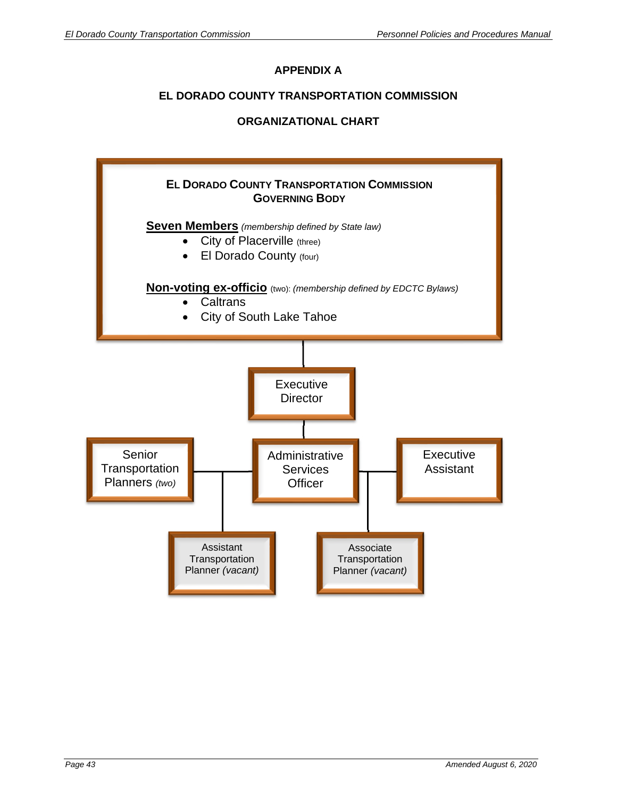# **APPENDIX A**

# **EL DORADO COUNTY TRANSPORTATION COMMISSION**

# **ORGANIZATIONAL CHART**

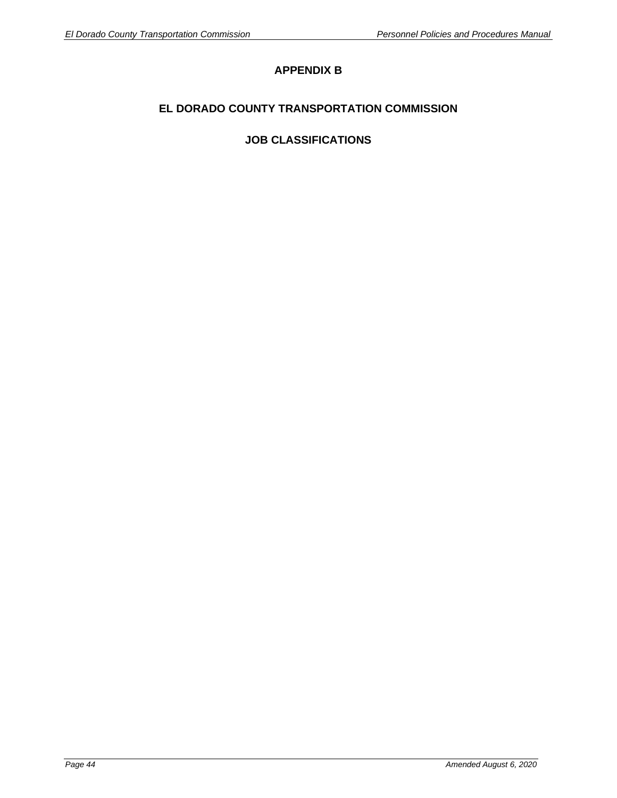# **APPENDIX B**

# **EL DORADO COUNTY TRANSPORTATION COMMISSION**

# **JOB CLASSIFICATIONS**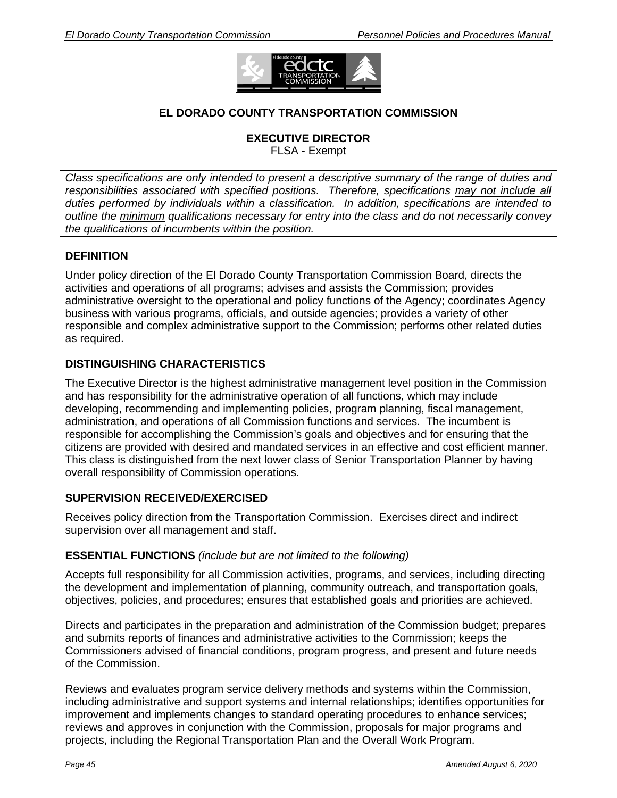

# **EL DORADO COUNTY TRANSPORTATION COMMISSION**

# **EXECUTIVE DIRECTOR**

FLSA - Exempt

*Class specifications are only intended to present a descriptive summary of the range of duties and responsibilities associated with specified positions. Therefore, specifications may not include all duties performed by individuals within a classification. In addition, specifications are intended to outline the minimum qualifications necessary for entry into the class and do not necessarily convey the qualifications of incumbents within the position.* 

## **DEFINITION**

Under policy direction of the El Dorado County Transportation Commission Board, directs the activities and operations of all programs; advises and assists the Commission; provides administrative oversight to the operational and policy functions of the Agency; coordinates Agency business with various programs, officials, and outside agencies; provides a variety of other responsible and complex administrative support to the Commission; performs other related duties as required.

## **DISTINGUISHING CHARACTERISTICS**

The Executive Director is the highest administrative management level position in the Commission and has responsibility for the administrative operation of all functions, which may include developing, recommending and implementing policies, program planning, fiscal management, administration, and operations of all Commission functions and services. The incumbent is responsible for accomplishing the Commission's goals and objectives and for ensuring that the citizens are provided with desired and mandated services in an effective and cost efficient manner. This class is distinguished from the next lower class of Senior Transportation Planner by having overall responsibility of Commission operations.

## **SUPERVISION RECEIVED/EXERCISED**

Receives policy direction from the Transportation Commission. Exercises direct and indirect supervision over all management and staff.

## **ESSENTIAL FUNCTIONS** *(include but are not limited to the following)*

Accepts full responsibility for all Commission activities, programs, and services, including directing the development and implementation of planning, community outreach, and transportation goals, objectives, policies, and procedures; ensures that established goals and priorities are achieved.

Directs and participates in the preparation and administration of the Commission budget; prepares and submits reports of finances and administrative activities to the Commission; keeps the Commissioners advised of financial conditions, program progress, and present and future needs of the Commission.

Reviews and evaluates program service delivery methods and systems within the Commission, including administrative and support systems and internal relationships; identifies opportunities for improvement and implements changes to standard operating procedures to enhance services; reviews and approves in conjunction with the Commission, proposals for major programs and projects, including the Regional Transportation Plan and the Overall Work Program.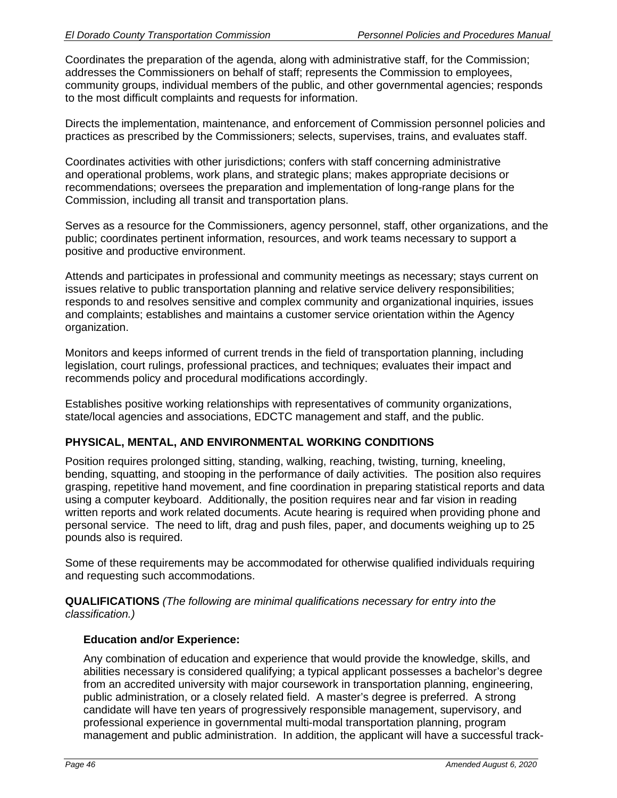Coordinates the preparation of the agenda, along with administrative staff, for the Commission; addresses the Commissioners on behalf of staff; represents the Commission to employees, community groups, individual members of the public, and other governmental agencies; responds to the most difficult complaints and requests for information.

Directs the implementation, maintenance, and enforcement of Commission personnel policies and practices as prescribed by the Commissioners; selects, supervises, trains, and evaluates staff.

Coordinates activities with other jurisdictions; confers with staff concerning administrative and operational problems, work plans, and strategic plans; makes appropriate decisions or recommendations; oversees the preparation and implementation of long-range plans for the Commission, including all transit and transportation plans.

Serves as a resource for the Commissioners, agency personnel, staff, other organizations, and the public; coordinates pertinent information, resources, and work teams necessary to support a positive and productive environment.

Attends and participates in professional and community meetings as necessary; stays current on issues relative to public transportation planning and relative service delivery responsibilities; responds to and resolves sensitive and complex community and organizational inquiries, issues and complaints; establishes and maintains a customer service orientation within the Agency organization.

Monitors and keeps informed of current trends in the field of transportation planning, including legislation, court rulings, professional practices, and techniques; evaluates their impact and recommends policy and procedural modifications accordingly.

Establishes positive working relationships with representatives of community organizations, state/local agencies and associations, EDCTC management and staff, and the public.

# **PHYSICAL, MENTAL, AND ENVIRONMENTAL WORKING CONDITIONS**

Position requires prolonged sitting, standing, walking, reaching, twisting, turning, kneeling, bending, squatting, and stooping in the performance of daily activities. The position also requires grasping, repetitive hand movement, and fine coordination in preparing statistical reports and data using a computer keyboard. Additionally, the position requires near and far vision in reading written reports and work related documents. Acute hearing is required when providing phone and personal service. The need to lift, drag and push files, paper, and documents weighing up to 25 pounds also is required.

Some of these requirements may be accommodated for otherwise qualified individuals requiring and requesting such accommodations.

**QUALIFICATIONS** *(The following are minimal qualifications necessary for entry into the classification.)* 

## **Education and/or Experience:**

Any combination of education and experience that would provide the knowledge, skills, and abilities necessary is considered qualifying; a typical applicant possesses a bachelor's degree from an accredited university with major coursework in transportation planning, engineering, public administration, or a closely related field. A master's degree is preferred. A strong candidate will have ten years of progressively responsible management, supervisory, and professional experience in governmental multi-modal transportation planning, program management and public administration. In addition, the applicant will have a successful track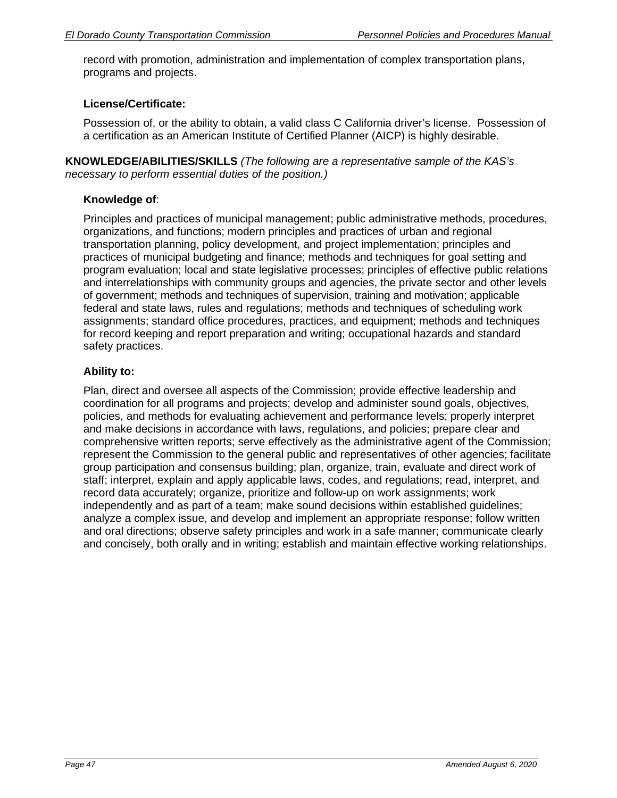record with promotion, administration and implementation of complex transportation plans, programs and projects.

# **License/Certificate:**

Possession of, or the ability to obtain, a valid class C California driver's license. Possession of a certification as an American Institute of Certified Planner (AICP) is highly desirable.

**KNOWLEDGE/ABILITIES/SKILLS** *(The following are a representative sample of the KAS's necessary to perform essential duties of the position.)* 

### **Knowledge of**:

Principles and practices of municipal management; public administrative methods, procedures, organizations, and functions; modern principles and practices of urban and regional transportation planning, policy development, and project implementation; principles and practices of municipal budgeting and finance; methods and techniques for goal setting and program evaluation; local and state legislative processes; principles of effective public relations and interrelationships with community groups and agencies, the private sector and other levels of government; methods and techniques of supervision, training and motivation; applicable federal and state laws, rules and regulations; methods and techniques of scheduling work assignments; standard office procedures, practices, and equipment; methods and techniques for record keeping and report preparation and writing; occupational hazards and standard safety practices.

## **Ability to:**

Plan, direct and oversee all aspects of the Commission; provide effective leadership and coordination for all programs and projects; develop and administer sound goals, objectives, policies, and methods for evaluating achievement and performance levels; properly interpret and make decisions in accordance with laws, regulations, and policies; prepare clear and comprehensive written reports; serve effectively as the administrative agent of the Commission; represent the Commission to the general public and representatives of other agencies; facilitate group participation and consensus building; plan, organize, train, evaluate and direct work of staff; interpret, explain and apply applicable laws, codes, and regulations; read, interpret, and record data accurately; organize, prioritize and follow-up on work assignments; work independently and as part of a team; make sound decisions within established guidelines; analyze a complex issue, and develop and implement an appropriate response; follow written and oral directions; observe safety principles and work in a safe manner; communicate clearly and concisely, both orally and in writing; establish and maintain effective working relationships.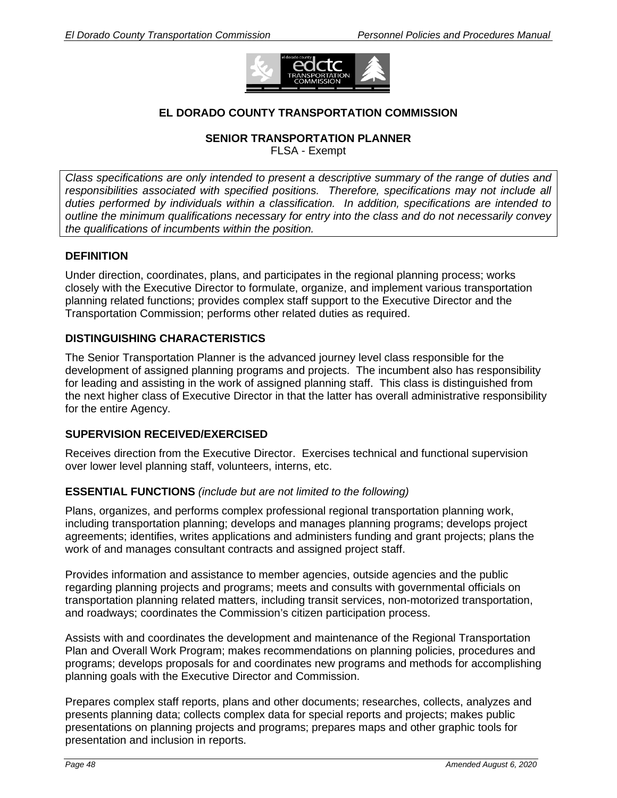

# **EL DORADO COUNTY TRANSPORTATION COMMISSION**

#### **SENIOR TRANSPORTATION PLANNER**

FLSA - Exempt

*Class specifications are only intended to present a descriptive summary of the range of duties and responsibilities associated with specified positions. Therefore, specifications may not include all duties performed by individuals within a classification. In addition, specifications are intended to outline the minimum qualifications necessary for entry into the class and do not necessarily convey the qualifications of incumbents within the position.* 

## **DEFINITION**

Under direction, coordinates, plans, and participates in the regional planning process; works closely with the Executive Director to formulate, organize, and implement various transportation planning related functions; provides complex staff support to the Executive Director and the Transportation Commission; performs other related duties as required.

## **DISTINGUISHING CHARACTERISTICS**

The Senior Transportation Planner is the advanced journey level class responsible for the development of assigned planning programs and projects. The incumbent also has responsibility for leading and assisting in the work of assigned planning staff. This class is distinguished from the next higher class of Executive Director in that the latter has overall administrative responsibility for the entire Agency.

## **SUPERVISION RECEIVED/EXERCISED**

Receives direction from the Executive Director. Exercises technical and functional supervision over lower level planning staff, volunteers, interns, etc.

## **ESSENTIAL FUNCTIONS** *(include but are not limited to the following)*

Plans, organizes, and performs complex professional regional transportation planning work, including transportation planning; develops and manages planning programs; develops project agreements; identifies, writes applications and administers funding and grant projects; plans the work of and manages consultant contracts and assigned project staff.

Provides information and assistance to member agencies, outside agencies and the public regarding planning projects and programs; meets and consults with governmental officials on transportation planning related matters, including transit services, non-motorized transportation, and roadways; coordinates the Commission's citizen participation process.

Assists with and coordinates the development and maintenance of the Regional Transportation Plan and Overall Work Program; makes recommendations on planning policies, procedures and programs; develops proposals for and coordinates new programs and methods for accomplishing planning goals with the Executive Director and Commission.

Prepares complex staff reports, plans and other documents; researches, collects, analyzes and presents planning data; collects complex data for special reports and projects; makes public presentations on planning projects and programs; prepares maps and other graphic tools for presentation and inclusion in reports.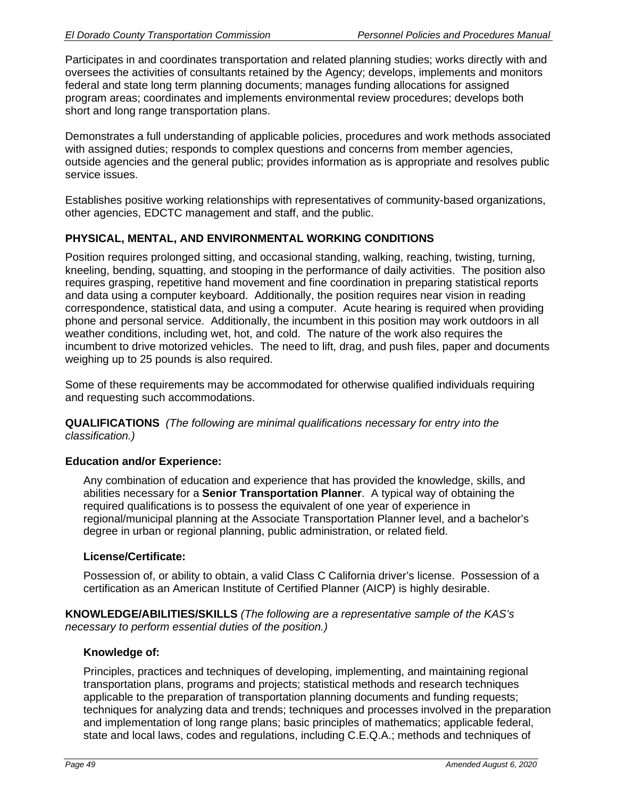Participates in and coordinates transportation and related planning studies; works directly with and oversees the activities of consultants retained by the Agency; develops, implements and monitors federal and state long term planning documents; manages funding allocations for assigned program areas; coordinates and implements environmental review procedures; develops both short and long range transportation plans.

Demonstrates a full understanding of applicable policies, procedures and work methods associated with assigned duties; responds to complex questions and concerns from member agencies, outside agencies and the general public; provides information as is appropriate and resolves public service issues.

Establishes positive working relationships with representatives of community-based organizations, other agencies, EDCTC management and staff, and the public.

# **PHYSICAL, MENTAL, AND ENVIRONMENTAL WORKING CONDITIONS**

Position requires prolonged sitting, and occasional standing, walking, reaching, twisting, turning, kneeling, bending, squatting, and stooping in the performance of daily activities. The position also requires grasping, repetitive hand movement and fine coordination in preparing statistical reports and data using a computer keyboard. Additionally, the position requires near vision in reading correspondence, statistical data, and using a computer. Acute hearing is required when providing phone and personal service. Additionally, the incumbent in this position may work outdoors in all weather conditions, including wet, hot, and cold. The nature of the work also requires the incumbent to drive motorized vehicles. The need to lift, drag, and push files, paper and documents weighing up to 25 pounds is also required.

Some of these requirements may be accommodated for otherwise qualified individuals requiring and requesting such accommodations.

**QUALIFICATIONS** *(The following are minimal qualifications necessary for entry into the classification.)*

## **Education and/or Experience:**

Any combination of education and experience that has provided the knowledge, skills, and abilities necessary for a **Senior Transportation Planner**. A typical way of obtaining the required qualifications is to possess the equivalent of one year of experience in regional/municipal planning at the Associate Transportation Planner level, and a bachelor's degree in urban or regional planning, public administration, or related field.

#### **License/Certificate:**

Possession of, or ability to obtain, a valid Class C California driver's license. Possession of a certification as an American Institute of Certified Planner (AICP) is highly desirable.

**KNOWLEDGE/ABILITIES/SKILLS** *(The following are a representative sample of the KAS's necessary to perform essential duties of the position.)* 

#### **Knowledge of:**

Principles, practices and techniques of developing, implementing, and maintaining regional transportation plans, programs and projects; statistical methods and research techniques applicable to the preparation of transportation planning documents and funding requests; techniques for analyzing data and trends; techniques and processes involved in the preparation and implementation of long range plans; basic principles of mathematics; applicable federal, state and local laws, codes and regulations, including C.E.Q.A.; methods and techniques of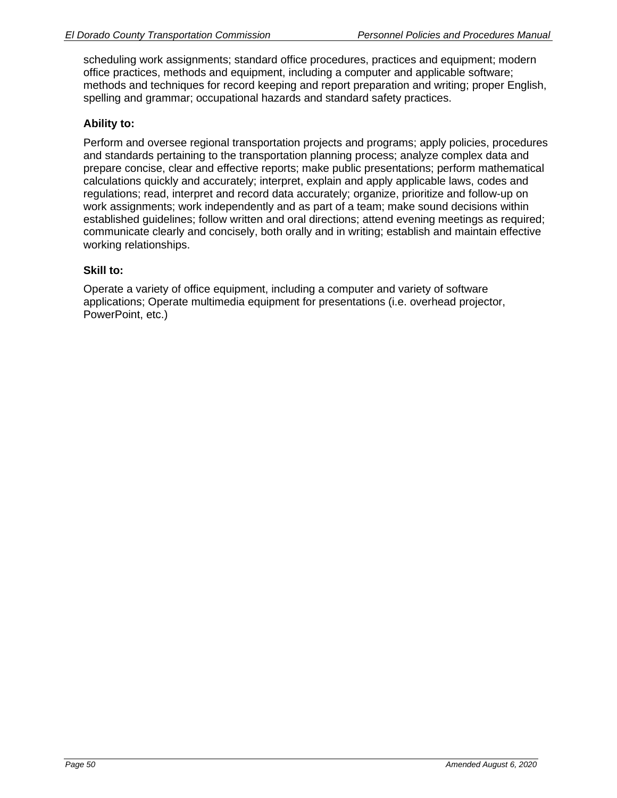scheduling work assignments; standard office procedures, practices and equipment; modern office practices, methods and equipment, including a computer and applicable software; methods and techniques for record keeping and report preparation and writing; proper English, spelling and grammar; occupational hazards and standard safety practices.

# **Ability to:**

Perform and oversee regional transportation projects and programs; apply policies, procedures and standards pertaining to the transportation planning process; analyze complex data and prepare concise, clear and effective reports; make public presentations; perform mathematical calculations quickly and accurately; interpret, explain and apply applicable laws, codes and regulations; read, interpret and record data accurately; organize, prioritize and follow-up on work assignments; work independently and as part of a team; make sound decisions within established guidelines; follow written and oral directions; attend evening meetings as required; communicate clearly and concisely, both orally and in writing; establish and maintain effective working relationships.

## **Skill to:**

Operate a variety of office equipment, including a computer and variety of software applications; Operate multimedia equipment for presentations (i.e. overhead projector, PowerPoint, etc.)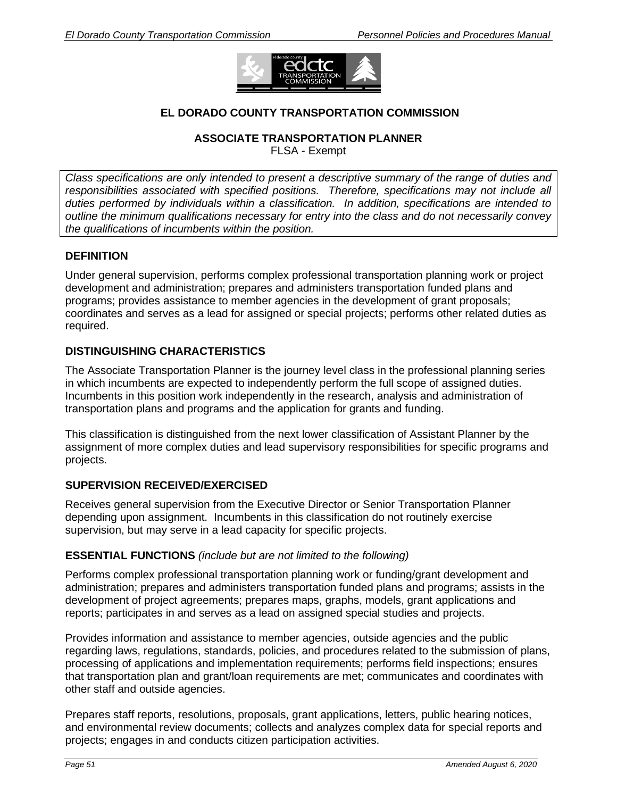

## **EL DORADO COUNTY TRANSPORTATION COMMISSION**

**ASSOCIATE TRANSPORTATION PLANNER** 

FLSA - Exempt

*Class specifications are only intended to present a descriptive summary of the range of duties and responsibilities associated with specified positions. Therefore, specifications may not include all duties performed by individuals within a classification. In addition, specifications are intended to outline the minimum qualifications necessary for entry into the class and do not necessarily convey the qualifications of incumbents within the position.* 

## **DEFINITION**

Under general supervision, performs complex professional transportation planning work or project development and administration; prepares and administers transportation funded plans and programs; provides assistance to member agencies in the development of grant proposals; coordinates and serves as a lead for assigned or special projects; performs other related duties as required.

## **DISTINGUISHING CHARACTERISTICS**

The Associate Transportation Planner is the journey level class in the professional planning series in which incumbents are expected to independently perform the full scope of assigned duties. Incumbents in this position work independently in the research, analysis and administration of transportation plans and programs and the application for grants and funding.

This classification is distinguished from the next lower classification of Assistant Planner by the assignment of more complex duties and lead supervisory responsibilities for specific programs and projects.

## **SUPERVISION RECEIVED/EXERCISED**

Receives general supervision from the Executive Director or Senior Transportation Planner depending upon assignment. Incumbents in this classification do not routinely exercise supervision, but may serve in a lead capacity for specific projects.

## **ESSENTIAL FUNCTIONS** *(include but are not limited to the following)*

Performs complex professional transportation planning work or funding/grant development and administration; prepares and administers transportation funded plans and programs; assists in the development of project agreements; prepares maps, graphs, models, grant applications and reports; participates in and serves as a lead on assigned special studies and projects.

Provides information and assistance to member agencies, outside agencies and the public regarding laws, regulations, standards, policies, and procedures related to the submission of plans, processing of applications and implementation requirements; performs field inspections; ensures that transportation plan and grant/loan requirements are met; communicates and coordinates with other staff and outside agencies.

Prepares staff reports, resolutions, proposals, grant applications, letters, public hearing notices, and environmental review documents; collects and analyzes complex data for special reports and projects; engages in and conducts citizen participation activities.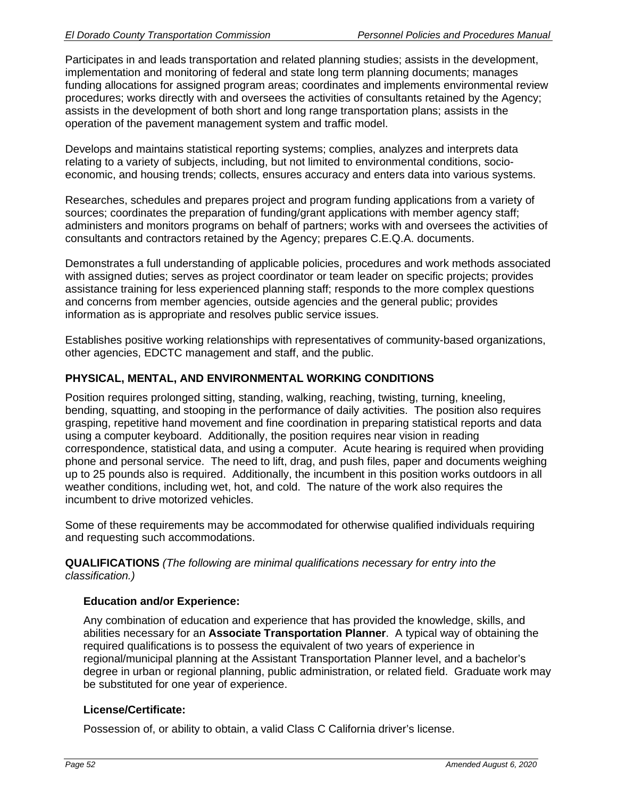Participates in and leads transportation and related planning studies; assists in the development, implementation and monitoring of federal and state long term planning documents; manages funding allocations for assigned program areas; coordinates and implements environmental review procedures; works directly with and oversees the activities of consultants retained by the Agency; assists in the development of both short and long range transportation plans; assists in the operation of the pavement management system and traffic model.

Develops and maintains statistical reporting systems; complies, analyzes and interprets data relating to a variety of subjects, including, but not limited to environmental conditions, socioeconomic, and housing trends; collects, ensures accuracy and enters data into various systems.

Researches, schedules and prepares project and program funding applications from a variety of sources; coordinates the preparation of funding/grant applications with member agency staff; administers and monitors programs on behalf of partners; works with and oversees the activities of consultants and contractors retained by the Agency; prepares C.E.Q.A. documents.

Demonstrates a full understanding of applicable policies, procedures and work methods associated with assigned duties; serves as project coordinator or team leader on specific projects; provides assistance training for less experienced planning staff; responds to the more complex questions and concerns from member agencies, outside agencies and the general public; provides information as is appropriate and resolves public service issues.

Establishes positive working relationships with representatives of community-based organizations, other agencies, EDCTC management and staff, and the public.

# **PHYSICAL, MENTAL, AND ENVIRONMENTAL WORKING CONDITIONS**

Position requires prolonged sitting, standing, walking, reaching, twisting, turning, kneeling, bending, squatting, and stooping in the performance of daily activities. The position also requires grasping, repetitive hand movement and fine coordination in preparing statistical reports and data using a computer keyboard. Additionally, the position requires near vision in reading correspondence, statistical data, and using a computer. Acute hearing is required when providing phone and personal service. The need to lift, drag, and push files, paper and documents weighing up to 25 pounds also is required. Additionally, the incumbent in this position works outdoors in all weather conditions, including wet, hot, and cold. The nature of the work also requires the incumbent to drive motorized vehicles.

Some of these requirements may be accommodated for otherwise qualified individuals requiring and requesting such accommodations.

**QUALIFICATIONS** *(The following are minimal qualifications necessary for entry into the classification.)*

## **Education and/or Experience:**

Any combination of education and experience that has provided the knowledge, skills, and abilities necessary for an **Associate Transportation Planner**. A typical way of obtaining the required qualifications is to possess the equivalent of two years of experience in regional/municipal planning at the Assistant Transportation Planner level, and a bachelor's degree in urban or regional planning, public administration, or related field. Graduate work may be substituted for one year of experience.

## **License/Certificate:**

Possession of, or ability to obtain, a valid Class C California driver's license.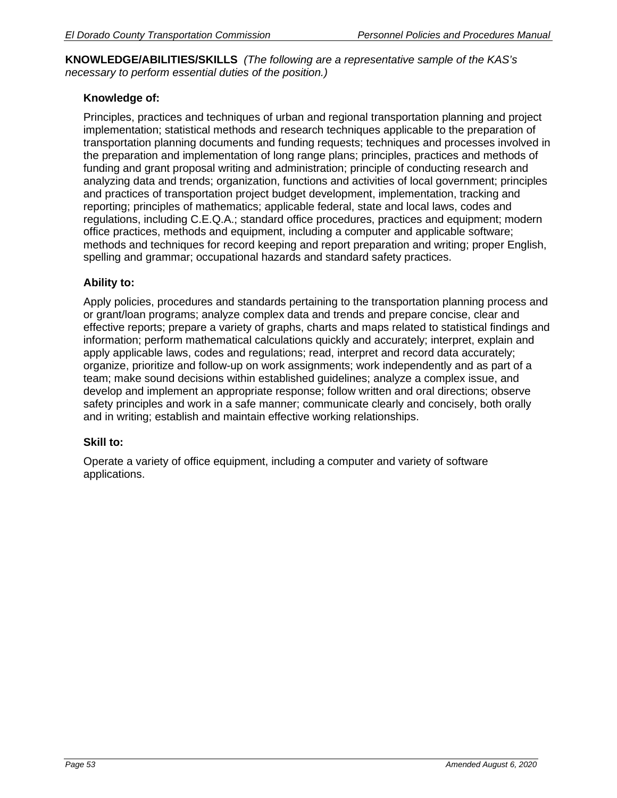**KNOWLEDGE/ABILITIES/SKILLS** *(The following are a representative sample of the KAS's necessary to perform essential duties of the position.)* 

# **Knowledge of:**

Principles, practices and techniques of urban and regional transportation planning and project implementation; statistical methods and research techniques applicable to the preparation of transportation planning documents and funding requests; techniques and processes involved in the preparation and implementation of long range plans; principles, practices and methods of funding and grant proposal writing and administration; principle of conducting research and analyzing data and trends; organization, functions and activities of local government; principles and practices of transportation project budget development, implementation, tracking and reporting; principles of mathematics; applicable federal, state and local laws, codes and regulations, including C.E.Q.A.; standard office procedures, practices and equipment; modern office practices, methods and equipment, including a computer and applicable software; methods and techniques for record keeping and report preparation and writing; proper English, spelling and grammar; occupational hazards and standard safety practices.

## **Ability to:**

Apply policies, procedures and standards pertaining to the transportation planning process and or grant/loan programs; analyze complex data and trends and prepare concise, clear and effective reports; prepare a variety of graphs, charts and maps related to statistical findings and information; perform mathematical calculations quickly and accurately; interpret, explain and apply applicable laws, codes and regulations; read, interpret and record data accurately; organize, prioritize and follow-up on work assignments; work independently and as part of a team; make sound decisions within established guidelines; analyze a complex issue, and develop and implement an appropriate response; follow written and oral directions; observe safety principles and work in a safe manner; communicate clearly and concisely, both orally and in writing; establish and maintain effective working relationships.

## **Skill to:**

Operate a variety of office equipment, including a computer and variety of software applications.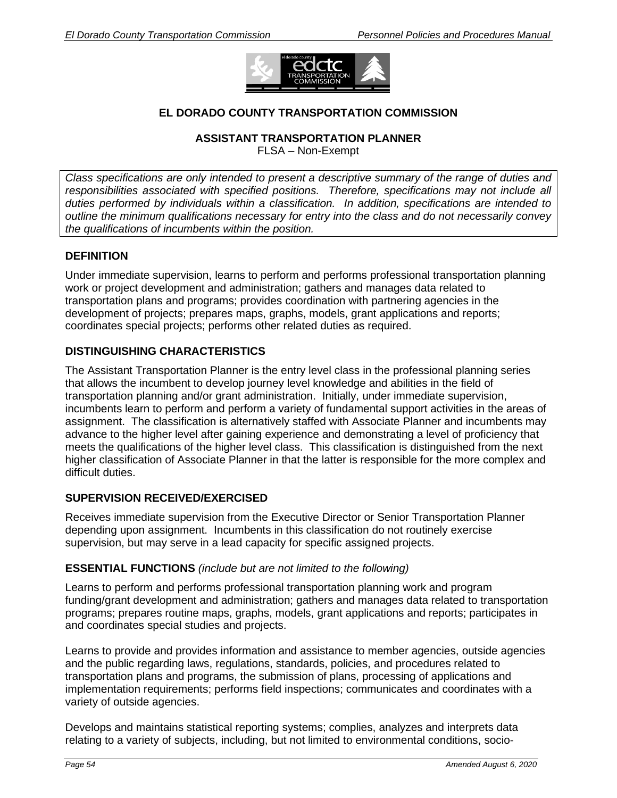

# **EL DORADO COUNTY TRANSPORTATION COMMISSION**

#### **ASSISTANT TRANSPORTATION PLANNER**

FLSA – Non-Exempt

*Class specifications are only intended to present a descriptive summary of the range of duties and responsibilities associated with specified positions. Therefore, specifications may not include all duties performed by individuals within a classification. In addition, specifications are intended to outline the minimum qualifications necessary for entry into the class and do not necessarily convey the qualifications of incumbents within the position.* 

## **DEFINITION**

Under immediate supervision, learns to perform and performs professional transportation planning work or project development and administration; gathers and manages data related to transportation plans and programs; provides coordination with partnering agencies in the development of projects; prepares maps, graphs, models, grant applications and reports; coordinates special projects; performs other related duties as required.

## **DISTINGUISHING CHARACTERISTICS**

The Assistant Transportation Planner is the entry level class in the professional planning series that allows the incumbent to develop journey level knowledge and abilities in the field of transportation planning and/or grant administration. Initially, under immediate supervision, incumbents learn to perform and perform a variety of fundamental support activities in the areas of assignment. The classification is alternatively staffed with Associate Planner and incumbents may advance to the higher level after gaining experience and demonstrating a level of proficiency that meets the qualifications of the higher level class. This classification is distinguished from the next higher classification of Associate Planner in that the latter is responsible for the more complex and difficult duties.

## **SUPERVISION RECEIVED/EXERCISED**

Receives immediate supervision from the Executive Director or Senior Transportation Planner depending upon assignment. Incumbents in this classification do not routinely exercise supervision, but may serve in a lead capacity for specific assigned projects.

## **ESSENTIAL FUNCTIONS** *(include but are not limited to the following)*

Learns to perform and performs professional transportation planning work and program funding/grant development and administration; gathers and manages data related to transportation programs; prepares routine maps, graphs, models, grant applications and reports; participates in and coordinates special studies and projects.

Learns to provide and provides information and assistance to member agencies, outside agencies and the public regarding laws, regulations, standards, policies, and procedures related to transportation plans and programs, the submission of plans, processing of applications and implementation requirements; performs field inspections; communicates and coordinates with a variety of outside agencies.

Develops and maintains statistical reporting systems; complies, analyzes and interprets data relating to a variety of subjects, including, but not limited to environmental conditions, socio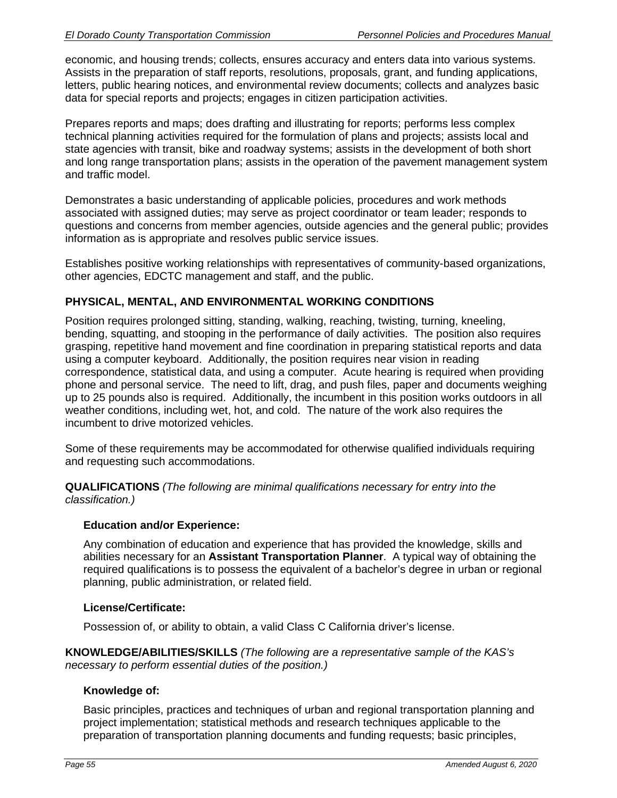economic, and housing trends; collects, ensures accuracy and enters data into various systems. Assists in the preparation of staff reports, resolutions, proposals, grant, and funding applications, letters, public hearing notices, and environmental review documents; collects and analyzes basic data for special reports and projects; engages in citizen participation activities.

Prepares reports and maps; does drafting and illustrating for reports; performs less complex technical planning activities required for the formulation of plans and projects; assists local and state agencies with transit, bike and roadway systems; assists in the development of both short and long range transportation plans; assists in the operation of the pavement management system and traffic model.

Demonstrates a basic understanding of applicable policies, procedures and work methods associated with assigned duties; may serve as project coordinator or team leader; responds to questions and concerns from member agencies, outside agencies and the general public; provides information as is appropriate and resolves public service issues.

Establishes positive working relationships with representatives of community-based organizations, other agencies, EDCTC management and staff, and the public.

## **PHYSICAL, MENTAL, AND ENVIRONMENTAL WORKING CONDITIONS**

Position requires prolonged sitting, standing, walking, reaching, twisting, turning, kneeling, bending, squatting, and stooping in the performance of daily activities. The position also requires grasping, repetitive hand movement and fine coordination in preparing statistical reports and data using a computer keyboard. Additionally, the position requires near vision in reading correspondence, statistical data, and using a computer. Acute hearing is required when providing phone and personal service. The need to lift, drag, and push files, paper and documents weighing up to 25 pounds also is required. Additionally, the incumbent in this position works outdoors in all weather conditions, including wet, hot, and cold. The nature of the work also requires the incumbent to drive motorized vehicles.

Some of these requirements may be accommodated for otherwise qualified individuals requiring and requesting such accommodations.

**QUALIFICATIONS** *(The following are minimal qualifications necessary for entry into the classification.)*

## **Education and/or Experience:**

Any combination of education and experience that has provided the knowledge, skills and abilities necessary for an **Assistant Transportation Planner**. A typical way of obtaining the required qualifications is to possess the equivalent of a bachelor's degree in urban or regional planning, public administration, or related field.

#### **License/Certificate:**

Possession of, or ability to obtain, a valid Class C California driver's license.

**KNOWLEDGE/ABILITIES/SKILLS** *(The following are a representative sample of the KAS's necessary to perform essential duties of the position.)* 

## **Knowledge of:**

Basic principles, practices and techniques of urban and regional transportation planning and project implementation; statistical methods and research techniques applicable to the preparation of transportation planning documents and funding requests; basic principles,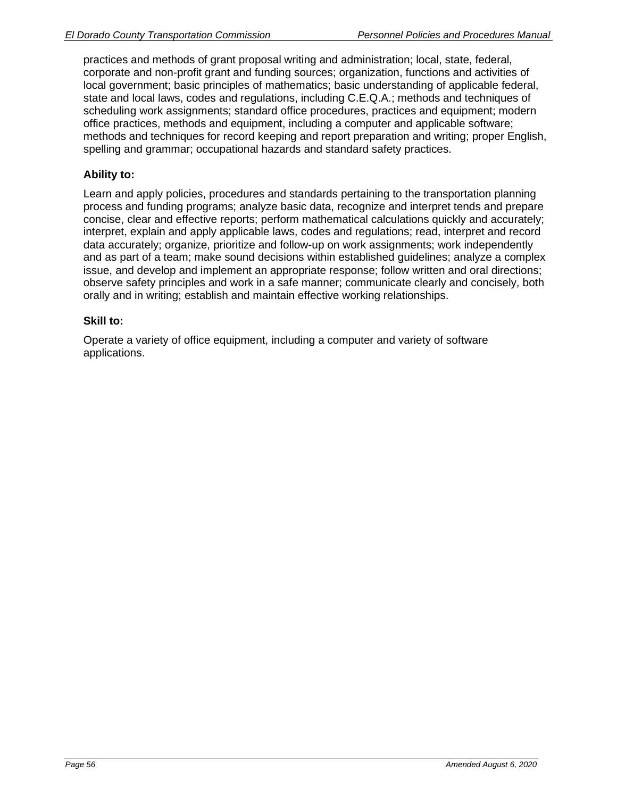practices and methods of grant proposal writing and administration; local, state, federal, corporate and non-profit grant and funding sources; organization, functions and activities of local government; basic principles of mathematics; basic understanding of applicable federal, state and local laws, codes and regulations, including C.E.Q.A.; methods and techniques of scheduling work assignments; standard office procedures, practices and equipment; modern office practices, methods and equipment, including a computer and applicable software; methods and techniques for record keeping and report preparation and writing; proper English, spelling and grammar; occupational hazards and standard safety practices.

## **Ability to:**

Learn and apply policies, procedures and standards pertaining to the transportation planning process and funding programs; analyze basic data, recognize and interpret tends and prepare concise, clear and effective reports; perform mathematical calculations quickly and accurately; interpret, explain and apply applicable laws, codes and regulations; read, interpret and record data accurately; organize, prioritize and follow-up on work assignments; work independently and as part of a team; make sound decisions within established guidelines; analyze a complex issue, and develop and implement an appropriate response; follow written and oral directions; observe safety principles and work in a safe manner; communicate clearly and concisely, both orally and in writing; establish and maintain effective working relationships.

## **Skill to:**

Operate a variety of office equipment, including a computer and variety of software applications.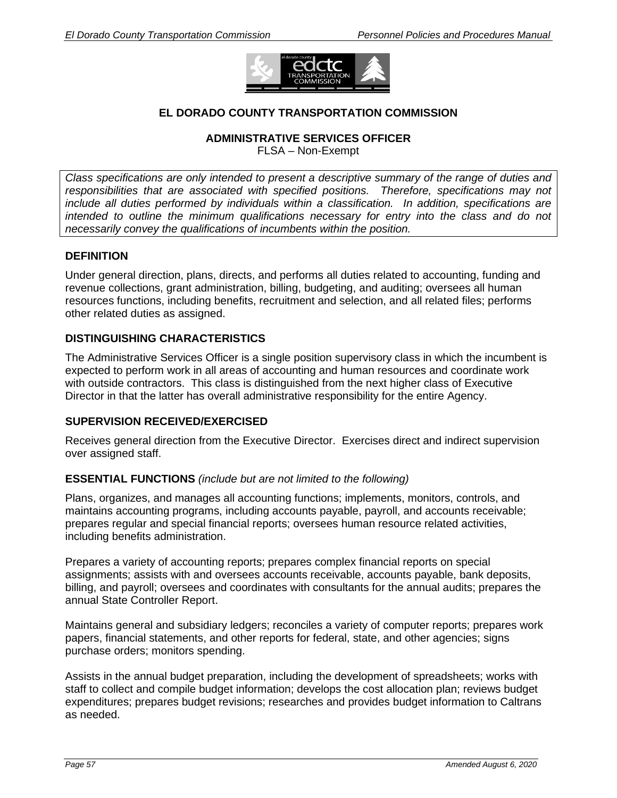

# **EL DORADO COUNTY TRANSPORTATION COMMISSION**

#### **ADMINISTRATIVE SERVICES OFFICER**

FLSA – Non-Exempt

*Class specifications are only intended to present a descriptive summary of the range of duties and responsibilities that are associated with specified positions. Therefore, specifications may not include all duties performed by individuals within a classification. In addition, specifications are intended to outline the minimum qualifications necessary for entry into the class and do not necessarily convey the qualifications of incumbents within the position.* 

## **DEFINITION**

Under general direction, plans, directs, and performs all duties related to accounting, funding and revenue collections, grant administration, billing, budgeting, and auditing; oversees all human resources functions, including benefits, recruitment and selection, and all related files; performs other related duties as assigned.

## **DISTINGUISHING CHARACTERISTICS**

The Administrative Services Officer is a single position supervisory class in which the incumbent is expected to perform work in all areas of accounting and human resources and coordinate work with outside contractors. This class is distinguished from the next higher class of Executive Director in that the latter has overall administrative responsibility for the entire Agency.

## **SUPERVISION RECEIVED/EXERCISED**

Receives general direction from the Executive Director. Exercises direct and indirect supervision over assigned staff.

#### **ESSENTIAL FUNCTIONS** *(include but are not limited to the following)*

Plans, organizes, and manages all accounting functions; implements, monitors, controls, and maintains accounting programs, including accounts payable, payroll, and accounts receivable; prepares regular and special financial reports; oversees human resource related activities, including benefits administration.

Prepares a variety of accounting reports; prepares complex financial reports on special assignments; assists with and oversees accounts receivable, accounts payable, bank deposits, billing, and payroll; oversees and coordinates with consultants for the annual audits; prepares the annual State Controller Report.

Maintains general and subsidiary ledgers; reconciles a variety of computer reports; prepares work papers, financial statements, and other reports for federal, state, and other agencies; signs purchase orders; monitors spending.

Assists in the annual budget preparation, including the development of spreadsheets; works with staff to collect and compile budget information; develops the cost allocation plan; reviews budget expenditures; prepares budget revisions; researches and provides budget information to Caltrans as needed.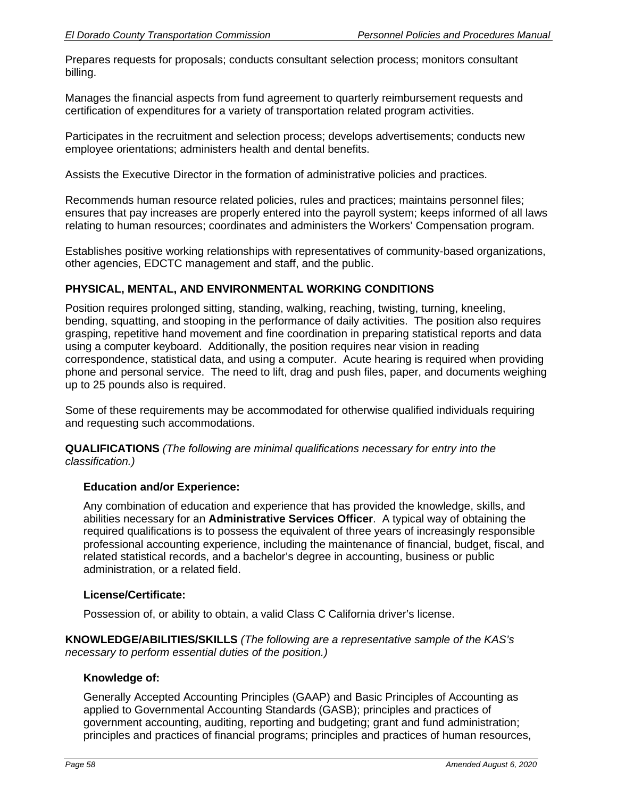Prepares requests for proposals; conducts consultant selection process; monitors consultant billing.

Manages the financial aspects from fund agreement to quarterly reimbursement requests and certification of expenditures for a variety of transportation related program activities.

Participates in the recruitment and selection process; develops advertisements; conducts new employee orientations; administers health and dental benefits.

Assists the Executive Director in the formation of administrative policies and practices.

Recommends human resource related policies, rules and practices; maintains personnel files; ensures that pay increases are properly entered into the payroll system; keeps informed of all laws relating to human resources; coordinates and administers the Workers' Compensation program.

Establishes positive working relationships with representatives of community-based organizations, other agencies, EDCTC management and staff, and the public.

# **PHYSICAL, MENTAL, AND ENVIRONMENTAL WORKING CONDITIONS**

Position requires prolonged sitting, standing, walking, reaching, twisting, turning, kneeling, bending, squatting, and stooping in the performance of daily activities. The position also requires grasping, repetitive hand movement and fine coordination in preparing statistical reports and data using a computer keyboard. Additionally, the position requires near vision in reading correspondence, statistical data, and using a computer. Acute hearing is required when providing phone and personal service. The need to lift, drag and push files, paper, and documents weighing up to 25 pounds also is required.

Some of these requirements may be accommodated for otherwise qualified individuals requiring and requesting such accommodations.

**QUALIFICATIONS** *(The following are minimal qualifications necessary for entry into the classification.)*

## **Education and/or Experience:**

Any combination of education and experience that has provided the knowledge, skills, and abilities necessary for an **Administrative Services Officer**. A typical way of obtaining the required qualifications is to possess the equivalent of three years of increasingly responsible professional accounting experience, including the maintenance of financial, budget, fiscal, and related statistical records, and a bachelor's degree in accounting, business or public administration, or a related field.

## **License/Certificate:**

Possession of, or ability to obtain, a valid Class C California driver's license.

**KNOWLEDGE/ABILITIES/SKILLS** *(The following are a representative sample of the KAS's necessary to perform essential duties of the position.)* 

## **Knowledge of:**

Generally Accepted Accounting Principles (GAAP) and Basic Principles of Accounting as applied to Governmental Accounting Standards (GASB); principles and practices of government accounting, auditing, reporting and budgeting; grant and fund administration; principles and practices of financial programs; principles and practices of human resources,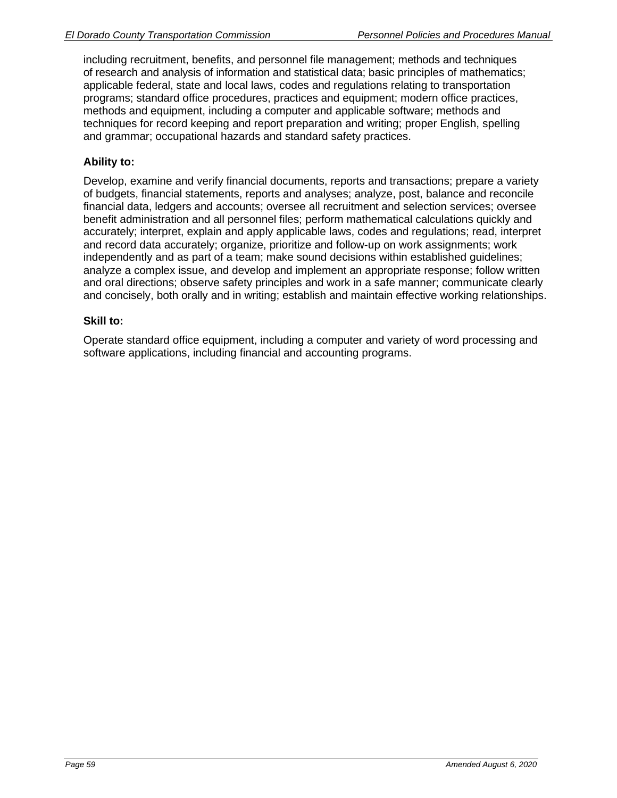including recruitment, benefits, and personnel file management; methods and techniques of research and analysis of information and statistical data; basic principles of mathematics; applicable federal, state and local laws, codes and regulations relating to transportation programs; standard office procedures, practices and equipment; modern office practices, methods and equipment, including a computer and applicable software; methods and techniques for record keeping and report preparation and writing; proper English, spelling and grammar; occupational hazards and standard safety practices.

# **Ability to:**

Develop, examine and verify financial documents, reports and transactions; prepare a variety of budgets, financial statements, reports and analyses; analyze, post, balance and reconcile financial data, ledgers and accounts; oversee all recruitment and selection services; oversee benefit administration and all personnel files; perform mathematical calculations quickly and accurately; interpret, explain and apply applicable laws, codes and regulations; read, interpret and record data accurately; organize, prioritize and follow-up on work assignments; work independently and as part of a team; make sound decisions within established guidelines; analyze a complex issue, and develop and implement an appropriate response; follow written and oral directions; observe safety principles and work in a safe manner; communicate clearly and concisely, both orally and in writing; establish and maintain effective working relationships.

## **Skill to:**

Operate standard office equipment, including a computer and variety of word processing and software applications, including financial and accounting programs.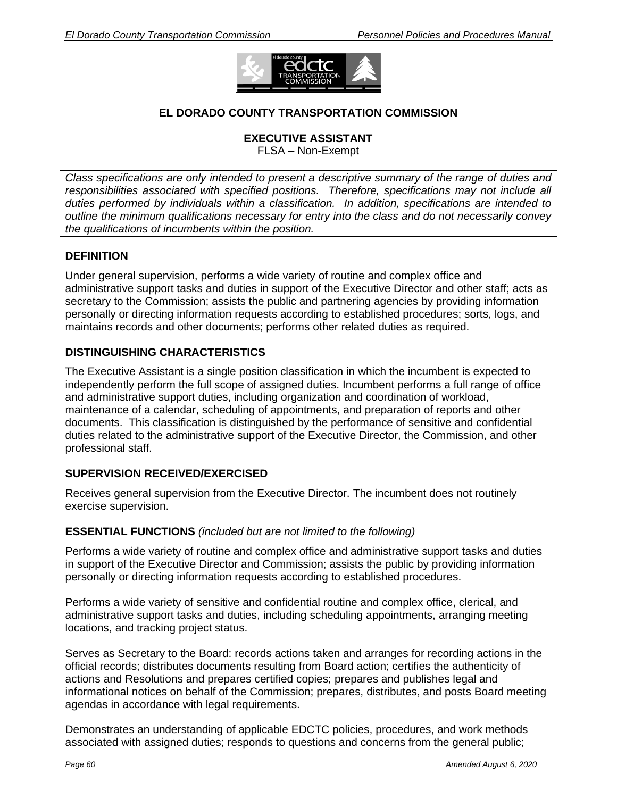

# **EL DORADO COUNTY TRANSPORTATION COMMISSION**

#### **EXECUTIVE ASSISTANT**

FLSA – Non-Exempt

*Class specifications are only intended to present a descriptive summary of the range of duties and responsibilities associated with specified positions. Therefore, specifications may not include all duties performed by individuals within a classification. In addition, specifications are intended to outline the minimum qualifications necessary for entry into the class and do not necessarily convey the qualifications of incumbents within the position.* 

## **DEFINITION**

Under general supervision, performs a wide variety of routine and complex office and administrative support tasks and duties in support of the Executive Director and other staff; acts as secretary to the Commission; assists the public and partnering agencies by providing information personally or directing information requests according to established procedures; sorts, logs, and maintains records and other documents; performs other related duties as required.

#### **DISTINGUISHING CHARACTERISTICS**

The Executive Assistant is a single position classification in which the incumbent is expected to independently perform the full scope of assigned duties. Incumbent performs a full range of office and administrative support duties, including organization and coordination of workload, maintenance of a calendar, scheduling of appointments, and preparation of reports and other documents. This classification is distinguished by the performance of sensitive and confidential duties related to the administrative support of the Executive Director, the Commission, and other professional staff.

## **SUPERVISION RECEIVED/EXERCISED**

Receives general supervision from the Executive Director. The incumbent does not routinely exercise supervision.

#### **ESSENTIAL FUNCTIONS** *(included but are not limited to the following)*

Performs a wide variety of routine and complex office and administrative support tasks and duties in support of the Executive Director and Commission; assists the public by providing information personally or directing information requests according to established procedures.

Performs a wide variety of sensitive and confidential routine and complex office, clerical, and administrative support tasks and duties, including scheduling appointments, arranging meeting locations, and tracking project status.

Serves as Secretary to the Board: records actions taken and arranges for recording actions in the official records; distributes documents resulting from Board action; certifies the authenticity of actions and Resolutions and prepares certified copies; prepares and publishes legal and informational notices on behalf of the Commission; prepares, distributes, and posts Board meeting agendas in accordance with legal requirements.

Demonstrates an understanding of applicable EDCTC policies, procedures, and work methods associated with assigned duties; responds to questions and concerns from the general public;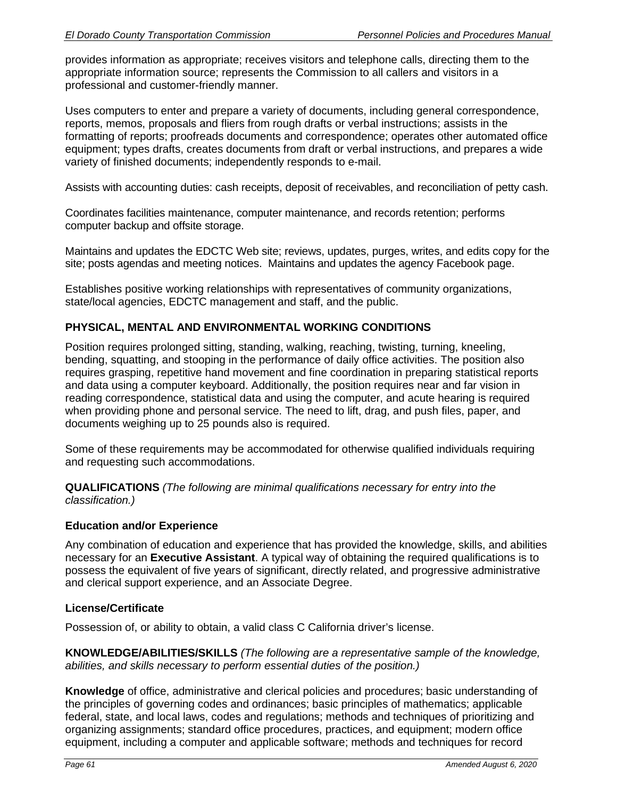provides information as appropriate; receives visitors and telephone calls, directing them to the appropriate information source; represents the Commission to all callers and visitors in a professional and customer-friendly manner.

Uses computers to enter and prepare a variety of documents, including general correspondence, reports, memos, proposals and fliers from rough drafts or verbal instructions; assists in the formatting of reports; proofreads documents and correspondence; operates other automated office equipment; types drafts, creates documents from draft or verbal instructions, and prepares a wide variety of finished documents; independently responds to e-mail.

Assists with accounting duties: cash receipts, deposit of receivables, and reconciliation of petty cash.

Coordinates facilities maintenance, computer maintenance, and records retention; performs computer backup and offsite storage.

Maintains and updates the EDCTC Web site; reviews, updates, purges, writes, and edits copy for the site; posts agendas and meeting notices. Maintains and updates the agency Facebook page.

Establishes positive working relationships with representatives of community organizations, state/local agencies, EDCTC management and staff, and the public.

## **PHYSICAL, MENTAL AND ENVIRONMENTAL WORKING CONDITIONS**

Position requires prolonged sitting, standing, walking, reaching, twisting, turning, kneeling, bending, squatting, and stooping in the performance of daily office activities. The position also requires grasping, repetitive hand movement and fine coordination in preparing statistical reports and data using a computer keyboard. Additionally, the position requires near and far vision in reading correspondence, statistical data and using the computer, and acute hearing is required when providing phone and personal service. The need to lift, drag, and push files, paper, and documents weighing up to 25 pounds also is required.

Some of these requirements may be accommodated for otherwise qualified individuals requiring and requesting such accommodations.

**QUALIFICATIONS** *(The following are minimal qualifications necessary for entry into the classification.)*

## **Education and/or Experience**

Any combination of education and experience that has provided the knowledge, skills, and abilities necessary for an **Executive Assistant**. A typical way of obtaining the required qualifications is to possess the equivalent of five years of significant, directly related, and progressive administrative and clerical support experience, and an Associate Degree.

#### **License/Certificate**

Possession of, or ability to obtain, a valid class C California driver's license.

**KNOWLEDGE/ABILITIES/SKILLS** *(The following are a representative sample of the knowledge, abilities, and skills necessary to perform essential duties of the position.)* 

**Knowledge** of office, administrative and clerical policies and procedures; basic understanding of the principles of governing codes and ordinances; basic principles of mathematics; applicable federal, state, and local laws, codes and regulations; methods and techniques of prioritizing and organizing assignments; standard office procedures, practices, and equipment; modern office equipment, including a computer and applicable software; methods and techniques for record